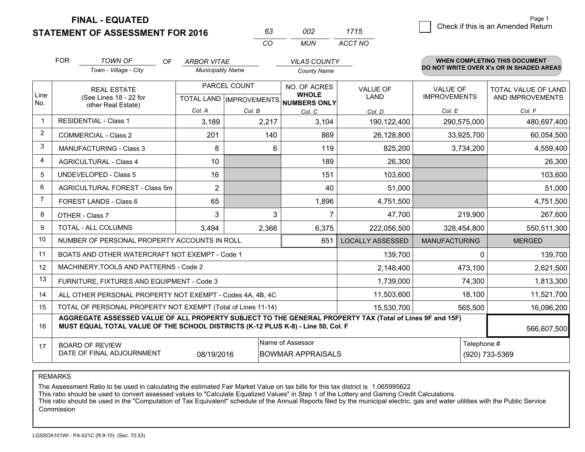**FINAL - EQUATED**

|  | <b>STATEMENT OF ASSESSMENT FOR 2016</b> |
|--|-----------------------------------------|
|--|-----------------------------------------|

| 63 | nnə | 1715    |
|----|-----|---------|
| ΩO | MUN | ACCT NO |

|                | <b>FOR</b><br><b>TOWN OF</b><br>OF.<br>Town - Village - City                                                                                                                                 | <b>ARBOR VITAE</b><br><b>Municipality Name</b> |                                              | <b>VILAS COUNTY</b><br><b>County Name</b> |                                        |                                                | <b>WHEN COMPLETING THIS DOCUMENT</b><br>DO NOT WRITE OVER X's OR IN SHADED AREAS |
|----------------|----------------------------------------------------------------------------------------------------------------------------------------------------------------------------------------------|------------------------------------------------|----------------------------------------------|-------------------------------------------|----------------------------------------|------------------------------------------------|----------------------------------------------------------------------------------|
| Line<br>No.    | PARCEL COUNT<br><b>REAL ESTATE</b><br>(See Lines 18 - 22 for<br>TOTAL LAND   IMPROVEMENTS                                                                                                    |                                                | NO. OF ACRES<br><b>WHOLE</b><br>NUMBERS ONLY | <b>VALUE OF</b><br><b>LAND</b>            | <b>VALUE OF</b><br><b>IMPROVEMENTS</b> | <b>TOTAL VALUE OF LAND</b><br>AND IMPROVEMENTS |                                                                                  |
|                | other Real Estate)                                                                                                                                                                           | Col. A                                         | Col. B                                       | Col. C                                    | Col. D                                 | Col. E                                         | Col. F                                                                           |
| $\mathbf 1$    | <b>RESIDENTIAL - Class 1</b>                                                                                                                                                                 | 3,189                                          | 2,217                                        | 3,104                                     | 190,122,400                            | 290,575,000                                    | 480,697,400                                                                      |
| 2              | <b>COMMERCIAL - Class 2</b>                                                                                                                                                                  | 201                                            | 140                                          | 869                                       | 26,128,800                             | 33,925,700                                     | 60,054,500                                                                       |
| 3              | <b>MANUFACTURING - Class 3</b>                                                                                                                                                               | 8                                              | 6                                            | 119                                       | 825,200                                | 3,734,200                                      | 4,559,400                                                                        |
| 4              | <b>AGRICULTURAL - Class 4</b>                                                                                                                                                                | 10                                             |                                              | 189                                       | 26,300                                 |                                                | 26,300                                                                           |
| 5              | <b>UNDEVELOPED - Class 5</b>                                                                                                                                                                 | 16                                             |                                              | 151                                       | 103,600                                |                                                | 103,600                                                                          |
| 6              | AGRICULTURAL FOREST - Class 5m                                                                                                                                                               | $\overline{2}$                                 |                                              | 40                                        | 51,000                                 |                                                | 51,000                                                                           |
| $\overline{7}$ | FOREST LANDS - Class 6                                                                                                                                                                       | 65                                             |                                              | 1,896                                     | 4,751,500                              |                                                | 4,751,500                                                                        |
| 8              | OTHER - Class 7                                                                                                                                                                              | 3                                              | 3                                            | 7                                         | 47,700                                 | 219,900                                        | 267,600                                                                          |
| 9              | TOTAL - ALL COLUMNS                                                                                                                                                                          | 3,494                                          | 2,366                                        | 6,375                                     | 222,056,500                            | 328,454,800                                    | 550,511,300                                                                      |
| 10             | NUMBER OF PERSONAL PROPERTY ACCOUNTS IN ROLL                                                                                                                                                 |                                                |                                              | 651                                       | <b>LOCALLY ASSESSED</b>                | <b>MANUFACTURING</b>                           | <b>MERGED</b>                                                                    |
| 11             | BOATS AND OTHER WATERCRAFT NOT EXEMPT - Code 1                                                                                                                                               |                                                |                                              |                                           | 139,700                                | $\Omega$                                       | 139,700                                                                          |
| 12             | MACHINERY, TOOLS AND PATTERNS - Code 2                                                                                                                                                       |                                                |                                              |                                           | 2,148,400                              | 473,100                                        | 2,621,500                                                                        |
| 13             | FURNITURE, FIXTURES AND EQUIPMENT - Code 3                                                                                                                                                   |                                                |                                              |                                           | 1,739,000                              | 74,300                                         | 1,813,300                                                                        |
| 14             | ALL OTHER PERSONAL PROPERTY NOT EXEMPT - Codes 4A, 4B, 4C                                                                                                                                    |                                                |                                              |                                           | 11,503,600                             | 18,100                                         | 11,521,700                                                                       |
| 15             | TOTAL OF PERSONAL PROPERTY NOT EXEMPT (Total of Lines 11-14)                                                                                                                                 |                                                |                                              |                                           | 15,530,700                             | 565,500                                        | 16,096,200                                                                       |
| 16             | AGGREGATE ASSESSED VALUE OF ALL PROPERTY SUBJECT TO THE GENERAL PROPERTY TAX (Total of Lines 9F and 15F)<br>MUST EQUAL TOTAL VALUE OF THE SCHOOL DISTRICTS (K-12 PLUS K-8) - Line 50, Col. F |                                                |                                              |                                           |                                        |                                                | 566,607,500                                                                      |
| 17             | Name of Assessor<br>Telephone #<br><b>BOARD OF REVIEW</b><br>DATE OF FINAL ADJOURNMENT<br><b>BOWMAR APPRAISALS</b><br>08/19/2016                                                             |                                                |                                              |                                           |                                        | (920) 733-5369                                 |                                                                                  |

REMARKS

The Assessment Ratio to be used in calculating the estimated Fair Market Value on tax bills for this tax district is 1.065995622

This ratio should be used to convert assessed values to "Calculate Equalized Values" in Step 1 of the Lottery and Gaming Credit Calculations.<br>This ratio should be used in the "Computation of Tax Equivalent" schedule of the **Commission**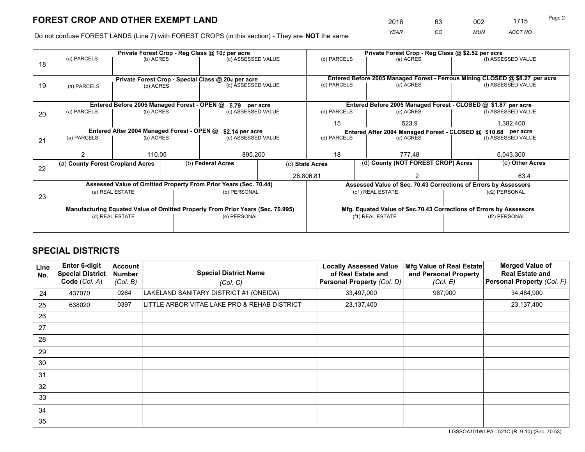*YEAR CO MUN ACCT NO* <sup>2016</sup> <sup>63</sup> <sup>002</sup> <sup>1715</sup>

Do not confuse FOREST LANDS (Line 7) with FOREST CROPS (in this section) - They are **NOT** the same

|    | Private Forest Crop - Reg Class @ 10¢ per acre                                 |                                             |    |                                                                  |                 |                                                               | Private Forest Crop - Reg Class @ \$2.52 per acre |                                    |                    |                                                                              |
|----|--------------------------------------------------------------------------------|---------------------------------------------|----|------------------------------------------------------------------|-----------------|---------------------------------------------------------------|---------------------------------------------------|------------------------------------|--------------------|------------------------------------------------------------------------------|
| 18 | (a) PARCELS                                                                    | (b) ACRES                                   |    | (c) ASSESSED VALUE                                               |                 | (d) PARCELS                                                   |                                                   | (e) ACRES                          |                    | (f) ASSESSED VALUE                                                           |
|    |                                                                                |                                             |    |                                                                  |                 |                                                               |                                                   |                                    |                    |                                                                              |
|    |                                                                                |                                             |    | Private Forest Crop - Special Class @ 20¢ per acre               |                 |                                                               |                                                   |                                    |                    | Entered Before 2005 Managed Forest - Ferrous Mining CLOSED @ \$8.27 per acre |
| 19 | (a) PARCELS                                                                    | (c) ASSESSED VALUE<br>(b) ACRES             |    |                                                                  | (d) PARCELS     |                                                               | (e) ACRES                                         |                                    | (f) ASSESSED VALUE |                                                                              |
|    |                                                                                |                                             |    |                                                                  |                 |                                                               |                                                   |                                    |                    |                                                                              |
|    |                                                                                | Entered Before 2005 Managed Forest - OPEN @ |    | \$.79 per acre                                                   |                 |                                                               |                                                   |                                    |                    | Entered Before 2005 Managed Forest - CLOSED @ \$1.87 per acre                |
| 20 | (a) PARCELS                                                                    | (b) ACRES                                   |    | (c) ASSESSED VALUE                                               |                 | (d) PARCELS                                                   |                                                   | (e) ACRES                          |                    | (f) ASSESSED VALUE                                                           |
|    |                                                                                |                                             | 15 |                                                                  | 523.9           |                                                               | 1,382,400                                         |                                    |                    |                                                                              |
|    | Entered After 2004 Managed Forest - OPEN @<br>\$2.14 per acre                  |                                             |    |                                                                  |                 | Entered After 2004 Managed Forest - CLOSED @ \$10.68 per acre |                                                   |                                    |                    |                                                                              |
| 21 | (a) PARCELS                                                                    | (b) ACRES                                   |    | (c) ASSESSED VALUE                                               | (d) PARCELS     |                                                               |                                                   | (e) ACRES                          |                    | (f) ASSESSED VALUE                                                           |
|    |                                                                                |                                             |    |                                                                  |                 |                                                               |                                                   |                                    |                    |                                                                              |
|    |                                                                                | 110.05                                      |    | 895,200                                                          |                 | 18<br>777.48                                                  |                                                   |                                    | 6,043,300          |                                                                              |
| 22 | (a) County Forest Cropland Acres                                               |                                             |    | (b) Federal Acres                                                | (c) State Acres |                                                               |                                                   | (d) County (NOT FOREST CROP) Acres |                    | (e) Other Acres                                                              |
|    |                                                                                |                                             |    |                                                                  |                 | 26,806.81                                                     |                                                   |                                    |                    | 63.4                                                                         |
|    |                                                                                |                                             |    | Assessed Value of Omitted Property From Prior Years (Sec. 70.44) |                 |                                                               |                                                   |                                    |                    | Assessed Value of Sec. 70.43 Corrections of Errors by Assessors              |
| 23 |                                                                                | (a) REAL ESTATE                             |    | (b) PERSONAL                                                     |                 | (c1) REAL ESTATE                                              |                                                   |                                    | (c2) PERSONAL      |                                                                              |
|    |                                                                                |                                             |    |                                                                  |                 |                                                               |                                                   |                                    |                    |                                                                              |
|    | Manufacturing Equated Value of Omitted Property From Prior Years (Sec. 70.995) |                                             |    |                                                                  |                 |                                                               |                                                   |                                    |                    | Mfg. Equated Value of Sec.70.43 Corrections of Errors by Assessors           |
|    | (d) REAL ESTATE                                                                |                                             |    | (e) PERSONAL                                                     |                 |                                                               | (f1) REAL ESTATE                                  |                                    | (f2) PERSONAL      |                                                                              |
|    |                                                                                |                                             |    |                                                                  |                 |                                                               |                                                   |                                    |                    |                                                                              |

## **SPECIAL DISTRICTS**

| Line<br>No. | <b>Enter 6-digit</b><br>Special District<br>Code (Col. A) | Account<br><b>Number</b><br>(Col. B) | <b>Special District Name</b><br>(Col. C)     | <b>Locally Assessed Value</b><br>of Real Estate and<br><b>Personal Property (Col. D)</b> | Mfg Value of Real Estate<br>and Personal Property<br>(Col. E) | <b>Merged Value of</b><br><b>Real Estate and</b><br>Personal Property (Col. F) |
|-------------|-----------------------------------------------------------|--------------------------------------|----------------------------------------------|------------------------------------------------------------------------------------------|---------------------------------------------------------------|--------------------------------------------------------------------------------|
| 24          | 437070                                                    | 0264                                 | LAKELAND SANITARY DISTRICT #1 (ONEIDA)       | 33,497,000                                                                               | 987,900                                                       | 34,484,900                                                                     |
| 25          | 638020                                                    | 0397                                 | LITTLE ARBOR VITAE LAKE PRO & REHAB DISTRICT | 23,137,400                                                                               |                                                               | 23,137,400                                                                     |
| 26          |                                                           |                                      |                                              |                                                                                          |                                                               |                                                                                |
| 27          |                                                           |                                      |                                              |                                                                                          |                                                               |                                                                                |
| 28          |                                                           |                                      |                                              |                                                                                          |                                                               |                                                                                |
| 29          |                                                           |                                      |                                              |                                                                                          |                                                               |                                                                                |
| 30          |                                                           |                                      |                                              |                                                                                          |                                                               |                                                                                |
| 31          |                                                           |                                      |                                              |                                                                                          |                                                               |                                                                                |
| 32          |                                                           |                                      |                                              |                                                                                          |                                                               |                                                                                |
| 33          |                                                           |                                      |                                              |                                                                                          |                                                               |                                                                                |
| 34          |                                                           |                                      |                                              |                                                                                          |                                                               |                                                                                |
| 35          |                                                           |                                      |                                              |                                                                                          |                                                               |                                                                                |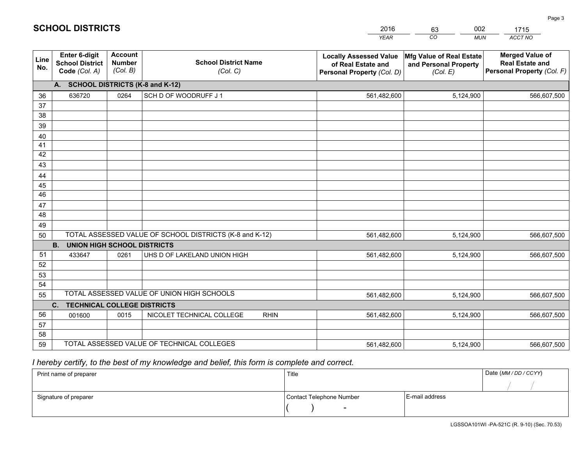|             |                                                                 |                                             |                                                         | <b>YEAR</b>                                                                       | CO<br><b>MUN</b>                                              | ACCT NO                                                                        |
|-------------|-----------------------------------------------------------------|---------------------------------------------|---------------------------------------------------------|-----------------------------------------------------------------------------------|---------------------------------------------------------------|--------------------------------------------------------------------------------|
| Line<br>No. | <b>Enter 6-digit</b><br><b>School District</b><br>Code (Col. A) | <b>Account</b><br><b>Number</b><br>(Col. B) | <b>School District Name</b><br>(Col. C)                 | <b>Locally Assessed Value</b><br>of Real Estate and<br>Personal Property (Col. D) | Mfg Value of Real Estate<br>and Personal Property<br>(Col. E) | <b>Merged Value of</b><br><b>Real Estate and</b><br>Personal Property (Col. F) |
|             | A. SCHOOL DISTRICTS (K-8 and K-12)                              |                                             |                                                         |                                                                                   |                                                               |                                                                                |
| 36          | 636720                                                          | 0264                                        | SCH D OF WOODRUFF J 1                                   | 561,482,600                                                                       | 5,124,900                                                     | 566,607,500                                                                    |
| 37          |                                                                 |                                             |                                                         |                                                                                   |                                                               |                                                                                |
| 38          |                                                                 |                                             |                                                         |                                                                                   |                                                               |                                                                                |
| 39          |                                                                 |                                             |                                                         |                                                                                   |                                                               |                                                                                |
| 40          |                                                                 |                                             |                                                         |                                                                                   |                                                               |                                                                                |
| 41          |                                                                 |                                             |                                                         |                                                                                   |                                                               |                                                                                |
| 42          |                                                                 |                                             |                                                         |                                                                                   |                                                               |                                                                                |
| 43          |                                                                 |                                             |                                                         |                                                                                   |                                                               |                                                                                |
| 44<br>45    |                                                                 |                                             |                                                         |                                                                                   |                                                               |                                                                                |
| 46          |                                                                 |                                             |                                                         |                                                                                   |                                                               |                                                                                |
| 47          |                                                                 |                                             |                                                         |                                                                                   |                                                               |                                                                                |
| 48          |                                                                 |                                             |                                                         |                                                                                   |                                                               |                                                                                |
| 49          |                                                                 |                                             |                                                         |                                                                                   |                                                               |                                                                                |
| 50          |                                                                 |                                             | TOTAL ASSESSED VALUE OF SCHOOL DISTRICTS (K-8 and K-12) | 561,482,600                                                                       | 5,124,900                                                     | 566,607,500                                                                    |
|             | <b>B.</b><br><b>UNION HIGH SCHOOL DISTRICTS</b>                 |                                             |                                                         |                                                                                   |                                                               |                                                                                |
| 51          | 433647                                                          | 0261                                        | UHS D OF LAKELAND UNION HIGH                            | 561,482,600                                                                       | 5,124,900                                                     | 566,607,500                                                                    |
| 52          |                                                                 |                                             |                                                         |                                                                                   |                                                               |                                                                                |
| 53          |                                                                 |                                             |                                                         |                                                                                   |                                                               |                                                                                |
| 54          |                                                                 |                                             |                                                         |                                                                                   |                                                               |                                                                                |
| 55          |                                                                 |                                             | TOTAL ASSESSED VALUE OF UNION HIGH SCHOOLS              | 561,482,600                                                                       | 5,124,900                                                     | 566,607,500                                                                    |
|             | $C_{1}$<br><b>TECHNICAL COLLEGE DISTRICTS</b>                   |                                             |                                                         |                                                                                   |                                                               |                                                                                |
| 56          | 001600                                                          | 0015                                        | NICOLET TECHNICAL COLLEGE<br><b>RHIN</b>                | 561,482,600                                                                       | 5,124,900                                                     | 566,607,500                                                                    |
| 57          |                                                                 |                                             |                                                         |                                                                                   |                                                               |                                                                                |
| 58<br>59    |                                                                 |                                             | TOTAL ASSESSED VALUE OF TECHNICAL COLLEGES              |                                                                                   |                                                               |                                                                                |
|             |                                                                 |                                             |                                                         | 561,482,600                                                                       | 5,124,900                                                     | 566,607,500                                                                    |

2016

63

002

## *I hereby certify, to the best of my knowledge and belief, this form is complete and correct.*

**SCHOOL DISTRICTS**

| Print name of preparer | Title                    |                | Date (MM / DD / CCYY) |
|------------------------|--------------------------|----------------|-----------------------|
|                        |                          |                |                       |
| Signature of preparer  | Contact Telephone Number | E-mail address |                       |
|                        | $\sim$                   |                |                       |

1715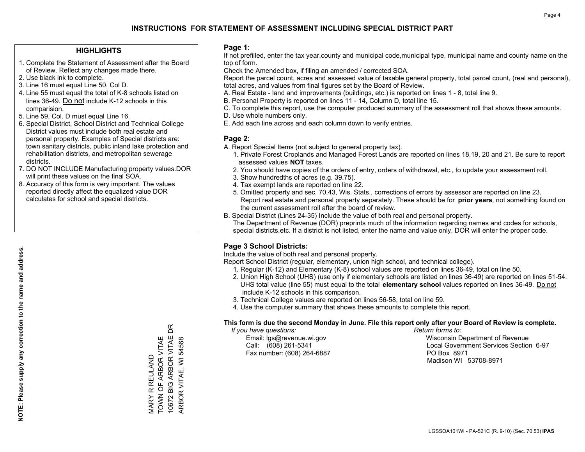### **HIGHLIGHTS**

- 1. Complete the Statement of Assessment after the Board of Review. Reflect any changes made there.
- 2. Use black ink to complete.
- 3. Line 16 must equal Line 50, Col D.
- 4. Line 55 must equal the total of K-8 schools listed on lines 36-49. Do not include K-12 schools in this comparision.
- 5. Line 59, Col. D must equal Line 16.
- 6. Special District, School District and Technical College District values must include both real estate and personal property. Examples of Special districts are: town sanitary districts, public inland lake protection and rehabilitation districts, and metropolitan sewerage districts.
- 7. DO NOT INCLUDE Manufacturing property values.DOR will print these values on the final SOA.

MARY R REULAND TOWN OF ARBOR VITAE 10672 BIG ARBOR VITAE DR ARBOR VITAE, WI 54568

MARY R REULAND<br>TOWN OF ARBOR VITAE<br>10672 BIG ARBOR VITAE D

 $\mathbb B$ 

ARBOR VITAE, WI 54568

 8. Accuracy of this form is very important. The values reported directly affect the equalized value DOR calculates for school and special districts.

### **Page 1:**

 If not prefilled, enter the tax year,county and municipal code,municipal type, municipal name and county name on the top of form.

Check the Amended box, if filing an amended / corrected SOA.

 Report the parcel count, acres and assessed value of taxable general property, total parcel count, (real and personal), total acres, and values from final figures set by the Board of Review.

- A. Real Estate land and improvements (buildings, etc.) is reported on lines 1 8, total line 9.
- B. Personal Property is reported on lines 11 14, Column D, total line 15.
- C. To complete this report, use the computer produced summary of the assessment roll that shows these amounts.
- D. Use whole numbers only.
- E. Add each line across and each column down to verify entries.

### **Page 2:**

- A. Report Special Items (not subject to general property tax).
- 1. Private Forest Croplands and Managed Forest Lands are reported on lines 18,19, 20 and 21. Be sure to report assessed values **NOT** taxes.
- 2. You should have copies of the orders of entry, orders of withdrawal, etc., to update your assessment roll.
	- 3. Show hundredths of acres (e.g. 39.75).
- 4. Tax exempt lands are reported on line 22.
- 5. Omitted property and sec. 70.43, Wis. Stats., corrections of errors by assessor are reported on line 23. Report real estate and personal property separately. These should be for **prior years**, not something found on the current assessment roll after the board of review.
- B. Special District (Lines 24-35) Include the value of both real and personal property.

 The Department of Revenue (DOR) preprints much of the information regarding names and codes for schools, special districts,etc. If a district is not listed, enter the name and value only, DOR will enter the proper code.

### **Page 3 School Districts:**

Include the value of both real and personal property.

Report School District (regular, elementary, union high school, and technical college).

- 1. Regular (K-12) and Elementary (K-8) school values are reported on lines 36-49, total on line 50.
- 2. Union High School (UHS) (use only if elementary schools are listed on lines 36-49) are reported on lines 51-54. UHS total value (line 55) must equal to the total **elementary school** values reported on lines 36-49. Do notinclude K-12 schools in this comparison.
- 3. Technical College values are reported on lines 56-58, total on line 59.
- 4. Use the computer summary that shows these amounts to complete this report.

#### **This form is due the second Monday in June. File this report only after your Board of Review is complete.**

 *If you have questions: Return forms to:*

Fax number: (608) 264-6887 PO Box 8971

 Email: lgs@revenue.wi.gov Wisconsin Department of Revenue Call: (608) 261-5341 Local Government Services Section 6-97Madison WI 53708-8971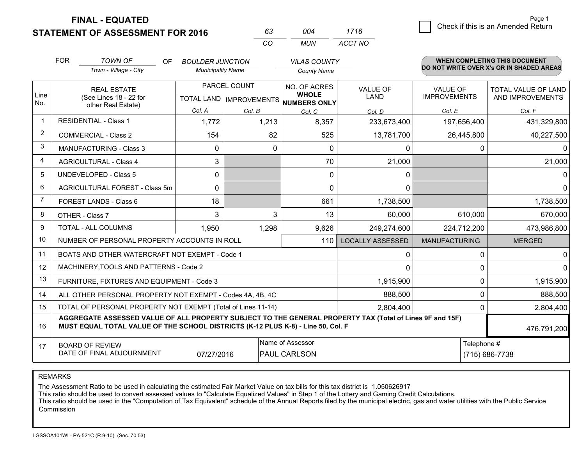**STATEMENT OF ASSESSMENT FOR 2016** 

**FINAL - EQUATED**

|                | <b>FOR</b>                                                                                                                                                                                   | <b>TOWN OF</b><br>OF<br>Town - Village - City                | <b>BOULDER JUNCTION</b><br><b>Municipality Name</b> |        | <b>VILAS COUNTY</b><br><b>County Name</b>      |                         |                                              | <b>WHEN COMPLETING THIS DOCUMENT</b><br>DO NOT WRITE OVER X's OR IN SHADED AREAS |                                        |                                                |
|----------------|----------------------------------------------------------------------------------------------------------------------------------------------------------------------------------------------|--------------------------------------------------------------|-----------------------------------------------------|--------|------------------------------------------------|-------------------------|----------------------------------------------|----------------------------------------------------------------------------------|----------------------------------------|------------------------------------------------|
| Line<br>No.    | <b>REAL ESTATE</b><br>(See Lines 18 - 22 for<br>other Real Estate)                                                                                                                           |                                                              |                                                     |        | PARCEL COUNT<br><b>TOTAL LAND IMPROVEMENTS</b> |                         | NO. OF ACRES<br><b>WHOLE</b><br>NUMBERS ONLY | VALUE OF<br><b>LAND</b>                                                          | <b>VALUE OF</b><br><b>IMPROVEMENTS</b> | <b>TOTAL VALUE OF LAND</b><br>AND IMPROVEMENTS |
|                |                                                                                                                                                                                              |                                                              | Col. A                                              | Col. B | Col. C                                         | Col. D                  | Col. E                                       | Col. F                                                                           |                                        |                                                |
| $\mathbf 1$    |                                                                                                                                                                                              | <b>RESIDENTIAL - Class 1</b>                                 | 1,772                                               | 1,213  | 8,357                                          | 233,673,400             | 197,656,400                                  | 431,329,800                                                                      |                                        |                                                |
| 2              |                                                                                                                                                                                              | <b>COMMERCIAL - Class 2</b>                                  | 154                                                 | 82     | 525                                            | 13,781,700              | 26,445,800                                   | 40,227,500                                                                       |                                        |                                                |
| 3              |                                                                                                                                                                                              | <b>MANUFACTURING - Class 3</b>                               | $\mathbf 0$                                         | 0      | $\mathbf{0}$                                   | 0                       | 0                                            | 0                                                                                |                                        |                                                |
| 4              |                                                                                                                                                                                              | <b>AGRICULTURAL - Class 4</b>                                | 3                                                   |        | 70                                             | 21,000                  |                                              | 21,000                                                                           |                                        |                                                |
| 5              | <b>UNDEVELOPED - Class 5</b>                                                                                                                                                                 |                                                              | $\Omega$                                            |        | $\mathbf{0}$                                   | $\mathbf{0}$            |                                              | 0                                                                                |                                        |                                                |
| 6              | AGRICULTURAL FOREST - Class 5m                                                                                                                                                               |                                                              | $\Omega$                                            |        | 0                                              | $\Omega$                |                                              | $\Omega$                                                                         |                                        |                                                |
| $\overline{7}$ | FOREST LANDS - Class 6                                                                                                                                                                       |                                                              | 18                                                  |        | 661                                            | 1,738,500               |                                              | 1,738,500                                                                        |                                        |                                                |
| 8              | OTHER - Class 7                                                                                                                                                                              |                                                              | 3                                                   | 3      | 13                                             | 60,000                  | 610,000                                      | 670,000                                                                          |                                        |                                                |
| 9              |                                                                                                                                                                                              | <b>TOTAL - ALL COLUMNS</b>                                   | 1,950                                               | 1,298  | 9,626                                          | 249,274,600             | 224,712,200                                  | 473,986,800                                                                      |                                        |                                                |
| 10             |                                                                                                                                                                                              | NUMBER OF PERSONAL PROPERTY ACCOUNTS IN ROLL                 |                                                     |        | 110                                            | <b>LOCALLY ASSESSED</b> | <b>MANUFACTURING</b>                         | <b>MERGED</b>                                                                    |                                        |                                                |
| 11             |                                                                                                                                                                                              | BOATS AND OTHER WATERCRAFT NOT EXEMPT - Code 1               |                                                     |        |                                                | $\mathbf 0$             | $\Omega$                                     | 0                                                                                |                                        |                                                |
| 12             |                                                                                                                                                                                              | MACHINERY, TOOLS AND PATTERNS - Code 2                       |                                                     |        |                                                | $\Omega$                | $\Omega$                                     | $\Omega$                                                                         |                                        |                                                |
| 13             |                                                                                                                                                                                              | FURNITURE, FIXTURES AND EQUIPMENT - Code 3                   |                                                     |        |                                                | 1,915,900               | 0                                            | 1,915,900                                                                        |                                        |                                                |
| 14             |                                                                                                                                                                                              | ALL OTHER PERSONAL PROPERTY NOT EXEMPT - Codes 4A, 4B, 4C    |                                                     |        |                                                | 888,500                 | $\Omega$                                     | 888,500                                                                          |                                        |                                                |
| 15             |                                                                                                                                                                                              | TOTAL OF PERSONAL PROPERTY NOT EXEMPT (Total of Lines 11-14) |                                                     |        |                                                | 2,804,400               | 0                                            | 2,804,400                                                                        |                                        |                                                |
| 16             | AGGREGATE ASSESSED VALUE OF ALL PROPERTY SUBJECT TO THE GENERAL PROPERTY TAX (Total of Lines 9F and 15F)<br>MUST EQUAL TOTAL VALUE OF THE SCHOOL DISTRICTS (K-12 PLUS K-8) - Line 50, Col. F |                                                              |                                                     |        |                                                |                         |                                              | 476,791,200                                                                      |                                        |                                                |
| 17             | Name of Assessor<br><b>BOARD OF REVIEW</b><br>DATE OF FINAL ADJOURNMENT<br>07/27/2016<br>PAUL CARLSON                                                                                        |                                                              |                                                     |        |                                                | Telephone #             | (715) 686-7738                               |                                                                                  |                                        |                                                |

*CO*

*MUN*

*ACCT NO1716*

*<sup>63</sup> <sup>004</sup>*

REMARKS

The Assessment Ratio to be used in calculating the estimated Fair Market Value on tax bills for this tax district is 1.050626917<br>This ratio should be used to convert assessed values to "Calculate Equalized Values" in Step Commission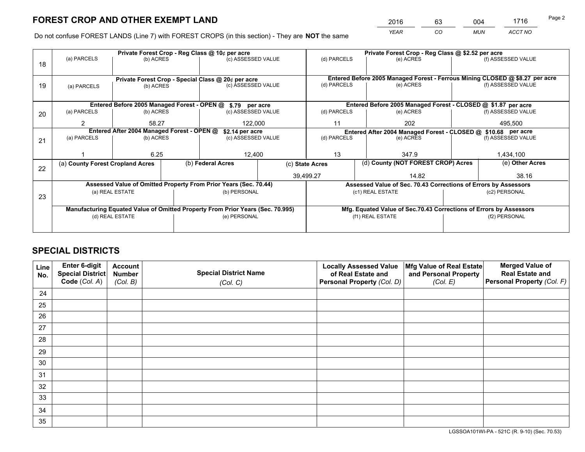*YEAR CO MUN ACCT NO* <sup>2016</sup> <sup>63</sup> <sup>004</sup> <sup>1716</sup>

Do not confuse FOREST LANDS (Line 7) with FOREST CROPS (in this section) - They are **NOT** the same

|    | Private Forest Crop - Reg Class @ 10¢ per acre                                 |                  |  |                                                                  |                 |                                                               | Private Forest Crop - Reg Class @ \$2.52 per acre |                                    |                    |                                                                              |
|----|--------------------------------------------------------------------------------|------------------|--|------------------------------------------------------------------|-----------------|---------------------------------------------------------------|---------------------------------------------------|------------------------------------|--------------------|------------------------------------------------------------------------------|
| 18 | (a) PARCELS                                                                    | (b) ACRES        |  | (c) ASSESSED VALUE                                               |                 | (d) PARCELS                                                   |                                                   | (e) ACRES                          |                    | (f) ASSESSED VALUE                                                           |
|    |                                                                                |                  |  |                                                                  |                 |                                                               |                                                   |                                    |                    |                                                                              |
|    |                                                                                |                  |  | Private Forest Crop - Special Class @ 20¢ per acre               |                 |                                                               |                                                   |                                    |                    | Entered Before 2005 Managed Forest - Ferrous Mining CLOSED @ \$8.27 per acre |
| 19 | (c) ASSESSED VALUE<br>(b) ACRES<br>(a) PARCELS                                 |                  |  | (d) PARCELS                                                      |                 | (e) ACRES                                                     |                                                   | (f) ASSESSED VALUE                 |                    |                                                                              |
|    |                                                                                |                  |  |                                                                  |                 |                                                               |                                                   |                                    |                    |                                                                              |
|    |                                                                                |                  |  | Entered Before 2005 Managed Forest - OPEN @ \$.79 per acre       |                 |                                                               |                                                   |                                    |                    | Entered Before 2005 Managed Forest - CLOSED @ \$1.87 per acre                |
| 20 | (a) PARCELS                                                                    | (b) ACRES        |  | (c) ASSESSED VALUE                                               |                 | (d) PARCELS                                                   |                                                   | (e) ACRES                          |                    | (f) ASSESSED VALUE                                                           |
|    | 2                                                                              | 58.27<br>122,000 |  |                                                                  | 202<br>11       |                                                               |                                                   | 495,500                            |                    |                                                                              |
|    | Entered After 2004 Managed Forest - OPEN @<br>\$2.14 per acre                  |                  |  |                                                                  |                 | Entered After 2004 Managed Forest - CLOSED @ \$10.68 per acre |                                                   |                                    |                    |                                                                              |
| 21 | (a) PARCELS                                                                    | (b) ACRES        |  | (c) ASSESSED VALUE                                               |                 | (d) PARCELS<br>(e) ACRES                                      |                                                   |                                    | (f) ASSESSED VALUE |                                                                              |
|    |                                                                                |                  |  |                                                                  |                 |                                                               |                                                   |                                    |                    |                                                                              |
|    |                                                                                | 6.25             |  | 12,400                                                           |                 | 13                                                            |                                                   | 347.9                              |                    | 1,434,100                                                                    |
|    | (a) County Forest Cropland Acres                                               |                  |  | (b) Federal Acres                                                | (c) State Acres |                                                               |                                                   | (d) County (NOT FOREST CROP) Acres |                    | (e) Other Acres                                                              |
| 22 |                                                                                |                  |  |                                                                  |                 | 39,499.27<br>14.82                                            |                                                   |                                    |                    | 38.16                                                                        |
|    |                                                                                |                  |  | Assessed Value of Omitted Property From Prior Years (Sec. 70.44) |                 |                                                               |                                                   |                                    |                    | Assessed Value of Sec. 70.43 Corrections of Errors by Assessors              |
|    |                                                                                | (a) REAL ESTATE  |  | (b) PERSONAL                                                     |                 |                                                               | (c1) REAL ESTATE                                  |                                    |                    | (c2) PERSONAL                                                                |
| 23 |                                                                                |                  |  |                                                                  |                 |                                                               |                                                   |                                    |                    |                                                                              |
|    | Manufacturing Equated Value of Omitted Property From Prior Years (Sec. 70.995) |                  |  |                                                                  |                 |                                                               |                                                   |                                    |                    | Mfg. Equated Value of Sec.70.43 Corrections of Errors by Assessors           |
|    | (d) REAL ESTATE                                                                |                  |  | (e) PERSONAL                                                     |                 |                                                               | (f1) REAL ESTATE                                  |                                    | (f2) PERSONAL      |                                                                              |
|    |                                                                                |                  |  |                                                                  |                 |                                                               |                                                   |                                    |                    |                                                                              |

## **SPECIAL DISTRICTS**

| Line<br>No. | Enter 6-digit<br><b>Special District</b> | <b>Account</b><br><b>Number</b> | <b>Special District Name</b> | <b>Locally Assessed Value</b><br>of Real Estate and | Mfg Value of Real Estate<br>and Personal Property | <b>Merged Value of</b><br><b>Real Estate and</b> |
|-------------|------------------------------------------|---------------------------------|------------------------------|-----------------------------------------------------|---------------------------------------------------|--------------------------------------------------|
|             | Code (Col. A)                            | (Col. B)                        | (Col. C)                     | Personal Property (Col. D)                          | (Col. E)                                          | Personal Property (Col. F)                       |
| 24          |                                          |                                 |                              |                                                     |                                                   |                                                  |
| 25          |                                          |                                 |                              |                                                     |                                                   |                                                  |
| 26          |                                          |                                 |                              |                                                     |                                                   |                                                  |
| 27          |                                          |                                 |                              |                                                     |                                                   |                                                  |
| 28          |                                          |                                 |                              |                                                     |                                                   |                                                  |
| 29          |                                          |                                 |                              |                                                     |                                                   |                                                  |
| 30          |                                          |                                 |                              |                                                     |                                                   |                                                  |
| 31          |                                          |                                 |                              |                                                     |                                                   |                                                  |
| 32          |                                          |                                 |                              |                                                     |                                                   |                                                  |
| 33          |                                          |                                 |                              |                                                     |                                                   |                                                  |
| 34          |                                          |                                 |                              |                                                     |                                                   |                                                  |
| 35          |                                          |                                 |                              |                                                     |                                                   |                                                  |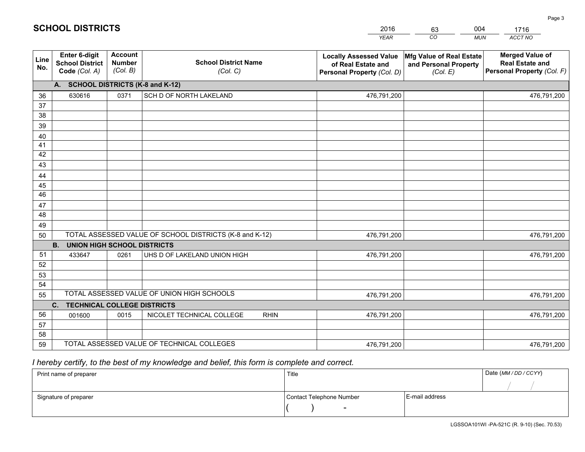|             |                                                          |                                             |                                                         | <b>YEAR</b>                                                                       | CO<br><b>MUN</b>                                              | ACCT NO                                                                        |
|-------------|----------------------------------------------------------|---------------------------------------------|---------------------------------------------------------|-----------------------------------------------------------------------------------|---------------------------------------------------------------|--------------------------------------------------------------------------------|
| Line<br>No. | Enter 6-digit<br><b>School District</b><br>Code (Col. A) | <b>Account</b><br><b>Number</b><br>(Col. B) | <b>School District Name</b><br>(Col. C)                 | <b>Locally Assessed Value</b><br>of Real Estate and<br>Personal Property (Col. D) | Mfg Value of Real Estate<br>and Personal Property<br>(Col. E) | <b>Merged Value of</b><br><b>Real Estate and</b><br>Personal Property (Col. F) |
|             | A. SCHOOL DISTRICTS (K-8 and K-12)                       |                                             |                                                         |                                                                                   |                                                               |                                                                                |
| 36          | 630616                                                   | 0371                                        | SCH D OF NORTH LAKELAND                                 | 476,791,200                                                                       |                                                               | 476,791,200                                                                    |
| 37          |                                                          |                                             |                                                         |                                                                                   |                                                               |                                                                                |
| 38          |                                                          |                                             |                                                         |                                                                                   |                                                               |                                                                                |
| 39          |                                                          |                                             |                                                         |                                                                                   |                                                               |                                                                                |
| 40          |                                                          |                                             |                                                         |                                                                                   |                                                               |                                                                                |
| 41<br>42    |                                                          |                                             |                                                         |                                                                                   |                                                               |                                                                                |
| 43          |                                                          |                                             |                                                         |                                                                                   |                                                               |                                                                                |
| 44          |                                                          |                                             |                                                         |                                                                                   |                                                               |                                                                                |
| 45          |                                                          |                                             |                                                         |                                                                                   |                                                               |                                                                                |
| 46          |                                                          |                                             |                                                         |                                                                                   |                                                               |                                                                                |
| 47          |                                                          |                                             |                                                         |                                                                                   |                                                               |                                                                                |
| 48          |                                                          |                                             |                                                         |                                                                                   |                                                               |                                                                                |
| 49          |                                                          |                                             |                                                         |                                                                                   |                                                               |                                                                                |
| 50          |                                                          |                                             | TOTAL ASSESSED VALUE OF SCHOOL DISTRICTS (K-8 and K-12) | 476,791,200                                                                       |                                                               | 476,791,200                                                                    |
|             | <b>B.</b><br><b>UNION HIGH SCHOOL DISTRICTS</b>          |                                             |                                                         |                                                                                   |                                                               |                                                                                |
| 51          | 433647                                                   | 0261                                        | UHS D OF LAKELAND UNION HIGH                            | 476,791,200                                                                       |                                                               | 476,791,200                                                                    |
| 52          |                                                          |                                             |                                                         |                                                                                   |                                                               |                                                                                |
| 53          |                                                          |                                             |                                                         |                                                                                   |                                                               |                                                                                |
| 54          |                                                          |                                             | TOTAL ASSESSED VALUE OF UNION HIGH SCHOOLS              |                                                                                   |                                                               |                                                                                |
| 55          |                                                          |                                             |                                                         | 476,791,200                                                                       |                                                               | 476,791,200                                                                    |
| 56          | C. TECHNICAL COLLEGE DISTRICTS                           |                                             |                                                         |                                                                                   |                                                               |                                                                                |
| 57          | 001600                                                   | 0015                                        | NICOLET TECHNICAL COLLEGE<br><b>RHIN</b>                | 476,791,200                                                                       |                                                               | 476,791,200                                                                    |
| 58          |                                                          |                                             |                                                         |                                                                                   |                                                               |                                                                                |
| 59          |                                                          |                                             | TOTAL ASSESSED VALUE OF TECHNICAL COLLEGES              | 476,791,200                                                                       |                                                               | 476,791,200                                                                    |

2016

63

004

## *I hereby certify, to the best of my knowledge and belief, this form is complete and correct.*

**SCHOOL DISTRICTS**

| Print name of preparer | Title                    |                | Date (MM / DD / CCYY) |
|------------------------|--------------------------|----------------|-----------------------|
|                        |                          |                |                       |
| Signature of preparer  | Contact Telephone Number | E-mail address |                       |
|                        | $\sim$                   |                |                       |

Page 3

1716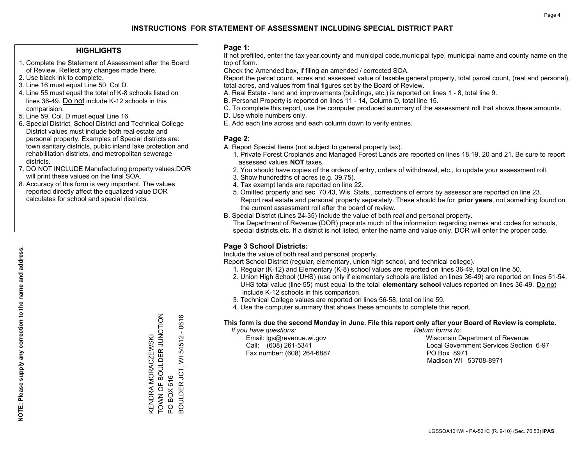### **HIGHLIGHTS**

- 1. Complete the Statement of Assessment after the Board of Review. Reflect any changes made there.
- 2. Use black ink to complete.
- 3. Line 16 must equal Line 50, Col D.
- 4. Line 55 must equal the total of K-8 schools listed on lines 36-49. Do not include K-12 schools in this comparision.
- 5. Line 59, Col. D must equal Line 16.
- 6. Special District, School District and Technical College District values must include both real estate and personal property. Examples of Special districts are: town sanitary districts, public inland lake protection and rehabilitation districts, and metropolitan sewerage districts.
- 7. DO NOT INCLUDE Manufacturing property values.DOR will print these values on the final SOA.

KENDRA MORACZEWSKI

TOWN OF BOULDER JUNCTION

KENDRA MORACZEWSKI<br>TOWN OF BOULDER JUNCTION

PO BOX 616

BOULDER JCT, WI 54512 - 0616

BOULDER JCT, WI PO BOX 616

 $-0616$ 

54512

 8. Accuracy of this form is very important. The values reported directly affect the equalized value DOR calculates for school and special districts.

### **Page 1:**

 If not prefilled, enter the tax year,county and municipal code,municipal type, municipal name and county name on the top of form.

Check the Amended box, if filing an amended / corrected SOA.

 Report the parcel count, acres and assessed value of taxable general property, total parcel count, (real and personal), total acres, and values from final figures set by the Board of Review.

- A. Real Estate land and improvements (buildings, etc.) is reported on lines 1 8, total line 9.
- B. Personal Property is reported on lines 11 14, Column D, total line 15.
- C. To complete this report, use the computer produced summary of the assessment roll that shows these amounts.
- D. Use whole numbers only.
- E. Add each line across and each column down to verify entries.

### **Page 2:**

- A. Report Special Items (not subject to general property tax).
- 1. Private Forest Croplands and Managed Forest Lands are reported on lines 18,19, 20 and 21. Be sure to report assessed values **NOT** taxes.
- 2. You should have copies of the orders of entry, orders of withdrawal, etc., to update your assessment roll.
	- 3. Show hundredths of acres (e.g. 39.75).
- 4. Tax exempt lands are reported on line 22.
- 5. Omitted property and sec. 70.43, Wis. Stats., corrections of errors by assessor are reported on line 23. Report real estate and personal property separately. These should be for **prior years**, not something found on the current assessment roll after the board of review.
- B. Special District (Lines 24-35) Include the value of both real and personal property.
- The Department of Revenue (DOR) preprints much of the information regarding names and codes for schools, special districts,etc. If a district is not listed, enter the name and value only, DOR will enter the proper code.

### **Page 3 School Districts:**

Include the value of both real and personal property.

Report School District (regular, elementary, union high school, and technical college).

- 1. Regular (K-12) and Elementary (K-8) school values are reported on lines 36-49, total on line 50.
- 2. Union High School (UHS) (use only if elementary schools are listed on lines 36-49) are reported on lines 51-54. UHS total value (line 55) must equal to the total **elementary school** values reported on lines 36-49. Do notinclude K-12 schools in this comparison.
- 3. Technical College values are reported on lines 56-58, total on line 59.
- 4. Use the computer summary that shows these amounts to complete this report.

#### **This form is due the second Monday in June. File this report only after your Board of Review is complete.**

 *If you have questions: Return forms to:*

Fax number: (608) 264-6887 PO Box 8971

 Email: lgs@revenue.wi.gov Wisconsin Department of Revenue Call: (608) 261-5341 Local Government Services Section 6-97Madison WI 53708-8971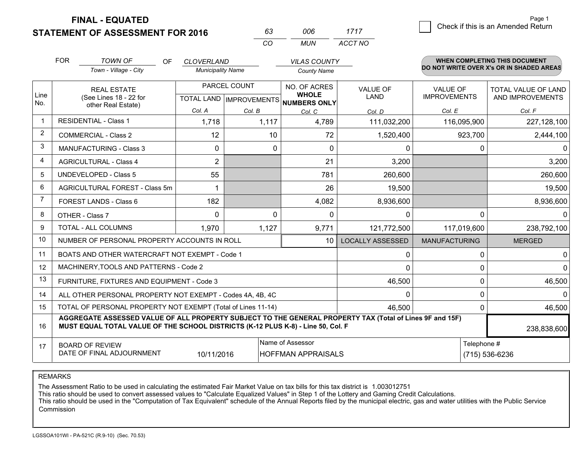**STATEMENT OF ASSESSMENT FOR 2016** 

**FINAL - EQUATED**

|                | <b>FOR</b>                                                                                                         | <b>TOWN OF</b><br><b>OF</b><br>Town - Village - City                                                                                                                                         | <b>CLOVERLAND</b><br><b>Municipality Name</b> |                                                | <b>VILAS COUNTY</b><br><b>County Name</b>           |                         |                                        |             | <b>WHEN COMPLETING THIS DOCUMENT</b><br>DO NOT WRITE OVER X's OR IN SHADED AREAS |
|----------------|--------------------------------------------------------------------------------------------------------------------|----------------------------------------------------------------------------------------------------------------------------------------------------------------------------------------------|-----------------------------------------------|------------------------------------------------|-----------------------------------------------------|-------------------------|----------------------------------------|-------------|----------------------------------------------------------------------------------|
| Line<br>No.    |                                                                                                                    | <b>REAL ESTATE</b><br>(See Lines 18 - 22 for                                                                                                                                                 |                                               | PARCEL COUNT<br><b>TOTAL LAND IMPROVEMENTS</b> | NO. OF ACRES<br><b>WHOLE</b><br><b>NUMBERS ONLY</b> | <b>VALUE OF</b><br>LAND | <b>VALUE OF</b><br><b>IMPROVEMENTS</b> |             | <b>TOTAL VALUE OF LAND</b><br>AND IMPROVEMENTS                                   |
|                |                                                                                                                    | other Real Estate)                                                                                                                                                                           | Col. A                                        | Col. B                                         | Col. C                                              | Col. D                  | Col. E                                 |             | Col. F                                                                           |
| $\mathbf 1$    |                                                                                                                    | <b>RESIDENTIAL - Class 1</b>                                                                                                                                                                 | 1,718                                         | 1,117                                          | 4,789                                               | 111,032,200             | 116,095,900                            |             | 227,128,100                                                                      |
| $\overline{2}$ |                                                                                                                    | <b>COMMERCIAL - Class 2</b>                                                                                                                                                                  | 12                                            | 10                                             | 72                                                  | 1,520,400               |                                        | 923,700     | 2,444,100                                                                        |
| 3              | <b>MANUFACTURING - Class 3</b>                                                                                     |                                                                                                                                                                                              | 0                                             | $\mathbf{0}$                                   | $\mathbf 0$                                         | 0                       |                                        | 0           | 0                                                                                |
| 4              | <b>AGRICULTURAL - Class 4</b>                                                                                      |                                                                                                                                                                                              | $\overline{2}$                                |                                                | 21                                                  | 3,200                   |                                        |             | 3,200                                                                            |
| 5              | <b>UNDEVELOPED - Class 5</b>                                                                                       |                                                                                                                                                                                              | 55                                            |                                                | 781                                                 | 260,600                 |                                        |             | 260,600                                                                          |
| 6              | <b>AGRICULTURAL FOREST - Class 5m</b>                                                                              |                                                                                                                                                                                              | 1                                             |                                                | 26                                                  | 19,500                  |                                        |             | 19,500                                                                           |
| $\overline{7}$ | <b>FOREST LANDS - Class 6</b>                                                                                      |                                                                                                                                                                                              | 182                                           |                                                | 4,082                                               | 8,936,600               |                                        |             | 8,936,600                                                                        |
| 8              |                                                                                                                    | OTHER - Class 7                                                                                                                                                                              | $\Omega$                                      |                                                | 0<br>0                                              | 0                       |                                        | 0           | $\Omega$                                                                         |
| 9              |                                                                                                                    | <b>TOTAL - ALL COLUMNS</b>                                                                                                                                                                   | 1,970                                         | 1,127                                          | 9,771                                               | 121,772,500             | 117,019,600                            |             | 238,792,100                                                                      |
| 10             |                                                                                                                    | NUMBER OF PERSONAL PROPERTY ACCOUNTS IN ROLL                                                                                                                                                 |                                               |                                                | 10                                                  | <b>LOCALLY ASSESSED</b> | <b>MANUFACTURING</b>                   |             | <b>MERGED</b>                                                                    |
| 11             |                                                                                                                    | BOATS AND OTHER WATERCRAFT NOT EXEMPT - Code 1                                                                                                                                               |                                               |                                                |                                                     | 0                       |                                        | 0           | 0                                                                                |
| 12             |                                                                                                                    | MACHINERY, TOOLS AND PATTERNS - Code 2                                                                                                                                                       |                                               |                                                |                                                     | $\Omega$                |                                        | 0           | $\Omega$                                                                         |
| 13             |                                                                                                                    | FURNITURE, FIXTURES AND EQUIPMENT - Code 3                                                                                                                                                   |                                               |                                                |                                                     | 46,500                  |                                        | $\Omega$    | 46,500                                                                           |
| 14             |                                                                                                                    | ALL OTHER PERSONAL PROPERTY NOT EXEMPT - Codes 4A, 4B, 4C                                                                                                                                    |                                               |                                                |                                                     | $\mathbf 0$             |                                        | 0           | $\Omega$                                                                         |
| 15             |                                                                                                                    | TOTAL OF PERSONAL PROPERTY NOT EXEMPT (Total of Lines 11-14)                                                                                                                                 |                                               |                                                |                                                     | 46,500                  |                                        | 0           | 46,500                                                                           |
| 16             |                                                                                                                    | AGGREGATE ASSESSED VALUE OF ALL PROPERTY SUBJECT TO THE GENERAL PROPERTY TAX (Total of Lines 9F and 15F)<br>MUST EQUAL TOTAL VALUE OF THE SCHOOL DISTRICTS (K-12 PLUS K-8) - Line 50, Col. F |                                               |                                                |                                                     |                         |                                        |             | 238,838,600                                                                      |
| 17             | Name of Assessor<br><b>BOARD OF REVIEW</b><br>DATE OF FINAL ADJOURNMENT<br>10/11/2016<br><b>HOFFMAN APPRAISALS</b> |                                                                                                                                                                                              |                                               |                                                |                                                     |                         |                                        | Telephone # | (715) 536-6236                                                                   |

*CO*

*MUN*

*ACCT NO1717*

*<sup>63</sup> <sup>006</sup>*

REMARKS

The Assessment Ratio to be used in calculating the estimated Fair Market Value on tax bills for this tax district is 1.003012751<br>This ratio should be used to convert assessed values to "Calculate Equalized Values" in Step Commission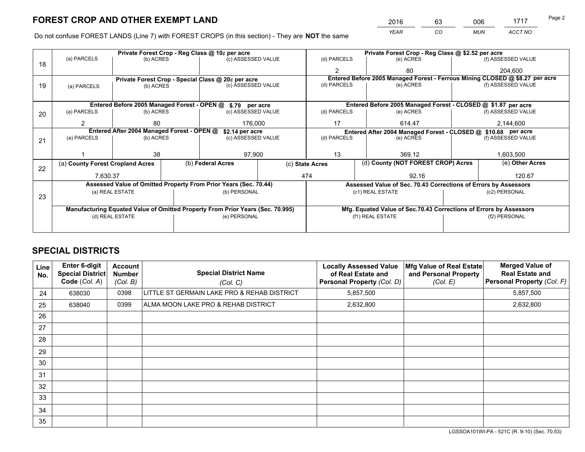*YEAR CO MUN ACCT NO* <sup>2016</sup> <sup>63</sup> <sup>006</sup> <sup>1717</sup>

Do not confuse FOREST LANDS (Line 7) with FOREST CROPS (in this section) - They are **NOT** the same

|    |                                                               |                                             |  | Private Forest Crop - Reg Class @ 10¢ per acre                                 |                 | Private Forest Crop - Reg Class @ \$2.52 per acre |                                                                              |                                    |                                                                    |                                                                 |
|----|---------------------------------------------------------------|---------------------------------------------|--|--------------------------------------------------------------------------------|-----------------|---------------------------------------------------|------------------------------------------------------------------------------|------------------------------------|--------------------------------------------------------------------|-----------------------------------------------------------------|
| 18 | (a) PARCELS                                                   | (b) ACRES                                   |  | (c) ASSESSED VALUE                                                             |                 | (d) PARCELS                                       |                                                                              | (e) ACRES                          |                                                                    | (f) ASSESSED VALUE                                              |
|    |                                                               |                                             |  |                                                                                |                 | $\mathfrak{p}$                                    |                                                                              | 80                                 |                                                                    | 204,600                                                         |
|    |                                                               |                                             |  | Private Forest Crop - Special Class @ 20¢ per acre                             |                 |                                                   | Entered Before 2005 Managed Forest - Ferrous Mining CLOSED @ \$8.27 per acre |                                    |                                                                    |                                                                 |
| 19 | (b) ACRES<br>(a) PARCELS                                      |                                             |  | (c) ASSESSED VALUE                                                             |                 | (d) PARCELS                                       |                                                                              | (e) ACRES                          |                                                                    | (f) ASSESSED VALUE                                              |
|    |                                                               |                                             |  |                                                                                |                 |                                                   |                                                                              |                                    |                                                                    |                                                                 |
|    |                                                               | Entered Before 2005 Managed Forest - OPEN @ |  | \$.79 per acre                                                                 |                 |                                                   |                                                                              |                                    |                                                                    | Entered Before 2005 Managed Forest - CLOSED @ \$1.87 per acre   |
| 20 | (a) PARCELS                                                   | (b) ACRES                                   |  | (c) ASSESSED VALUE                                                             |                 | (d) PARCELS                                       |                                                                              | (e) ACRES                          |                                                                    | (f) ASSESSED VALUE                                              |
|    | 2                                                             | 80                                          |  | 176.000                                                                        |                 | 17                                                | 614.47                                                                       |                                    | 2,144,600                                                          |                                                                 |
|    | Entered After 2004 Managed Forest - OPEN @<br>\$2.14 per acre |                                             |  |                                                                                |                 |                                                   |                                                                              |                                    |                                                                    | Entered After 2004 Managed Forest - CLOSED @ \$10.68 per acre   |
| 21 | (a) PARCELS                                                   | (b) ACRES                                   |  | (c) ASSESSED VALUE                                                             |                 | (d) PARCELS                                       |                                                                              | (e) ACRES                          |                                                                    | (f) ASSESSED VALUE                                              |
|    |                                                               |                                             |  |                                                                                |                 |                                                   |                                                                              |                                    |                                                                    |                                                                 |
|    |                                                               | 38                                          |  | 97,900                                                                         |                 | 13<br>369.12                                      |                                                                              |                                    | 1,603,500                                                          |                                                                 |
| 22 | (a) County Forest Cropland Acres                              |                                             |  | (b) Federal Acres                                                              | (c) State Acres |                                                   |                                                                              | (d) County (NOT FOREST CROP) Acres |                                                                    | (e) Other Acres                                                 |
|    | 7,630.37                                                      |                                             |  |                                                                                |                 | 92.16<br>474                                      |                                                                              |                                    |                                                                    | 120.67                                                          |
|    |                                                               |                                             |  | Assessed Value of Omitted Property From Prior Years (Sec. 70.44)               |                 |                                                   |                                                                              |                                    |                                                                    | Assessed Value of Sec. 70.43 Corrections of Errors by Assessors |
|    |                                                               | (a) REAL ESTATE                             |  | (b) PERSONAL                                                                   |                 |                                                   | (c1) REAL ESTATE                                                             |                                    |                                                                    | (c2) PERSONAL                                                   |
| 23 |                                                               |                                             |  |                                                                                |                 |                                                   |                                                                              |                                    |                                                                    |                                                                 |
|    |                                                               |                                             |  | Manufacturing Equated Value of Omitted Property From Prior Years (Sec. 70.995) |                 |                                                   |                                                                              |                                    | Mfg. Equated Value of Sec.70.43 Corrections of Errors by Assessors |                                                                 |
|    | (d) REAL ESTATE                                               |                                             |  | (e) PERSONAL                                                                   |                 | (f1) REAL ESTATE                                  |                                                                              |                                    | (f2) PERSONAL                                                      |                                                                 |
|    |                                                               |                                             |  |                                                                                |                 |                                                   |                                                                              |                                    |                                                                    |                                                                 |

## **SPECIAL DISTRICTS**

| Line<br>No. | Enter 6-digit<br>Special District<br>Code (Col. A) | <b>Account</b><br><b>Number</b><br>(Col. B) | <b>Special District Name</b><br>(Col. C)    | <b>Locally Assessed Value</b><br>of Real Estate and<br>Personal Property (Col. D) | Mfg Value of Real Estate<br>and Personal Property<br>(Col. E) | <b>Merged Value of</b><br><b>Real Estate and</b><br>Personal Property (Col. F) |
|-------------|----------------------------------------------------|---------------------------------------------|---------------------------------------------|-----------------------------------------------------------------------------------|---------------------------------------------------------------|--------------------------------------------------------------------------------|
| 24          | 638030                                             | 0398                                        | LITTLE ST GERMAIN LAKE PRO & REHAB DISTRICT | 5,857,500                                                                         |                                                               | 5,857,500                                                                      |
| 25          | 638040                                             | 0399                                        | ALMA MOON LAKE PRO & REHAB DISTRICT         | 2,632,800                                                                         |                                                               | 2,632,800                                                                      |
| 26          |                                                    |                                             |                                             |                                                                                   |                                                               |                                                                                |
| 27          |                                                    |                                             |                                             |                                                                                   |                                                               |                                                                                |
| 28          |                                                    |                                             |                                             |                                                                                   |                                                               |                                                                                |
| 29          |                                                    |                                             |                                             |                                                                                   |                                                               |                                                                                |
| 30          |                                                    |                                             |                                             |                                                                                   |                                                               |                                                                                |
| 31          |                                                    |                                             |                                             |                                                                                   |                                                               |                                                                                |
| 32          |                                                    |                                             |                                             |                                                                                   |                                                               |                                                                                |
| 33          |                                                    |                                             |                                             |                                                                                   |                                                               |                                                                                |
| 34          |                                                    |                                             |                                             |                                                                                   |                                                               |                                                                                |
| 35          |                                                    |                                             |                                             |                                                                                   |                                                               |                                                                                |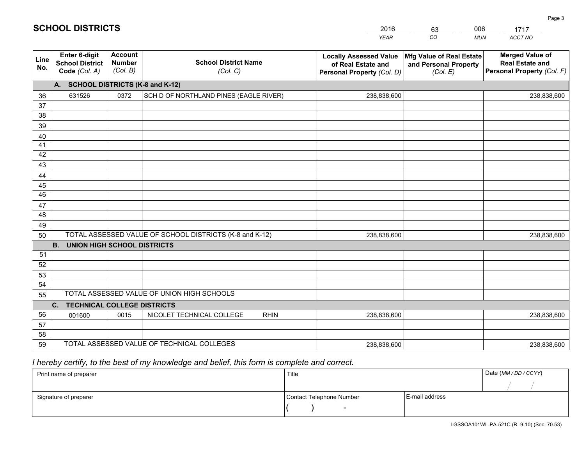|             | <b>SCHOOL DISTRICTS</b>                                  |                                             |                                         | 2016<br><b>YEAR</b>                                                               | 006<br>63<br>CO<br><b>MUN</b>                                 | 1717<br>ACCT NO                                                                |
|-------------|----------------------------------------------------------|---------------------------------------------|-----------------------------------------|-----------------------------------------------------------------------------------|---------------------------------------------------------------|--------------------------------------------------------------------------------|
| Line<br>No. | Enter 6-digit<br><b>School District</b><br>Code (Col. A) | <b>Account</b><br><b>Number</b><br>(Col. B) | <b>School District Name</b><br>(Col. C) | <b>Locally Assessed Value</b><br>of Real Estate and<br>Personal Property (Col. D) | Mfg Value of Real Estate<br>and Personal Property<br>(Col. E) | <b>Merged Value of</b><br><b>Real Estate and</b><br>Personal Property (Col. F) |
|             | А.                                                       |                                             | <b>SCHOOL DISTRICTS (K-8 and K-12)</b>  |                                                                                   |                                                               |                                                                                |
| 36          | 631526                                                   | 0372                                        | SCH D OF NORTHLAND PINES (EAGLE RIVER)  | 238,838,600                                                                       |                                                               | 238,838,600                                                                    |
| 37          |                                                          |                                             |                                         |                                                                                   |                                                               |                                                                                |
| 38          |                                                          |                                             |                                         |                                                                                   |                                                               |                                                                                |
| 39          |                                                          |                                             |                                         |                                                                                   |                                                               |                                                                                |
| 40          |                                                          |                                             |                                         |                                                                                   |                                                               |                                                                                |
| 41          |                                                          |                                             |                                         |                                                                                   |                                                               |                                                                                |
| 42          |                                                          |                                             |                                         |                                                                                   |                                                               |                                                                                |
| 43          |                                                          |                                             |                                         |                                                                                   |                                                               |                                                                                |
| 44          |                                                          |                                             |                                         |                                                                                   |                                                               |                                                                                |
| 45          |                                                          |                                             |                                         |                                                                                   |                                                               |                                                                                |
| 46          |                                                          |                                             |                                         |                                                                                   |                                                               |                                                                                |
| 47          |                                                          |                                             |                                         |                                                                                   |                                                               |                                                                                |
| 48          |                                                          |                                             |                                         |                                                                                   |                                                               |                                                                                |
|             |                                                          |                                             |                                         |                                                                                   |                                                               |                                                                                |

| 48 |                                                      |      |                                                         |             |  |             |  |  |  |  |
|----|------------------------------------------------------|------|---------------------------------------------------------|-------------|--|-------------|--|--|--|--|
| 49 |                                                      |      |                                                         |             |  |             |  |  |  |  |
| 50 |                                                      |      | TOTAL ASSESSED VALUE OF SCHOOL DISTRICTS (K-8 and K-12) | 238,838,600 |  | 238,838,600 |  |  |  |  |
|    | <b>UNION HIGH SCHOOL DISTRICTS</b><br><b>B.</b>      |      |                                                         |             |  |             |  |  |  |  |
| 51 |                                                      |      |                                                         |             |  |             |  |  |  |  |
| 52 |                                                      |      |                                                         |             |  |             |  |  |  |  |
| 53 |                                                      |      |                                                         |             |  |             |  |  |  |  |
| 54 |                                                      |      |                                                         |             |  |             |  |  |  |  |
| 55 |                                                      |      | TOTAL ASSESSED VALUE OF UNION HIGH SCHOOLS              |             |  |             |  |  |  |  |
|    | <b>TECHNICAL COLLEGE DISTRICTS</b><br>$\mathbf{C}$ . |      |                                                         |             |  |             |  |  |  |  |
| 56 | 001600                                               | 0015 | NICOLET TECHNICAL COLLEGE<br><b>RHIN</b>                | 238,838,600 |  | 238,838,600 |  |  |  |  |
| 57 |                                                      |      |                                                         |             |  |             |  |  |  |  |
| 58 |                                                      |      |                                                         |             |  |             |  |  |  |  |
| 59 |                                                      |      | TOTAL ASSESSED VALUE OF TECHNICAL COLLEGES              | 238,838,600 |  | 238,838,600 |  |  |  |  |

 *I hereby certify, to the best of my knowledge and belief, this form is complete and correct.*

| Print name of preparer | Title                    |                | Date (MM / DD / CCYY) |
|------------------------|--------------------------|----------------|-----------------------|
|                        |                          |                |                       |
| Signature of preparer  | Contact Telephone Number | E-mail address |                       |
|                        | $\overline{\phantom{0}}$ |                |                       |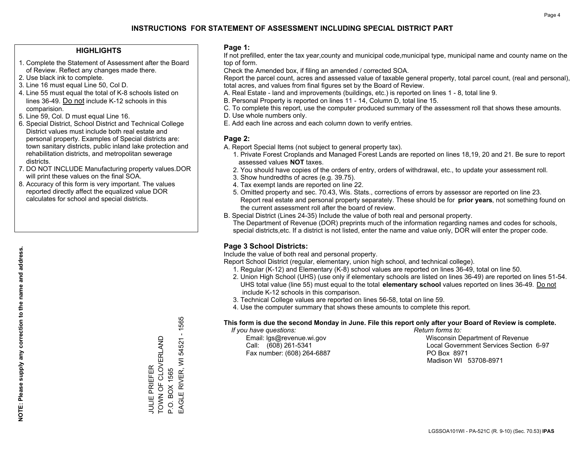### **HIGHLIGHTS**

- 1. Complete the Statement of Assessment after the Board of Review. Reflect any changes made there.
- 2. Use black ink to complete.
- 3. Line 16 must equal Line 50, Col D.
- 4. Line 55 must equal the total of K-8 schools listed on lines 36-49. Do not include K-12 schools in this comparision.
- 5. Line 59, Col. D must equal Line 16.
- 6. Special District, School District and Technical College District values must include both real estate and personal property. Examples of Special districts are: town sanitary districts, public inland lake protection and rehabilitation districts, and metropolitan sewerage districts.
- 7. DO NOT INCLUDE Manufacturing property values.DOR will print these values on the final SOA.

JULIE PRIEFER

**JULIE PRIEFER** 

TOWN OF CLOVERLAND

TOWN OF CLOVERLAND

P.O. BOX 1565

P.O. BOX 1565

EAGLE RIVER, WI 54521 - 1565

EAGLE RIVER, WI 54521

 $-1565$ 

 8. Accuracy of this form is very important. The values reported directly affect the equalized value DOR calculates for school and special districts.

### **Page 1:**

 If not prefilled, enter the tax year,county and municipal code,municipal type, municipal name and county name on the top of form.

Check the Amended box, if filing an amended / corrected SOA.

 Report the parcel count, acres and assessed value of taxable general property, total parcel count, (real and personal), total acres, and values from final figures set by the Board of Review.

- A. Real Estate land and improvements (buildings, etc.) is reported on lines 1 8, total line 9.
- B. Personal Property is reported on lines 11 14, Column D, total line 15.
- C. To complete this report, use the computer produced summary of the assessment roll that shows these amounts.
- D. Use whole numbers only.
- E. Add each line across and each column down to verify entries.

### **Page 2:**

- A. Report Special Items (not subject to general property tax).
- 1. Private Forest Croplands and Managed Forest Lands are reported on lines 18,19, 20 and 21. Be sure to report assessed values **NOT** taxes.
- 2. You should have copies of the orders of entry, orders of withdrawal, etc., to update your assessment roll.
	- 3. Show hundredths of acres (e.g. 39.75).
- 4. Tax exempt lands are reported on line 22.
- 5. Omitted property and sec. 70.43, Wis. Stats., corrections of errors by assessor are reported on line 23. Report real estate and personal property separately. These should be for **prior years**, not something found on the current assessment roll after the board of review.
- B. Special District (Lines 24-35) Include the value of both real and personal property.
- The Department of Revenue (DOR) preprints much of the information regarding names and codes for schools, special districts,etc. If a district is not listed, enter the name and value only, DOR will enter the proper code.

### **Page 3 School Districts:**

Include the value of both real and personal property.

Report School District (regular, elementary, union high school, and technical college).

- 1. Regular (K-12) and Elementary (K-8) school values are reported on lines 36-49, total on line 50.
- 2. Union High School (UHS) (use only if elementary schools are listed on lines 36-49) are reported on lines 51-54. UHS total value (line 55) must equal to the total **elementary school** values reported on lines 36-49. Do notinclude K-12 schools in this comparison.
- 3. Technical College values are reported on lines 56-58, total on line 59.
- 4. Use the computer summary that shows these amounts to complete this report.

#### **This form is due the second Monday in June. File this report only after your Board of Review is complete.**

 *If you have questions: Return forms to:*

Fax number: (608) 264-6887 PO Box 8971

 Email: lgs@revenue.wi.gov Wisconsin Department of Revenue Call: (608) 261-5341 Local Government Services Section 6-97Madison WI 53708-8971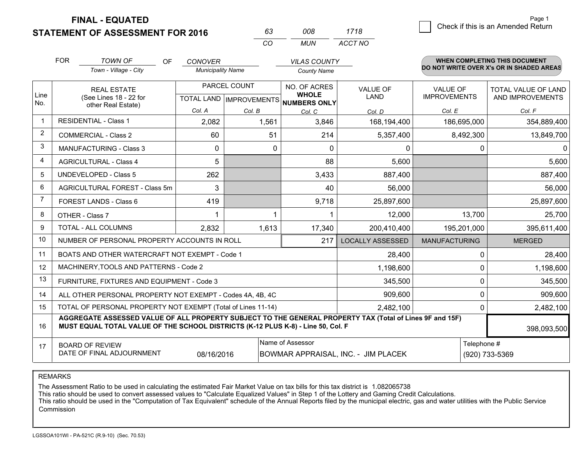**FINAL - EQUATED**

**STATEMENT OF ASSESSMENT FOR 2016** 

| 63  | 008. | 1718    |
|-----|------|---------|
| -CO | MUN  | ACCT NO |

|                | <b>FOR</b>                                                                                                                                                                                                  | <b>TOWN OF</b><br>OF                                         | <b>CONOVER</b>           |                                      | <b>VILAS COUNTY</b> |                                     |                      | <b>WHEN COMPLETING THIS DOCUMENT</b><br>DO NOT WRITE OVER X's OR IN SHADED AREAS |  |
|----------------|-------------------------------------------------------------------------------------------------------------------------------------------------------------------------------------------------------------|--------------------------------------------------------------|--------------------------|--------------------------------------|---------------------|-------------------------------------|----------------------|----------------------------------------------------------------------------------|--|
|                |                                                                                                                                                                                                             | Town - Village - City                                        | <b>Municipality Name</b> |                                      | <b>County Name</b>  |                                     |                      |                                                                                  |  |
|                |                                                                                                                                                                                                             | <b>REAL ESTATE</b>                                           |                          | PARCEL COUNT                         | NO. OF ACRES        | <b>VALUE OF</b>                     | <b>VALUE OF</b>      | TOTAL VALUE OF LAND                                                              |  |
| Line<br>No.    |                                                                                                                                                                                                             | (See Lines 18 - 22 for<br>other Real Estate)                 |                          | TOTAL LAND IMPROVEMENTS NUMBERS ONLY | <b>WHOLE</b>        | LAND                                | <b>IMPROVEMENTS</b>  | AND IMPROVEMENTS                                                                 |  |
|                |                                                                                                                                                                                                             |                                                              | Col. A                   | Col. B                               | Col. C              | Col. D                              | Col. E               | Col. F                                                                           |  |
| $\mathbf 1$    |                                                                                                                                                                                                             | <b>RESIDENTIAL - Class 1</b>                                 | 2,082                    | 1,561                                | 3,846               | 168,194,400                         | 186,695,000          | 354,889,400                                                                      |  |
| $\overline{2}$ |                                                                                                                                                                                                             | <b>COMMERCIAL - Class 2</b>                                  | 60                       | 51                                   | 214                 | 5,357,400                           | 8,492,300            | 13,849,700                                                                       |  |
| 3              |                                                                                                                                                                                                             | <b>MANUFACTURING - Class 3</b>                               | $\Omega$                 | $\Omega$                             | $\Omega$            | $\Omega$                            | $\mathbf 0$          | 0                                                                                |  |
| $\overline{4}$ |                                                                                                                                                                                                             | <b>AGRICULTURAL - Class 4</b>                                | 5                        |                                      | 88                  | 5,600                               |                      | 5,600                                                                            |  |
| 5              |                                                                                                                                                                                                             | <b>UNDEVELOPED - Class 5</b>                                 | 262                      |                                      | 3,433               | 887,400                             |                      | 887,400                                                                          |  |
| 6              |                                                                                                                                                                                                             | AGRICULTURAL FOREST - Class 5m                               | 3                        |                                      | 40                  | 56,000                              |                      | 56,000                                                                           |  |
| 7              | FOREST LANDS - Class 6                                                                                                                                                                                      |                                                              | 419                      |                                      | 9,718               | 25,897,600                          |                      | 25,897,600                                                                       |  |
| 8              |                                                                                                                                                                                                             | OTHER - Class 7                                              |                          |                                      |                     | 12,000                              | 13,700               | 25,700                                                                           |  |
| 9              |                                                                                                                                                                                                             | TOTAL - ALL COLUMNS                                          | 2,832                    | 1,613                                | 17,340              | 200,410,400                         | 195,201,000          | 395,611,400                                                                      |  |
| 10             |                                                                                                                                                                                                             | NUMBER OF PERSONAL PROPERTY ACCOUNTS IN ROLL                 |                          |                                      | 217                 | <b>LOCALLY ASSESSED</b>             | <b>MANUFACTURING</b> | <b>MERGED</b>                                                                    |  |
| 11             |                                                                                                                                                                                                             | BOATS AND OTHER WATERCRAFT NOT EXEMPT - Code 1               |                          |                                      |                     | 28,400                              | 0                    | 28,400                                                                           |  |
| 12             |                                                                                                                                                                                                             | MACHINERY, TOOLS AND PATTERNS - Code 2                       |                          |                                      |                     | 1,198,600                           | 0                    | 1,198,600                                                                        |  |
| 13             |                                                                                                                                                                                                             | FURNITURE, FIXTURES AND EQUIPMENT - Code 3                   |                          |                                      |                     | 345,500                             | 0                    | 345,500                                                                          |  |
| 14             |                                                                                                                                                                                                             | ALL OTHER PERSONAL PROPERTY NOT EXEMPT - Codes 4A, 4B, 4C    |                          |                                      |                     | 909,600                             | 0                    | 909,600                                                                          |  |
| 15             |                                                                                                                                                                                                             | TOTAL OF PERSONAL PROPERTY NOT EXEMPT (Total of Lines 11-14) |                          |                                      | 2,482,100           | 0                                   | 2,482,100            |                                                                                  |  |
| 16             | AGGREGATE ASSESSED VALUE OF ALL PROPERTY SUBJECT TO THE GENERAL PROPERTY TAX (Total of Lines 9F and 15F)<br>MUST EQUAL TOTAL VALUE OF THE SCHOOL DISTRICTS (K-12 PLUS K-8) - Line 50, Col. F<br>398,093,500 |                                                              |                          |                                      |                     |                                     |                      |                                                                                  |  |
| 17             | Name of Assessor<br><b>BOARD OF REVIEW</b>                                                                                                                                                                  |                                                              |                          |                                      |                     |                                     | Telephone #          |                                                                                  |  |
|                |                                                                                                                                                                                                             | DATE OF FINAL ADJOURNMENT                                    | 08/16/2016               |                                      |                     | BOWMAR APPRAISAL, INC. - JIM PLACEK | (920) 733-5369       |                                                                                  |  |

REMARKS

The Assessment Ratio to be used in calculating the estimated Fair Market Value on tax bills for this tax district is 1.082065738

This ratio should be used to convert assessed values to "Calculate Equalized Values" in Step 1 of the Lottery and Gaming Credit Calculations.

 This ratio should be used in the "Computation of Tax Equivalent" schedule of the Annual Reports filed by the municipal electric, gas and water utilities with the Public Service **Commission**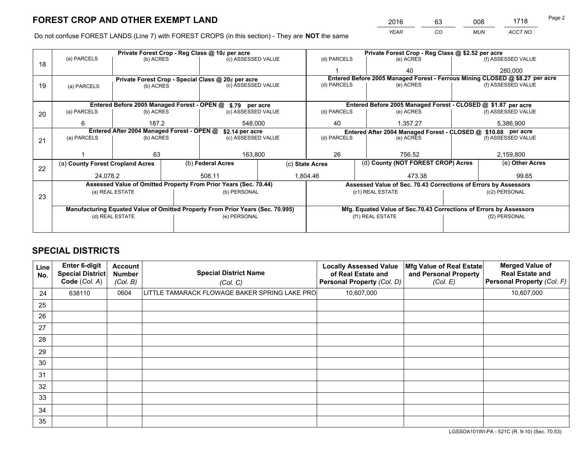*YEAR CO MUN ACCT NO* <sup>2016</sup> <sup>63</sup> <sup>008</sup> <sup>1718</sup> Page 2

Do not confuse FOREST LANDS (Line 7) with FOREST CROPS (in this section) - They are **NOT** the same

|    |                                                                                |                 |  | Private Forest Crop - Reg Class @ 10¢ per acre                   |  | Private Forest Crop - Reg Class @ \$2.52 per acre |                  |                                                               |                                                                              |  |
|----|--------------------------------------------------------------------------------|-----------------|--|------------------------------------------------------------------|--|---------------------------------------------------|------------------|---------------------------------------------------------------|------------------------------------------------------------------------------|--|
| 18 | (a) PARCELS                                                                    | (b) ACRES       |  | (c) ASSESSED VALUE                                               |  | (d) PARCELS                                       | (e) ACRES        |                                                               | (f) ASSESSED VALUE                                                           |  |
|    |                                                                                |                 |  |                                                                  |  |                                                   | 40               |                                                               | 280,000                                                                      |  |
|    | Private Forest Crop - Special Class @ 20¢ per acre                             |                 |  |                                                                  |  |                                                   |                  |                                                               | Entered Before 2005 Managed Forest - Ferrous Mining CLOSED @ \$8.27 per acre |  |
| 19 | (b) ACRES<br>(a) PARCELS                                                       |                 |  | (c) ASSESSED VALUE                                               |  | (d) PARCELS                                       | (e) ACRES        |                                                               | (f) ASSESSED VALUE                                                           |  |
|    |                                                                                |                 |  |                                                                  |  |                                                   |                  |                                                               |                                                                              |  |
|    |                                                                                |                 |  | Entered Before 2005 Managed Forest - OPEN @ \$.79 per acre       |  |                                                   |                  | Entered Before 2005 Managed Forest - CLOSED @ \$1.87 per acre |                                                                              |  |
| 20 | (a) PARCELS<br>(b) ACRES                                                       |                 |  | (c) ASSESSED VALUE                                               |  | (d) PARCELS                                       | (e) ACRES        |                                                               | (f) ASSESSED VALUE                                                           |  |
|    | 6                                                                              | 187.2           |  | 548,000                                                          |  | 40                                                | 1,357.27         |                                                               | 5,386,900                                                                    |  |
|    | Entered After 2004 Managed Forest - OPEN @<br>\$2.14 per acre                  |                 |  |                                                                  |  |                                                   |                  |                                                               | Entered After 2004 Managed Forest - CLOSED @ \$10.68 per acre                |  |
| 21 | (a) PARCELS                                                                    | (b) ACRES       |  | (c) ASSESSED VALUE                                               |  | (d) PARCELS                                       | (e) ACRES        |                                                               | (f) ASSESSED VALUE                                                           |  |
|    |                                                                                |                 |  |                                                                  |  |                                                   |                  |                                                               |                                                                              |  |
|    |                                                                                | 63              |  | 163,800                                                          |  | 26<br>756.52                                      |                  |                                                               | 2,159,800                                                                    |  |
| 22 | (a) County Forest Cropland Acres                                               |                 |  | (b) Federal Acres<br>(c) State Acres                             |  | (d) County (NOT FOREST CROP) Acres                |                  |                                                               | (e) Other Acres                                                              |  |
|    | 24.078.2                                                                       |                 |  | 508.11                                                           |  | 1,804.46<br>473.38                                |                  |                                                               | 99.65                                                                        |  |
|    |                                                                                |                 |  | Assessed Value of Omitted Property From Prior Years (Sec. 70.44) |  |                                                   |                  |                                                               | Assessed Value of Sec. 70.43 Corrections of Errors by Assessors              |  |
|    |                                                                                | (a) REAL ESTATE |  | (b) PERSONAL                                                     |  |                                                   | (c1) REAL ESTATE |                                                               | (c2) PERSONAL                                                                |  |
| 23 |                                                                                |                 |  |                                                                  |  |                                                   |                  |                                                               |                                                                              |  |
|    | Manufacturing Equated Value of Omitted Property From Prior Years (Sec. 70.995) |                 |  |                                                                  |  |                                                   |                  |                                                               | Mfg. Equated Value of Sec.70.43 Corrections of Errors by Assessors           |  |
|    | (d) REAL ESTATE                                                                |                 |  | (e) PERSONAL                                                     |  | (f1) REAL ESTATE                                  |                  |                                                               | (f2) PERSONAL                                                                |  |
|    |                                                                                |                 |  |                                                                  |  |                                                   |                  |                                                               |                                                                              |  |

## **SPECIAL DISTRICTS**

| Line<br>No. | Enter 6-digit<br><b>Special District</b><br>Code (Col. A) | <b>Account</b><br><b>Number</b><br>(Col. B) | <b>Special District Name</b><br>(Col. C)      | <b>Locally Assessed Value</b><br>of Real Estate and<br>Personal Property (Col. D) | Mfg Value of Real Estate<br>and Personal Property<br>(Col. E) | <b>Merged Value of</b><br><b>Real Estate and</b><br>Personal Property (Col. F) |
|-------------|-----------------------------------------------------------|---------------------------------------------|-----------------------------------------------|-----------------------------------------------------------------------------------|---------------------------------------------------------------|--------------------------------------------------------------------------------|
| 24          | 638110                                                    | 0604                                        | LITTLE TAMARACK FLOWAGE BAKER SPRING LAKE PRO | 10,607,000                                                                        |                                                               | 10,607,000                                                                     |
| 25          |                                                           |                                             |                                               |                                                                                   |                                                               |                                                                                |
| 26          |                                                           |                                             |                                               |                                                                                   |                                                               |                                                                                |
| 27          |                                                           |                                             |                                               |                                                                                   |                                                               |                                                                                |
| 28          |                                                           |                                             |                                               |                                                                                   |                                                               |                                                                                |
| 29          |                                                           |                                             |                                               |                                                                                   |                                                               |                                                                                |
| 30          |                                                           |                                             |                                               |                                                                                   |                                                               |                                                                                |
| 31          |                                                           |                                             |                                               |                                                                                   |                                                               |                                                                                |
| 32          |                                                           |                                             |                                               |                                                                                   |                                                               |                                                                                |
| 33          |                                                           |                                             |                                               |                                                                                   |                                                               |                                                                                |
| 34          |                                                           |                                             |                                               |                                                                                   |                                                               |                                                                                |
| 35          |                                                           |                                             |                                               |                                                                                   |                                                               |                                                                                |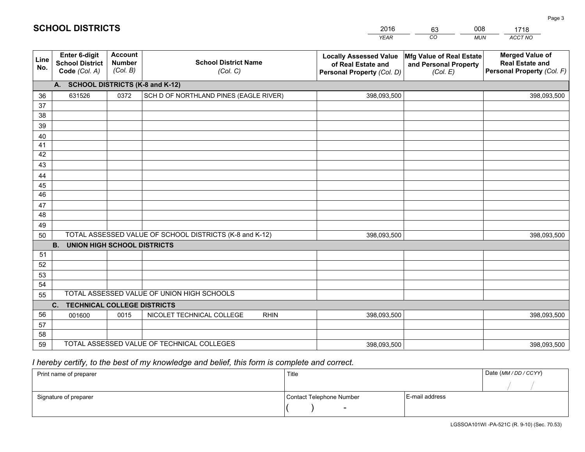|              | <b>SCHOOL DISTRICTS</b>                                  |                                             |                                                         | 2016<br><b>YEAR</b>                                                               | 63<br>CO                                                      | 008<br><b>MUN</b> | 1718<br>ACCT NO                                                                |
|--------------|----------------------------------------------------------|---------------------------------------------|---------------------------------------------------------|-----------------------------------------------------------------------------------|---------------------------------------------------------------|-------------------|--------------------------------------------------------------------------------|
|              |                                                          |                                             |                                                         |                                                                                   |                                                               |                   |                                                                                |
| Line<br>No.  | Enter 6-digit<br><b>School District</b><br>Code (Col. A) | <b>Account</b><br><b>Number</b><br>(Col. B) | <b>School District Name</b><br>(Col. C)                 | <b>Locally Assessed Value</b><br>of Real Estate and<br>Personal Property (Col. D) | Mfg Value of Real Estate<br>and Personal Property<br>(Col. E) |                   | <b>Merged Value of</b><br><b>Real Estate and</b><br>Personal Property (Col. F) |
|              | А.                                                       |                                             | <b>SCHOOL DISTRICTS (K-8 and K-12)</b>                  |                                                                                   |                                                               |                   |                                                                                |
| 36           | 631526                                                   | 0372                                        | SCH D OF NORTHLAND PINES (EAGLE RIVER)                  | 398,093,500                                                                       |                                                               |                   | 398,093,500                                                                    |
| 37           |                                                          |                                             |                                                         |                                                                                   |                                                               |                   |                                                                                |
| 38           |                                                          |                                             |                                                         |                                                                                   |                                                               |                   |                                                                                |
| 39           |                                                          |                                             |                                                         |                                                                                   |                                                               |                   |                                                                                |
| 40           |                                                          |                                             |                                                         |                                                                                   |                                                               |                   |                                                                                |
| 41           |                                                          |                                             |                                                         |                                                                                   |                                                               |                   |                                                                                |
| 42           |                                                          |                                             |                                                         |                                                                                   |                                                               |                   |                                                                                |
| 43           |                                                          |                                             |                                                         |                                                                                   |                                                               |                   |                                                                                |
| 44           |                                                          |                                             |                                                         |                                                                                   |                                                               |                   |                                                                                |
| 45           |                                                          |                                             |                                                         |                                                                                   |                                                               |                   |                                                                                |
| 46           |                                                          |                                             |                                                         |                                                                                   |                                                               |                   |                                                                                |
| 47           |                                                          |                                             |                                                         |                                                                                   |                                                               |                   |                                                                                |
| 48           |                                                          |                                             |                                                         |                                                                                   |                                                               |                   |                                                                                |
| 49           |                                                          |                                             |                                                         |                                                                                   |                                                               |                   |                                                                                |
| $\mathbf{r}$ |                                                          |                                             | TOTAL ACCECCED VALUE OF COUOOL DICTRICTS (K 8 and K 12) | 200.00250                                                                         |                                                               |                   | 200.00250                                                                      |

| 49 |                                          |      |                                                         |             |  |             |  |  |  |  |
|----|------------------------------------------|------|---------------------------------------------------------|-------------|--|-------------|--|--|--|--|
| 50 |                                          |      | TOTAL ASSESSED VALUE OF SCHOOL DISTRICTS (K-8 and K-12) | 398,093,500 |  | 398,093,500 |  |  |  |  |
|    | UNION HIGH SCHOOL DISTRICTS<br>В.        |      |                                                         |             |  |             |  |  |  |  |
| 51 |                                          |      |                                                         |             |  |             |  |  |  |  |
| 52 |                                          |      |                                                         |             |  |             |  |  |  |  |
| 53 |                                          |      |                                                         |             |  |             |  |  |  |  |
| 54 |                                          |      |                                                         |             |  |             |  |  |  |  |
| 55 |                                          |      | TOTAL ASSESSED VALUE OF UNION HIGH SCHOOLS              |             |  |             |  |  |  |  |
|    | <b>TECHNICAL COLLEGE DISTRICTS</b><br>C. |      |                                                         |             |  |             |  |  |  |  |
| 56 | 001600                                   | 0015 | NICOLET TECHNICAL COLLEGE<br><b>RHIN</b>                | 398,093,500 |  | 398,093,500 |  |  |  |  |
| 57 |                                          |      |                                                         |             |  |             |  |  |  |  |
| 58 |                                          |      |                                                         |             |  |             |  |  |  |  |
| 59 |                                          |      | TOTAL ASSESSED VALUE OF TECHNICAL COLLEGES              | 398,093,500 |  | 398,093,500 |  |  |  |  |

## *I hereby certify, to the best of my knowledge and belief, this form is complete and correct.*

| Print name of preparer | Title                    |                | Date (MM / DD / CCYY) |
|------------------------|--------------------------|----------------|-----------------------|
|                        |                          |                |                       |
| Signature of preparer  | Contact Telephone Number | E-mail address |                       |
|                        | $\overline{\phantom{a}}$ |                |                       |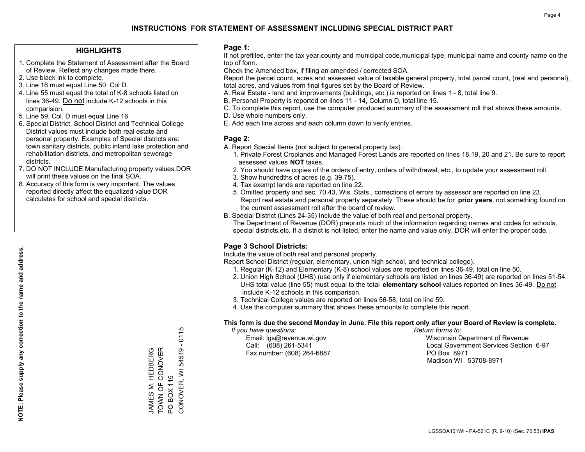### **HIGHLIGHTS**

- 1. Complete the Statement of Assessment after the Board of Review. Reflect any changes made there.
- 2. Use black ink to complete.
- 3. Line 16 must equal Line 50, Col D.
- 4. Line 55 must equal the total of K-8 schools listed on lines 36-49. Do not include K-12 schools in this comparision.
- 5. Line 59, Col. D must equal Line 16.
- 6. Special District, School District and Technical College District values must include both real estate and personal property. Examples of Special districts are: town sanitary districts, public inland lake protection and rehabilitation districts, and metropolitan sewerage districts.
- 7. DO NOT INCLUDE Manufacturing property values.DOR will print these values on the final SOA.

JAMES M. HEDBERG TOWN OF CONOVER

JAMES M. HEDBERG<br>TOWN OF CONOVER

PO BOX 115

PO BOX 115

CONOVER, WI 54519 - 0115

CONOVER, WI 54519

0115 Ŧ

 8. Accuracy of this form is very important. The values reported directly affect the equalized value DOR calculates for school and special districts.

### **Page 1:**

 If not prefilled, enter the tax year,county and municipal code,municipal type, municipal name and county name on the top of form.

Check the Amended box, if filing an amended / corrected SOA.

 Report the parcel count, acres and assessed value of taxable general property, total parcel count, (real and personal), total acres, and values from final figures set by the Board of Review.

- A. Real Estate land and improvements (buildings, etc.) is reported on lines 1 8, total line 9.
- B. Personal Property is reported on lines 11 14, Column D, total line 15.
- C. To complete this report, use the computer produced summary of the assessment roll that shows these amounts.
- D. Use whole numbers only.
- E. Add each line across and each column down to verify entries.

### **Page 2:**

- A. Report Special Items (not subject to general property tax).
- 1. Private Forest Croplands and Managed Forest Lands are reported on lines 18,19, 20 and 21. Be sure to report assessed values **NOT** taxes.
- 2. You should have copies of the orders of entry, orders of withdrawal, etc., to update your assessment roll.
	- 3. Show hundredths of acres (e.g. 39.75).
- 4. Tax exempt lands are reported on line 22.
- 5. Omitted property and sec. 70.43, Wis. Stats., corrections of errors by assessor are reported on line 23. Report real estate and personal property separately. These should be for **prior years**, not something found on the current assessment roll after the board of review.
- B. Special District (Lines 24-35) Include the value of both real and personal property.
- The Department of Revenue (DOR) preprints much of the information regarding names and codes for schools, special districts,etc. If a district is not listed, enter the name and value only, DOR will enter the proper code.

### **Page 3 School Districts:**

Include the value of both real and personal property.

Report School District (regular, elementary, union high school, and technical college).

- 1. Regular (K-12) and Elementary (K-8) school values are reported on lines 36-49, total on line 50.
- 2. Union High School (UHS) (use only if elementary schools are listed on lines 36-49) are reported on lines 51-54. UHS total value (line 55) must equal to the total **elementary school** values reported on lines 36-49. Do notinclude K-12 schools in this comparison.
- 3. Technical College values are reported on lines 56-58, total on line 59.
- 4. Use the computer summary that shows these amounts to complete this report.

#### **This form is due the second Monday in June. File this report only after your Board of Review is complete.**

 *If you have questions: Return forms to:*

Fax number: (608) 264-6887 PO Box 8971

 Email: lgs@revenue.wi.gov Wisconsin Department of Revenue Call: (608) 261-5341 Local Government Services Section 6-97Madison WI 53708-8971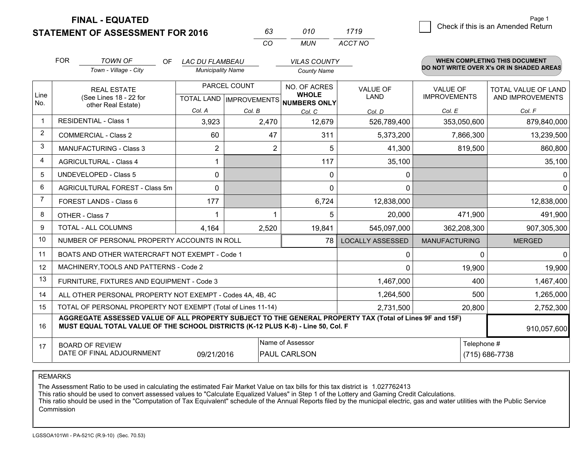**STATEMENT OF ASSESSMENT FOR 2016** 

**FINAL - EQUATED**

|                | <b>FOR</b>                                                                                            | <b>TOWN OF</b><br>OF.<br>Town - Village - City                                                                                                                                               | <b>LAC DU FLAMBEAU</b><br><b>Municipality Name</b> |                                           | <b>VILAS COUNTY</b><br><b>County Name</b>    |                         |                                        | <b>WHEN COMPLETING THIS DOCUMENT</b><br>DO NOT WRITE OVER X's OR IN SHADED AREAS |
|----------------|-------------------------------------------------------------------------------------------------------|----------------------------------------------------------------------------------------------------------------------------------------------------------------------------------------------|----------------------------------------------------|-------------------------------------------|----------------------------------------------|-------------------------|----------------------------------------|----------------------------------------------------------------------------------|
| Line<br>No.    | <b>REAL ESTATE</b><br>(See Lines 18 - 22 for<br>other Real Estate)                                    |                                                                                                                                                                                              |                                                    | PARCEL COUNT<br>TOTAL LAND   IMPROVEMENTS | NO. OF ACRES<br><b>WHOLE</b><br>NUMBERS ONLY | <b>VALUE OF</b><br>LAND | <b>VALUE OF</b><br><b>IMPROVEMENTS</b> | <b>TOTAL VALUE OF LAND</b><br>AND IMPROVEMENTS                                   |
|                |                                                                                                       |                                                                                                                                                                                              | Col. A                                             | Col. B                                    | Col. C                                       | Col. D                  | Col. E                                 | Col. F                                                                           |
| $\mathbf 1$    | <b>RESIDENTIAL - Class 1</b>                                                                          |                                                                                                                                                                                              | 3,923                                              | 2,470                                     | 12,679                                       | 526,789,400             | 353,050,600                            | 879,840,000                                                                      |
| 2              |                                                                                                       | <b>COMMERCIAL - Class 2</b>                                                                                                                                                                  | 60                                                 | 47                                        | 311                                          | 5,373,200               | 7,866,300                              | 13,239,500                                                                       |
| 3              |                                                                                                       | <b>MANUFACTURING - Class 3</b>                                                                                                                                                               | 2                                                  | $\overline{2}$                            | 5                                            | 41,300                  | 819,500                                | 860,800                                                                          |
| 4              |                                                                                                       | <b>AGRICULTURAL - Class 4</b>                                                                                                                                                                |                                                    |                                           | 117                                          | 35,100                  |                                        | 35,100                                                                           |
| 5              | <b>UNDEVELOPED - Class 5</b>                                                                          |                                                                                                                                                                                              | $\mathbf{0}$                                       |                                           | $\mathbf{0}$                                 | 0                       |                                        | 0                                                                                |
| 6              | AGRICULTURAL FOREST - Class 5m                                                                        |                                                                                                                                                                                              | 0                                                  |                                           | $\Omega$                                     | $\Omega$                |                                        | $\Omega$                                                                         |
| $\overline{7}$ | FOREST LANDS - Class 6                                                                                |                                                                                                                                                                                              | 177                                                |                                           | 6,724                                        | 12,838,000              |                                        | 12,838,000                                                                       |
| 8              |                                                                                                       | OTHER - Class 7                                                                                                                                                                              |                                                    |                                           | 5                                            | 20,000                  | 471,900                                | 491,900                                                                          |
| 9              |                                                                                                       | TOTAL - ALL COLUMNS                                                                                                                                                                          | 4,164                                              | 2,520                                     | 19,841                                       | 545,097,000             | 362,208,300                            | 907,305,300                                                                      |
| 10             |                                                                                                       | NUMBER OF PERSONAL PROPERTY ACCOUNTS IN ROLL                                                                                                                                                 |                                                    |                                           | 78                                           | <b>LOCALLY ASSESSED</b> | <b>MANUFACTURING</b>                   | <b>MERGED</b>                                                                    |
| 11             |                                                                                                       | BOATS AND OTHER WATERCRAFT NOT EXEMPT - Code 1                                                                                                                                               |                                                    |                                           |                                              | $\mathbf{0}$            | $\Omega$                               | $\Omega$                                                                         |
| 12             |                                                                                                       | MACHINERY, TOOLS AND PATTERNS - Code 2                                                                                                                                                       |                                                    |                                           |                                              | $\mathbf{0}$            | 19,900                                 | 19,900                                                                           |
| 13             |                                                                                                       | FURNITURE, FIXTURES AND EQUIPMENT - Code 3                                                                                                                                                   |                                                    |                                           |                                              | 1,467,000               | 400                                    | 1,467,400                                                                        |
| 14             |                                                                                                       | ALL OTHER PERSONAL PROPERTY NOT EXEMPT - Codes 4A, 4B, 4C                                                                                                                                    |                                                    |                                           |                                              | 1,264,500               | 500                                    | 1,265,000                                                                        |
| 15             |                                                                                                       | TOTAL OF PERSONAL PROPERTY NOT EXEMPT (Total of Lines 11-14)                                                                                                                                 |                                                    |                                           |                                              | 2,731,500               | 20,800                                 | 2,752,300                                                                        |
| 16             |                                                                                                       | AGGREGATE ASSESSED VALUE OF ALL PROPERTY SUBJECT TO THE GENERAL PROPERTY TAX (Total of Lines 9F and 15F)<br>MUST EQUAL TOTAL VALUE OF THE SCHOOL DISTRICTS (K-12 PLUS K-8) - Line 50, Col. F |                                                    |                                           |                                              |                         |                                        | 910,057,600                                                                      |
| 17             | Name of Assessor<br><b>BOARD OF REVIEW</b><br>DATE OF FINAL ADJOURNMENT<br>PAUL CARLSON<br>09/21/2016 |                                                                                                                                                                                              |                                                    |                                           |                                              |                         | Telephone #                            | (715) 686-7738                                                                   |

*CO*

*MUN*

*ACCT NO1719*

*<sup>63</sup> <sup>010</sup>*

REMARKS

The Assessment Ratio to be used in calculating the estimated Fair Market Value on tax bills for this tax district is 1.027762413<br>This ratio should be used to convert assessed values to "Calculate Equalized Values" in Step Commission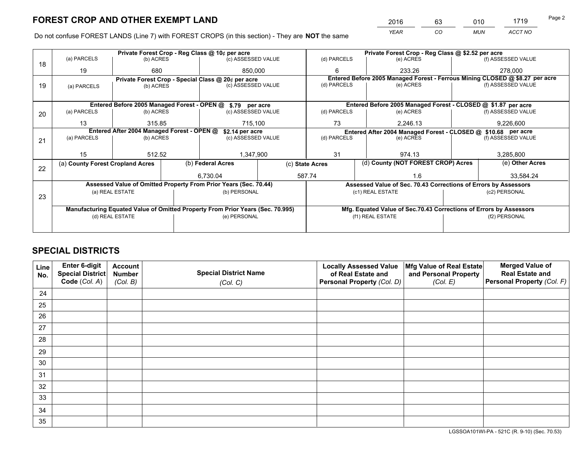*YEAR CO MUN ACCT NO* <sup>2016</sup> <sup>63</sup> <sup>010</sup> <sup>1719</sup>

Do not confuse FOREST LANDS (Line 7) with FOREST CROPS (in this section) - They are **NOT** the same

|    |                                  |                                            | Private Forest Crop - Reg Class @ 10¢ per acre     |                                                                                |                                                                              | Private Forest Crop - Reg Class @ \$2.52 per acre |                                                                                           |                                                                    |                 |                    |  |
|----|----------------------------------|--------------------------------------------|----------------------------------------------------|--------------------------------------------------------------------------------|------------------------------------------------------------------------------|---------------------------------------------------|-------------------------------------------------------------------------------------------|--------------------------------------------------------------------|-----------------|--------------------|--|
| 18 | (a) PARCELS                      | (b) ACRES                                  |                                                    | (c) ASSESSED VALUE                                                             |                                                                              | (d) PARCELS                                       |                                                                                           | (e) ACRES                                                          |                 | (f) ASSESSED VALUE |  |
|    | 19                               | 680                                        |                                                    | 850,000                                                                        |                                                                              | 6                                                 |                                                                                           | 233.26                                                             |                 | 278,000            |  |
|    |                                  |                                            | Private Forest Crop - Special Class @ 20¢ per acre |                                                                                | Entered Before 2005 Managed Forest - Ferrous Mining CLOSED @ \$8.27 per acre |                                                   |                                                                                           |                                                                    |                 |                    |  |
| 19 | (a) PARCELS                      | (b) ACRES                                  | (c) ASSESSED VALUE                                 |                                                                                |                                                                              | (d) PARCELS                                       |                                                                                           | (e) ACRES                                                          |                 | (f) ASSESSED VALUE |  |
|    |                                  |                                            |                                                    |                                                                                |                                                                              |                                                   |                                                                                           |                                                                    |                 |                    |  |
|    |                                  |                                            |                                                    | Entered Before 2005 Managed Forest - OPEN @ \$.79 per acre                     |                                                                              |                                                   |                                                                                           | Entered Before 2005 Managed Forest - CLOSED @ \$1.87 per acre      |                 |                    |  |
| 20 | (a) PARCELS                      | (b) ACRES                                  |                                                    | (c) ASSESSED VALUE                                                             |                                                                              | (d) PARCELS                                       | (e) ACRES                                                                                 |                                                                    |                 | (f) ASSESSED VALUE |  |
|    | 13                               | 315.85                                     |                                                    | 715,100                                                                        |                                                                              | 73                                                |                                                                                           | 2,246.13                                                           | 9,226,600       |                    |  |
|    |                                  | Entered After 2004 Managed Forest - OPEN @ |                                                    |                                                                                |                                                                              |                                                   |                                                                                           |                                                                    |                 |                    |  |
|    |                                  | (a) PARCELS<br>(b) ACRES                   |                                                    |                                                                                | \$2.14 per acre<br>(c) ASSESSED VALUE                                        |                                                   | Entered After 2004 Managed Forest - CLOSED @ \$10.68 per acre<br>(d) PARCELS<br>(e) ACRES |                                                                    |                 | (f) ASSESSED VALUE |  |
| 21 |                                  |                                            |                                                    |                                                                                |                                                                              |                                                   |                                                                                           |                                                                    |                 |                    |  |
|    |                                  |                                            |                                                    |                                                                                |                                                                              |                                                   |                                                                                           |                                                                    |                 |                    |  |
|    | 15                               | 512.52                                     |                                                    | 1,347,900                                                                      |                                                                              | 31                                                |                                                                                           | 974.13                                                             |                 | 3,285,800          |  |
|    | (a) County Forest Cropland Acres |                                            |                                                    | (b) Federal Acres<br>(c) State Acres                                           |                                                                              | (d) County (NOT FOREST CROP) Acres                |                                                                                           |                                                                    | (e) Other Acres |                    |  |
| 22 |                                  |                                            |                                                    |                                                                                |                                                                              |                                                   |                                                                                           |                                                                    |                 |                    |  |
|    |                                  |                                            |                                                    | 6.730.04                                                                       |                                                                              | 587.74                                            |                                                                                           | 1.6                                                                |                 | 33,584.24          |  |
|    |                                  |                                            |                                                    | Assessed Value of Omitted Property From Prior Years (Sec. 70.44)               |                                                                              |                                                   |                                                                                           | Assessed Value of Sec. 70.43 Corrections of Errors by Assessors    |                 |                    |  |
| 23 |                                  | (a) REAL ESTATE                            |                                                    | (b) PERSONAL                                                                   |                                                                              |                                                   |                                                                                           | (c1) REAL ESTATE                                                   |                 | (c2) PERSONAL      |  |
|    |                                  |                                            |                                                    |                                                                                |                                                                              |                                                   |                                                                                           |                                                                    |                 |                    |  |
|    |                                  |                                            |                                                    | Manufacturing Equated Value of Omitted Property From Prior Years (Sec. 70.995) |                                                                              |                                                   |                                                                                           | Mfg. Equated Value of Sec.70.43 Corrections of Errors by Assessors |                 |                    |  |
|    |                                  | (d) REAL ESTATE                            |                                                    | (e) PERSONAL                                                                   |                                                                              | (f1) REAL ESTATE                                  |                                                                                           | (f2) PERSONAL                                                      |                 |                    |  |
|    |                                  |                                            |                                                    |                                                                                |                                                                              |                                                   |                                                                                           |                                                                    |                 |                    |  |
|    |                                  |                                            |                                                    |                                                                                |                                                                              |                                                   |                                                                                           |                                                                    |                 |                    |  |

## **SPECIAL DISTRICTS**

| Line<br>No. | Enter 6-digit<br>Special District<br>Code (Col. A) | <b>Account</b><br><b>Number</b><br>(Col. B) | <b>Special District Name</b><br>(Col. C) | <b>Locally Assessed Value</b><br>of Real Estate and<br>Personal Property (Col. D) | Mfg Value of Real Estate<br>and Personal Property<br>(Col. E) | <b>Merged Value of</b><br><b>Real Estate and</b><br>Personal Property (Col. F) |
|-------------|----------------------------------------------------|---------------------------------------------|------------------------------------------|-----------------------------------------------------------------------------------|---------------------------------------------------------------|--------------------------------------------------------------------------------|
| 24          |                                                    |                                             |                                          |                                                                                   |                                                               |                                                                                |
| 25          |                                                    |                                             |                                          |                                                                                   |                                                               |                                                                                |
| 26          |                                                    |                                             |                                          |                                                                                   |                                                               |                                                                                |
| 27          |                                                    |                                             |                                          |                                                                                   |                                                               |                                                                                |
| 28          |                                                    |                                             |                                          |                                                                                   |                                                               |                                                                                |
| 29          |                                                    |                                             |                                          |                                                                                   |                                                               |                                                                                |
| 30          |                                                    |                                             |                                          |                                                                                   |                                                               |                                                                                |
| 31          |                                                    |                                             |                                          |                                                                                   |                                                               |                                                                                |
| 32          |                                                    |                                             |                                          |                                                                                   |                                                               |                                                                                |
| 33          |                                                    |                                             |                                          |                                                                                   |                                                               |                                                                                |
| 34          |                                                    |                                             |                                          |                                                                                   |                                                               |                                                                                |
| 35          |                                                    |                                             |                                          |                                                                                   |                                                               |                                                                                |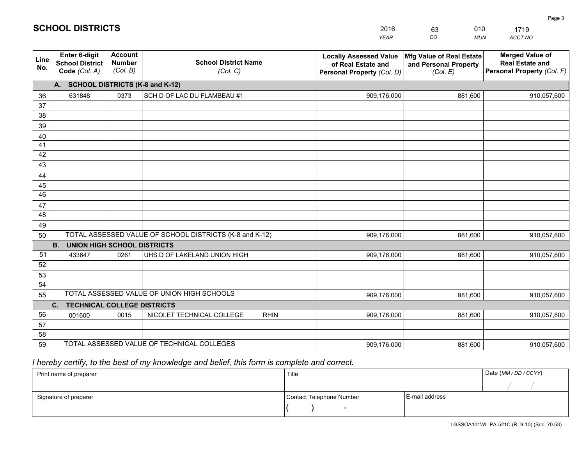|             |                                                          |                                             |                                                         | <b>YEAR</b>                                                                       | CO<br><b>MUN</b>                                                     | ACCT NO                                                                        |
|-------------|----------------------------------------------------------|---------------------------------------------|---------------------------------------------------------|-----------------------------------------------------------------------------------|----------------------------------------------------------------------|--------------------------------------------------------------------------------|
| Line<br>No. | Enter 6-digit<br><b>School District</b><br>Code (Col. A) | <b>Account</b><br><b>Number</b><br>(Col. B) | <b>School District Name</b><br>(Col. C)                 | <b>Locally Assessed Value</b><br>of Real Estate and<br>Personal Property (Col. D) | <b>Mfg Value of Real Estate</b><br>and Personal Property<br>(Col. E) | <b>Merged Value of</b><br><b>Real Estate and</b><br>Personal Property (Col. F) |
|             | <b>SCHOOL DISTRICTS (K-8 and K-12)</b><br>A.             |                                             |                                                         |                                                                                   |                                                                      |                                                                                |
| 36          | 631848                                                   | 0373                                        | SCH D OF LAC DU FLAMBEAU #1                             | 909,176,000                                                                       | 881,600                                                              | 910,057,600                                                                    |
| 37          |                                                          |                                             |                                                         |                                                                                   |                                                                      |                                                                                |
| 38          |                                                          |                                             |                                                         |                                                                                   |                                                                      |                                                                                |
| 39          |                                                          |                                             |                                                         |                                                                                   |                                                                      |                                                                                |
| 40          |                                                          |                                             |                                                         |                                                                                   |                                                                      |                                                                                |
| 41<br>42    |                                                          |                                             |                                                         |                                                                                   |                                                                      |                                                                                |
| 43          |                                                          |                                             |                                                         |                                                                                   |                                                                      |                                                                                |
| 44          |                                                          |                                             |                                                         |                                                                                   |                                                                      |                                                                                |
| 45          |                                                          |                                             |                                                         |                                                                                   |                                                                      |                                                                                |
| 46          |                                                          |                                             |                                                         |                                                                                   |                                                                      |                                                                                |
| 47          |                                                          |                                             |                                                         |                                                                                   |                                                                      |                                                                                |
| 48          |                                                          |                                             |                                                         |                                                                                   |                                                                      |                                                                                |
| 49          |                                                          |                                             |                                                         |                                                                                   |                                                                      |                                                                                |
| 50          |                                                          |                                             | TOTAL ASSESSED VALUE OF SCHOOL DISTRICTS (K-8 and K-12) | 909,176,000                                                                       | 881,600                                                              | 910,057,600                                                                    |
|             | <b>B.</b><br><b>UNION HIGH SCHOOL DISTRICTS</b>          |                                             |                                                         |                                                                                   |                                                                      |                                                                                |
| 51          | 433647                                                   | 0261                                        | UHS D OF LAKELAND UNION HIGH                            | 909,176,000                                                                       | 881,600                                                              | 910,057,600                                                                    |
| 52          |                                                          |                                             |                                                         |                                                                                   |                                                                      |                                                                                |
| 53          |                                                          |                                             |                                                         |                                                                                   |                                                                      |                                                                                |
| 54          |                                                          |                                             | TOTAL ASSESSED VALUE OF UNION HIGH SCHOOLS              |                                                                                   |                                                                      |                                                                                |
| 55          | $C_{1}$                                                  |                                             |                                                         | 909,176,000                                                                       | 881,600                                                              | 910,057,600                                                                    |
| 56          | <b>TECHNICAL COLLEGE DISTRICTS</b><br>001600             | 0015                                        | NICOLET TECHNICAL COLLEGE<br><b>RHIN</b>                | 909,176,000                                                                       | 881,600                                                              | 910,057,600                                                                    |
| 57          |                                                          |                                             |                                                         |                                                                                   |                                                                      |                                                                                |
| 58          |                                                          |                                             |                                                         |                                                                                   |                                                                      |                                                                                |
| 59          |                                                          |                                             | TOTAL ASSESSED VALUE OF TECHNICAL COLLEGES              | 909,176,000                                                                       | 881,600                                                              | 910,057,600                                                                    |

2016

63

010

 *I hereby certify, to the best of my knowledge and belief, this form is complete and correct.*

**SCHOOL DISTRICTS**

| Print name of preparer | Title                    |                | Date (MM / DD / CCYY) |
|------------------------|--------------------------|----------------|-----------------------|
|                        |                          |                |                       |
| Signature of preparer  | Contact Telephone Number | E-mail address |                       |
|                        | -                        |                |                       |

1719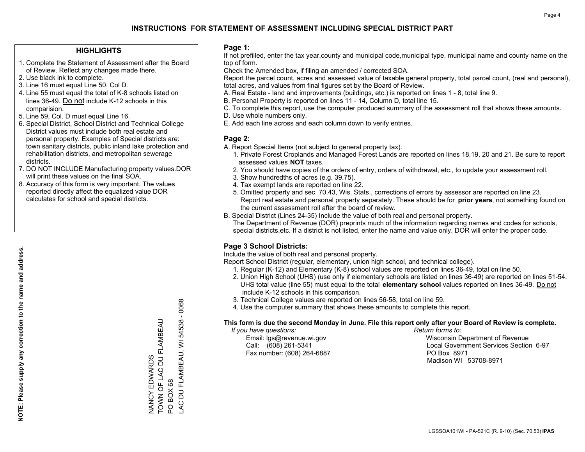### **HIGHLIGHTS**

- 1. Complete the Statement of Assessment after the Board of Review. Reflect any changes made there.
- 2. Use black ink to complete.
- 3. Line 16 must equal Line 50, Col D.
- 4. Line 55 must equal the total of K-8 schools listed on lines 36-49. Do not include K-12 schools in this comparision.
- 5. Line 59, Col. D must equal Line 16.
- 6. Special District, School District and Technical College District values must include both real estate and personal property. Examples of Special districts are: town sanitary districts, public inland lake protection and rehabilitation districts, and metropolitan sewerage districts.
- 7. DO NOT INCLUDE Manufacturing property values.DOR will print these values on the final SOA.

NANCY EDWARDS

TOWN OF LAC DU FLAMBEAU

NANCY EDWARDS<br>TOWN OF LAC DU FLAMBEAU

PO BOX 68

PO BOX 68

LAC DU FLAMBEAU, WI 54538 - 0068

AC DU FLAMBEAU, WI

54538 - 0068

 8. Accuracy of this form is very important. The values reported directly affect the equalized value DOR calculates for school and special districts.

### **Page 1:**

 If not prefilled, enter the tax year,county and municipal code,municipal type, municipal name and county name on the top of form.

Check the Amended box, if filing an amended / corrected SOA.

 Report the parcel count, acres and assessed value of taxable general property, total parcel count, (real and personal), total acres, and values from final figures set by the Board of Review.

- A. Real Estate land and improvements (buildings, etc.) is reported on lines 1 8, total line 9.
- B. Personal Property is reported on lines 11 14, Column D, total line 15.
- C. To complete this report, use the computer produced summary of the assessment roll that shows these amounts.
- D. Use whole numbers only.
- E. Add each line across and each column down to verify entries.

### **Page 2:**

- A. Report Special Items (not subject to general property tax).
- 1. Private Forest Croplands and Managed Forest Lands are reported on lines 18,19, 20 and 21. Be sure to report assessed values **NOT** taxes.
- 2. You should have copies of the orders of entry, orders of withdrawal, etc., to update your assessment roll.
	- 3. Show hundredths of acres (e.g. 39.75).
- 4. Tax exempt lands are reported on line 22.
- 5. Omitted property and sec. 70.43, Wis. Stats., corrections of errors by assessor are reported on line 23. Report real estate and personal property separately. These should be for **prior years**, not something found on the current assessment roll after the board of review.
- B. Special District (Lines 24-35) Include the value of both real and personal property.

 The Department of Revenue (DOR) preprints much of the information regarding names and codes for schools, special districts,etc. If a district is not listed, enter the name and value only, DOR will enter the proper code.

### **Page 3 School Districts:**

Include the value of both real and personal property.

Report School District (regular, elementary, union high school, and technical college).

- 1. Regular (K-12) and Elementary (K-8) school values are reported on lines 36-49, total on line 50.
- 2. Union High School (UHS) (use only if elementary schools are listed on lines 36-49) are reported on lines 51-54. UHS total value (line 55) must equal to the total **elementary school** values reported on lines 36-49. Do notinclude K-12 schools in this comparison.
- 3. Technical College values are reported on lines 56-58, total on line 59.
- 4. Use the computer summary that shows these amounts to complete this report.

### **This form is due the second Monday in June. File this report only after your Board of Review is complete.**

 *If you have questions: Return forms to:*

Fax number: (608) 264-6887 PO Box 8971

 Email: lgs@revenue.wi.gov Wisconsin Department of Revenue Call: (608) 261-5341 Local Government Services Section 6-97Madison WI 53708-8971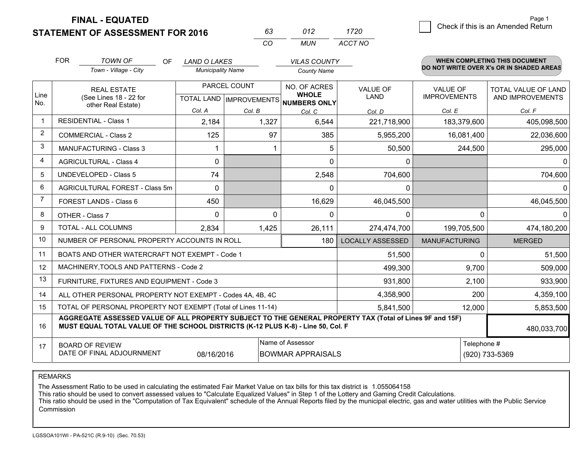**FINAL - EQUATED**

**STATEMENT OF ASSESSMENT FOR 2016** 

| 63 | 012 | 1720    |
|----|-----|---------|
| (  | MUN | ACCT NO |

|             | <b>FOR</b>                                                                                                                       | <b>TOWN OF</b><br><b>OF</b><br>Town - Village - City                                                                                                                                         | <b>LAND O LAKES</b><br><b>Municipality Name</b> |                                                     | <b>VILAS COUNTY</b><br><b>County Name</b> |                                |                                        | <b>WHEN COMPLETING THIS DOCUMENT</b><br>DO NOT WRITE OVER X's OR IN SHADED AREAS |
|-------------|----------------------------------------------------------------------------------------------------------------------------------|----------------------------------------------------------------------------------------------------------------------------------------------------------------------------------------------|-------------------------------------------------|-----------------------------------------------------|-------------------------------------------|--------------------------------|----------------------------------------|----------------------------------------------------------------------------------|
| Line<br>No. | <b>REAL ESTATE</b><br>(See Lines 18 - 22 for<br>other Real Estate)                                                               |                                                                                                                                                                                              |                                                 | PARCEL COUNT<br>TOTAL LAND MPROVEMENTS NUMBERS ONLY |                                           | <b>VALUE OF</b><br><b>LAND</b> | <b>VALUE OF</b><br><b>IMPROVEMENTS</b> | <b>TOTAL VALUE OF LAND</b><br>AND IMPROVEMENTS                                   |
|             |                                                                                                                                  |                                                                                                                                                                                              | Col. A                                          | Col. B                                              | Col. C                                    | Col. D                         | Col. E                                 | Col. F                                                                           |
|             |                                                                                                                                  | <b>RESIDENTIAL - Class 1</b>                                                                                                                                                                 | 2,184                                           | 1,327                                               | 6,544                                     | 221,718,900                    | 183,379,600                            | 405,098,500                                                                      |
| 2           |                                                                                                                                  | <b>COMMERCIAL - Class 2</b>                                                                                                                                                                  | 125                                             | 97                                                  | 385                                       | 5,955,200                      | 16,081,400                             | 22,036,600                                                                       |
| 3           |                                                                                                                                  | <b>MANUFACTURING - Class 3</b>                                                                                                                                                               |                                                 |                                                     | 5                                         | 50,500                         | 244,500                                | 295,000                                                                          |
| 4           |                                                                                                                                  | <b>AGRICULTURAL - Class 4</b>                                                                                                                                                                | $\Omega$                                        |                                                     | $\Omega$                                  | $\mathbf{0}$                   |                                        | $\Omega$                                                                         |
| 5           |                                                                                                                                  | <b>UNDEVELOPED - Class 5</b>                                                                                                                                                                 | 74                                              |                                                     | 2,548                                     | 704,600                        |                                        | 704,600                                                                          |
| 6           |                                                                                                                                  | AGRICULTURAL FOREST - Class 5m                                                                                                                                                               | $\Omega$                                        |                                                     | $\Omega$                                  | $\mathbf{0}$                   |                                        | $\Omega$                                                                         |
| 7           |                                                                                                                                  | FOREST LANDS - Class 6                                                                                                                                                                       | 450                                             |                                                     | 16,629                                    | 46,045,500                     |                                        | 46,045,500                                                                       |
| 8           |                                                                                                                                  | OTHER - Class 7                                                                                                                                                                              | $\Omega$                                        | $\Omega$                                            | $\Omega$                                  | 0                              | $\Omega$                               | 0                                                                                |
| 9           |                                                                                                                                  | TOTAL - ALL COLUMNS                                                                                                                                                                          | 2,834                                           | 1,425                                               | 26,111                                    | 274,474,700                    | 199,705,500                            | 474,180,200                                                                      |
| 10          |                                                                                                                                  | NUMBER OF PERSONAL PROPERTY ACCOUNTS IN ROLL                                                                                                                                                 |                                                 |                                                     | 180                                       | <b>LOCALLY ASSESSED</b>        | <b>MANUFACTURING</b>                   | <b>MERGED</b>                                                                    |
| 11          |                                                                                                                                  | BOATS AND OTHER WATERCRAFT NOT EXEMPT - Code 1                                                                                                                                               |                                                 |                                                     |                                           | 51,500                         | $\Omega$                               | 51,500                                                                           |
| 12          |                                                                                                                                  | MACHINERY, TOOLS AND PATTERNS - Code 2                                                                                                                                                       |                                                 |                                                     |                                           | 499,300                        | 9,700                                  | 509,000                                                                          |
| 13          |                                                                                                                                  | FURNITURE, FIXTURES AND EQUIPMENT - Code 3                                                                                                                                                   |                                                 |                                                     |                                           | 931,800                        | 2,100                                  | 933,900                                                                          |
| 14          |                                                                                                                                  | ALL OTHER PERSONAL PROPERTY NOT EXEMPT - Codes 4A, 4B, 4C                                                                                                                                    |                                                 |                                                     |                                           | 4,358,900                      | 200                                    | 4,359,100                                                                        |
| 15          |                                                                                                                                  | TOTAL OF PERSONAL PROPERTY NOT EXEMPT (Total of Lines 11-14)                                                                                                                                 |                                                 |                                                     |                                           | 5,841,500                      | 12,000                                 | 5,853,500                                                                        |
| 16          |                                                                                                                                  | AGGREGATE ASSESSED VALUE OF ALL PROPERTY SUBJECT TO THE GENERAL PROPERTY TAX (Total of Lines 9F and 15F)<br>MUST EQUAL TOTAL VALUE OF THE SCHOOL DISTRICTS (K-12 PLUS K-8) - Line 50, Col. F |                                                 |                                                     |                                           |                                |                                        | 480,033,700                                                                      |
| 17          | Name of Assessor<br>Telephone #<br><b>BOARD OF REVIEW</b><br>DATE OF FINAL ADJOURNMENT<br>08/16/2016<br><b>BOWMAR APPRAISALS</b> |                                                                                                                                                                                              |                                                 |                                                     |                                           |                                | (920) 733-5369                         |                                                                                  |

REMARKS

The Assessment Ratio to be used in calculating the estimated Fair Market Value on tax bills for this tax district is 1.055064158

This ratio should be used to convert assessed values to "Calculate Equalized Values" in Step 1 of the Lottery and Gaming Credit Calculations.<br>This ratio should be used in the "Computation of Tax Equivalent" schedule of the **Commission**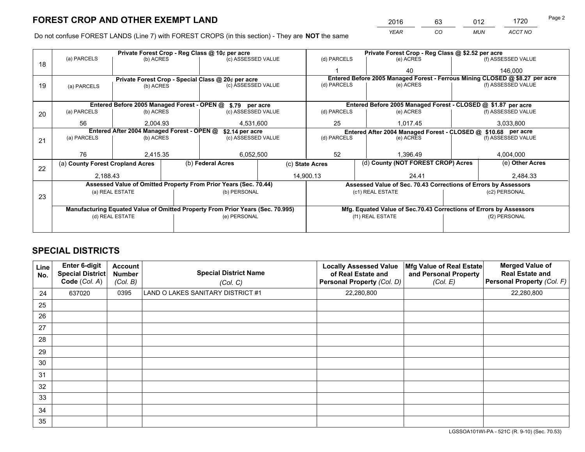*YEAR CO MUN ACCT NO* <sup>2016</sup> <sup>63</sup> <sup>012</sup> <sup>1720</sup>

Do not confuse FOREST LANDS (Line 7) with FOREST CROPS (in this section) - They are **NOT** the same

|    |                                  |                                            |  | Private Forest Crop - Reg Class @ 10¢ per acre                                 |                 | Private Forest Crop - Reg Class @ \$2.52 per acre             |                                    |                    |               |                                                                              |  |
|----|----------------------------------|--------------------------------------------|--|--------------------------------------------------------------------------------|-----------------|---------------------------------------------------------------|------------------------------------|--------------------|---------------|------------------------------------------------------------------------------|--|
| 18 | (a) PARCELS                      | (b) ACRES                                  |  | (c) ASSESSED VALUE                                                             |                 | (d) PARCELS                                                   |                                    | (e) ACRES          |               | (f) ASSESSED VALUE                                                           |  |
|    |                                  |                                            |  |                                                                                |                 |                                                               |                                    | 40                 |               | 146.000                                                                      |  |
|    |                                  |                                            |  | Private Forest Crop - Special Class @ 20¢ per acre                             |                 |                                                               |                                    |                    |               | Entered Before 2005 Managed Forest - Ferrous Mining CLOSED @ \$8.27 per acre |  |
| 19 | (a) PARCELS                      | (c) ASSESSED VALUE<br>(b) ACRES            |  | (d) PARCELS                                                                    |                 | (e) ACRES                                                     |                                    | (f) ASSESSED VALUE |               |                                                                              |  |
|    |                                  |                                            |  |                                                                                |                 |                                                               |                                    |                    |               |                                                                              |  |
|    |                                  |                                            |  | Entered Before 2005 Managed Forest - OPEN @ \$.79 per acre                     |                 |                                                               |                                    |                    |               | Entered Before 2005 Managed Forest - CLOSED @ \$1.87 per acre                |  |
| 20 | (a) PARCELS                      | (b) ACRES                                  |  | (c) ASSESSED VALUE                                                             |                 | (d) PARCELS                                                   |                                    | (e) ACRES          |               | (f) ASSESSED VALUE                                                           |  |
|    | 56                               | 2.004.93                                   |  | 4,531,600                                                                      |                 | 25                                                            |                                    | 1,017.45           |               | 3,033,800                                                                    |  |
|    |                                  | Entered After 2004 Managed Forest - OPEN @ |  | \$2.14 per acre                                                                |                 | Entered After 2004 Managed Forest - CLOSED @ \$10.68 per acre |                                    |                    |               |                                                                              |  |
| 21 | (a) PARCELS                      | (b) ACRES                                  |  | (c) ASSESSED VALUE                                                             |                 | (d) PARCELS<br>(e) ACRES                                      |                                    | (f) ASSESSED VALUE |               |                                                                              |  |
|    |                                  |                                            |  |                                                                                |                 |                                                               |                                    |                    |               |                                                                              |  |
|    | 76                               | 2,415.35                                   |  |                                                                                | 52<br>6,052,500 |                                                               |                                    | 1,396.49           |               | 4,004,000                                                                    |  |
| 22 | (a) County Forest Cropland Acres |                                            |  | (b) Federal Acres                                                              |                 | (c) State Acres                                               | (d) County (NOT FOREST CROP) Acres |                    |               | (e) Other Acres                                                              |  |
|    | 2,188.43                         |                                            |  | 14,900.13                                                                      |                 |                                                               | 24.41                              |                    |               | 2,484.33                                                                     |  |
|    |                                  |                                            |  | Assessed Value of Omitted Property From Prior Years (Sec. 70.44)               |                 |                                                               |                                    |                    |               | Assessed Value of Sec. 70.43 Corrections of Errors by Assessors              |  |
|    |                                  | (a) REAL ESTATE                            |  | (b) PERSONAL                                                                   |                 |                                                               | (c1) REAL ESTATE                   |                    |               | (c2) PERSONAL                                                                |  |
| 23 |                                  |                                            |  |                                                                                |                 |                                                               |                                    |                    |               |                                                                              |  |
|    |                                  |                                            |  | Manufacturing Equated Value of Omitted Property From Prior Years (Sec. 70.995) |                 |                                                               |                                    |                    |               | Mfg. Equated Value of Sec.70.43 Corrections of Errors by Assessors           |  |
|    |                                  | (d) REAL ESTATE                            |  | (e) PERSONAL                                                                   |                 | (f1) REAL ESTATE                                              |                                    |                    | (f2) PERSONAL |                                                                              |  |
|    |                                  |                                            |  |                                                                                |                 |                                                               |                                    |                    |               |                                                                              |  |

## **SPECIAL DISTRICTS**

| Line<br>No. | Enter 6-digit<br>Special District<br>Code (Col. A) | <b>Account</b><br><b>Number</b><br>(Col. B) | <b>Special District Name</b><br>(Col. C) | <b>Locally Assessed Value</b><br>of Real Estate and<br>Personal Property (Col. D) | Mfg Value of Real Estate<br>and Personal Property<br>(Col. E) | <b>Merged Value of</b><br><b>Real Estate and</b><br>Personal Property (Col. F) |
|-------------|----------------------------------------------------|---------------------------------------------|------------------------------------------|-----------------------------------------------------------------------------------|---------------------------------------------------------------|--------------------------------------------------------------------------------|
| 24          | 637020                                             | 0395                                        | LAND O LAKES SANITARY DISTRICT #1        | 22,280,800                                                                        |                                                               | 22,280,800                                                                     |
| 25          |                                                    |                                             |                                          |                                                                                   |                                                               |                                                                                |
| 26          |                                                    |                                             |                                          |                                                                                   |                                                               |                                                                                |
| 27          |                                                    |                                             |                                          |                                                                                   |                                                               |                                                                                |
| 28          |                                                    |                                             |                                          |                                                                                   |                                                               |                                                                                |
| 29          |                                                    |                                             |                                          |                                                                                   |                                                               |                                                                                |
| 30          |                                                    |                                             |                                          |                                                                                   |                                                               |                                                                                |
| 31          |                                                    |                                             |                                          |                                                                                   |                                                               |                                                                                |
| 32          |                                                    |                                             |                                          |                                                                                   |                                                               |                                                                                |
| 33          |                                                    |                                             |                                          |                                                                                   |                                                               |                                                                                |
| 34          |                                                    |                                             |                                          |                                                                                   |                                                               |                                                                                |
| 35          |                                                    |                                             |                                          |                                                                                   |                                                               |                                                                                |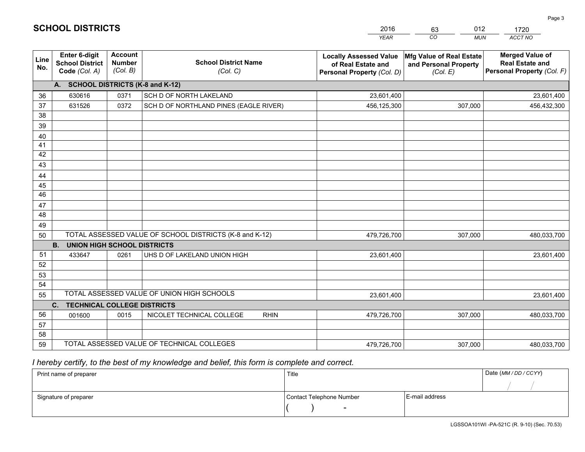|             |                                                                 |                                             |                                                         | <b>YEAR</b>                                                                       | CO<br><b>MUN</b>                                              | ACCT NO                                                                        |
|-------------|-----------------------------------------------------------------|---------------------------------------------|---------------------------------------------------------|-----------------------------------------------------------------------------------|---------------------------------------------------------------|--------------------------------------------------------------------------------|
| Line<br>No. | <b>Enter 6-digit</b><br><b>School District</b><br>Code (Col. A) | <b>Account</b><br><b>Number</b><br>(Col. B) | <b>School District Name</b><br>(Col. C)                 | <b>Locally Assessed Value</b><br>of Real Estate and<br>Personal Property (Col. D) | Mfg Value of Real Estate<br>and Personal Property<br>(Col. E) | <b>Merged Value of</b><br><b>Real Estate and</b><br>Personal Property (Col. F) |
|             | A. SCHOOL DISTRICTS (K-8 and K-12)                              |                                             |                                                         |                                                                                   |                                                               |                                                                                |
| 36          | 630616                                                          | 0371                                        | SCH D OF NORTH LAKELAND                                 | 23,601,400                                                                        |                                                               | 23,601,400                                                                     |
| 37          | 631526                                                          | 0372                                        | SCH D OF NORTHLAND PINES (EAGLE RIVER)                  | 456,125,300                                                                       | 307,000                                                       | 456,432,300                                                                    |
| 38          |                                                                 |                                             |                                                         |                                                                                   |                                                               |                                                                                |
| 39          |                                                                 |                                             |                                                         |                                                                                   |                                                               |                                                                                |
| 40          |                                                                 |                                             |                                                         |                                                                                   |                                                               |                                                                                |
| 41          |                                                                 |                                             |                                                         |                                                                                   |                                                               |                                                                                |
| 42          |                                                                 |                                             |                                                         |                                                                                   |                                                               |                                                                                |
| 43          |                                                                 |                                             |                                                         |                                                                                   |                                                               |                                                                                |
| 44<br>45    |                                                                 |                                             |                                                         |                                                                                   |                                                               |                                                                                |
| 46          |                                                                 |                                             |                                                         |                                                                                   |                                                               |                                                                                |
| 47          |                                                                 |                                             |                                                         |                                                                                   |                                                               |                                                                                |
| 48          |                                                                 |                                             |                                                         |                                                                                   |                                                               |                                                                                |
| 49          |                                                                 |                                             |                                                         |                                                                                   |                                                               |                                                                                |
| 50          |                                                                 |                                             | TOTAL ASSESSED VALUE OF SCHOOL DISTRICTS (K-8 and K-12) | 479,726,700                                                                       | 307,000                                                       | 480,033,700                                                                    |
|             | <b>B.</b><br><b>UNION HIGH SCHOOL DISTRICTS</b>                 |                                             |                                                         |                                                                                   |                                                               |                                                                                |
| 51          | 433647                                                          | 0261                                        | UHS D OF LAKELAND UNION HIGH                            | 23,601,400                                                                        |                                                               | 23,601,400                                                                     |
| 52          |                                                                 |                                             |                                                         |                                                                                   |                                                               |                                                                                |
| 53          |                                                                 |                                             |                                                         |                                                                                   |                                                               |                                                                                |
| 54          |                                                                 |                                             |                                                         |                                                                                   |                                                               |                                                                                |
| 55          |                                                                 |                                             | TOTAL ASSESSED VALUE OF UNION HIGH SCHOOLS              | 23,601,400                                                                        |                                                               | 23,601,400                                                                     |
|             | C.<br><b>TECHNICAL COLLEGE DISTRICTS</b>                        |                                             |                                                         |                                                                                   |                                                               |                                                                                |
| 56          | 001600                                                          | 0015                                        | NICOLET TECHNICAL COLLEGE<br><b>RHIN</b>                | 479,726,700                                                                       | 307,000                                                       | 480,033,700                                                                    |
| 57          |                                                                 |                                             |                                                         |                                                                                   |                                                               |                                                                                |
| 58          |                                                                 |                                             | TOTAL ASSESSED VALUE OF TECHNICAL COLLEGES              |                                                                                   |                                                               |                                                                                |
| 59          |                                                                 |                                             |                                                         | 479,726,700                                                                       | 307,000                                                       | 480,033,700                                                                    |

2016

63

012

 *I hereby certify, to the best of my knowledge and belief, this form is complete and correct.*

**SCHOOL DISTRICTS**

| Print name of preparer | Title                    | Date (MM / DD / CCYY) |  |
|------------------------|--------------------------|-----------------------|--|
|                        |                          |                       |  |
| Signature of preparer  | Contact Telephone Number | E-mail address        |  |
|                        | $\sim$                   |                       |  |

1720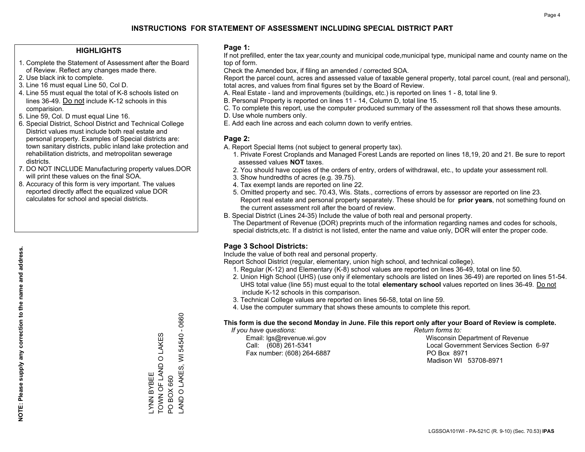### **HIGHLIGHTS**

- 1. Complete the Statement of Assessment after the Board of Review. Reflect any changes made there.
- 2. Use black ink to complete.
- 3. Line 16 must equal Line 50, Col D.
- 4. Line 55 must equal the total of K-8 schools listed on lines 36-49. Do not include K-12 schools in this comparision.
- 5. Line 59, Col. D must equal Line 16.
- 6. Special District, School District and Technical College District values must include both real estate and personal property. Examples of Special districts are: town sanitary districts, public inland lake protection and rehabilitation districts, and metropolitan sewerage districts.
- 7. DO NOT INCLUDE Manufacturing property values.DOR will print these values on the final SOA.

LYNN BYBEE

TOWN OF LAND O LAKES

TOWN OF LAND **YNN BYBEE** 

O LAKES

PO BOX 660

PO BOX 660

LAND O LAKES, WI 54540 - 0660

AND O LAKES, WI

0660  $\mathbf{I}$ 54540

 8. Accuracy of this form is very important. The values reported directly affect the equalized value DOR calculates for school and special districts.

### **Page 1:**

 If not prefilled, enter the tax year,county and municipal code,municipal type, municipal name and county name on the top of form.

Check the Amended box, if filing an amended / corrected SOA.

 Report the parcel count, acres and assessed value of taxable general property, total parcel count, (real and personal), total acres, and values from final figures set by the Board of Review.

- A. Real Estate land and improvements (buildings, etc.) is reported on lines 1 8, total line 9.
- B. Personal Property is reported on lines 11 14, Column D, total line 15.
- C. To complete this report, use the computer produced summary of the assessment roll that shows these amounts.
- D. Use whole numbers only.
- E. Add each line across and each column down to verify entries.

### **Page 2:**

- A. Report Special Items (not subject to general property tax).
- 1. Private Forest Croplands and Managed Forest Lands are reported on lines 18,19, 20 and 21. Be sure to report assessed values **NOT** taxes.
- 2. You should have copies of the orders of entry, orders of withdrawal, etc., to update your assessment roll.
	- 3. Show hundredths of acres (e.g. 39.75).
- 4. Tax exempt lands are reported on line 22.
- 5. Omitted property and sec. 70.43, Wis. Stats., corrections of errors by assessor are reported on line 23. Report real estate and personal property separately. These should be for **prior years**, not something found on the current assessment roll after the board of review.
- B. Special District (Lines 24-35) Include the value of both real and personal property.
- The Department of Revenue (DOR) preprints much of the information regarding names and codes for schools, special districts,etc. If a district is not listed, enter the name and value only, DOR will enter the proper code.

### **Page 3 School Districts:**

Include the value of both real and personal property.

Report School District (regular, elementary, union high school, and technical college).

- 1. Regular (K-12) and Elementary (K-8) school values are reported on lines 36-49, total on line 50.
- 2. Union High School (UHS) (use only if elementary schools are listed on lines 36-49) are reported on lines 51-54. UHS total value (line 55) must equal to the total **elementary school** values reported on lines 36-49. Do notinclude K-12 schools in this comparison.
- 3. Technical College values are reported on lines 56-58, total on line 59.
- 4. Use the computer summary that shows these amounts to complete this report.

#### **This form is due the second Monday in June. File this report only after your Board of Review is complete.**

 *If you have questions: Return forms to:*

Fax number: (608) 264-6887 PO Box 8971

 Email: lgs@revenue.wi.gov Wisconsin Department of Revenue Call: (608) 261-5341 Local Government Services Section 6-97Madison WI 53708-8971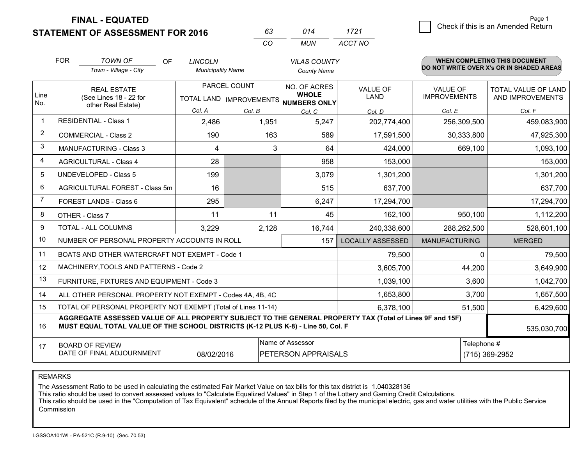**FINAL - EQUATED**

**STATEMENT OF ASSESSMENT FOR 2016** 

| 63       | 014 | 1721    |
|----------|-----|---------|
| $\alpha$ | MUN | ACCT NO |

|      | <b>FOR</b>                                                                                                                                    | <b>TOWN OF</b><br><b>OF</b><br>Town - Village - City | <b>LINCOLN</b><br><b>Municipality Name</b> |              | <b>VILAS COUNTY</b><br><b>County Name</b>                                        |                                                                                                          |                                        | <b>WHEN COMPLETING THIS DOCUMENT</b><br>DO NOT WRITE OVER X's OR IN SHADED AREAS |
|------|-----------------------------------------------------------------------------------------------------------------------------------------------|------------------------------------------------------|--------------------------------------------|--------------|----------------------------------------------------------------------------------|----------------------------------------------------------------------------------------------------------|----------------------------------------|----------------------------------------------------------------------------------|
| Line | <b>REAL ESTATE</b><br>(See Lines 18 - 22 for                                                                                                  |                                                      |                                            | PARCEL COUNT | NO. OF ACRES<br><b>WHOLE</b>                                                     | <b>VALUE OF</b><br><b>LAND</b>                                                                           | <b>VALUE OF</b><br><b>IMPROVEMENTS</b> | TOTAL VALUE OF LAND<br>AND IMPROVEMENTS                                          |
| No.  | other Real Estate)                                                                                                                            |                                                      | Col. A                                     | Col. B       | TOTAL LAND IMPROVEMENTS NUMBERS ONLY<br>Col. C                                   | Col. D                                                                                                   | Col. E                                 | Col. F                                                                           |
|      | <b>RESIDENTIAL - Class 1</b>                                                                                                                  |                                                      | 2,486                                      | 1,951        | 5,247                                                                            | 202,774,400                                                                                              | 256,309,500                            | 459,083,900                                                                      |
| 2    | <b>COMMERCIAL - Class 2</b>                                                                                                                   |                                                      | 190                                        | 163          | 589                                                                              | 17,591,500                                                                                               | 30,333,800                             | 47,925,300                                                                       |
| 3    | <b>MANUFACTURING - Class 3</b>                                                                                                                |                                                      | 4                                          | 3            | 64                                                                               | 424,000                                                                                                  | 669,100                                | 1,093,100                                                                        |
| 4    | <b>AGRICULTURAL - Class 4</b>                                                                                                                 |                                                      | 28                                         |              | 958                                                                              | 153,000                                                                                                  |                                        | 153,000                                                                          |
| 5    | UNDEVELOPED - Class 5                                                                                                                         |                                                      | 199                                        |              | 3,079                                                                            | 1,301,200                                                                                                |                                        | 1,301,200                                                                        |
| 6    | AGRICULTURAL FOREST - Class 5m                                                                                                                |                                                      | 16                                         |              | 515                                                                              | 637,700                                                                                                  |                                        | 637,700                                                                          |
| 7    | FOREST LANDS - Class 6                                                                                                                        |                                                      | 295                                        |              | 6,247                                                                            | 17,294,700                                                                                               |                                        | 17,294,700                                                                       |
| 8    | OTHER - Class 7                                                                                                                               |                                                      | 11                                         | 11           | 45                                                                               | 162,100                                                                                                  | 950,100                                | 1,112,200                                                                        |
| 9    | TOTAL - ALL COLUMNS                                                                                                                           |                                                      | 3,229                                      | 2,128        | 16,744                                                                           | 240,338,600                                                                                              | 288,262,500                            | 528,601,100                                                                      |
| 10   | NUMBER OF PERSONAL PROPERTY ACCOUNTS IN ROLL                                                                                                  |                                                      |                                            |              | 157                                                                              | <b>LOCALLY ASSESSED</b>                                                                                  | <b>MANUFACTURING</b>                   | <b>MERGED</b>                                                                    |
| 11   | BOATS AND OTHER WATERCRAFT NOT EXEMPT - Code 1                                                                                                |                                                      |                                            |              |                                                                                  | 79,500                                                                                                   | $\Omega$                               | 79,500                                                                           |
| 12   | MACHINERY, TOOLS AND PATTERNS - Code 2                                                                                                        |                                                      |                                            |              |                                                                                  | 3,605,700                                                                                                | 44,200                                 | 3,649,900                                                                        |
| 13   | FURNITURE, FIXTURES AND EQUIPMENT - Code 3                                                                                                    |                                                      |                                            |              |                                                                                  | 1,039,100                                                                                                | 3,600                                  | 1,042,700                                                                        |
| 14   | ALL OTHER PERSONAL PROPERTY NOT EXEMPT - Codes 4A, 4B, 4C                                                                                     |                                                      |                                            |              |                                                                                  | 1,653,800                                                                                                | 3,700                                  | 1,657,500                                                                        |
| 15   | TOTAL OF PERSONAL PROPERTY NOT EXEMPT (Total of Lines 11-14)                                                                                  |                                                      |                                            |              |                                                                                  | 6,378,100                                                                                                | 51,500                                 | 6,429,600                                                                        |
| 16   |                                                                                                                                               |                                                      |                                            |              | MUST EQUAL TOTAL VALUE OF THE SCHOOL DISTRICTS (K-12 PLUS K-8) - Line 50, Col. F | AGGREGATE ASSESSED VALUE OF ALL PROPERTY SUBJECT TO THE GENERAL PROPERTY TAX (Total of Lines 9F and 15F) |                                        | 535,030,700                                                                      |
| 17   | Name of Assessor<br>Telephone #<br><b>BOARD OF REVIEW</b><br>DATE OF FINAL ADJOURNMENT<br>08/02/2016<br>PETERSON APPRAISALS<br>(715) 369-2952 |                                                      |                                            |              |                                                                                  |                                                                                                          |                                        |                                                                                  |

REMARKS

The Assessment Ratio to be used in calculating the estimated Fair Market Value on tax bills for this tax district is 1.040328136<br>This ratio should be used to convert assessed values to "Calculate Equalized Values" in Step **Commission**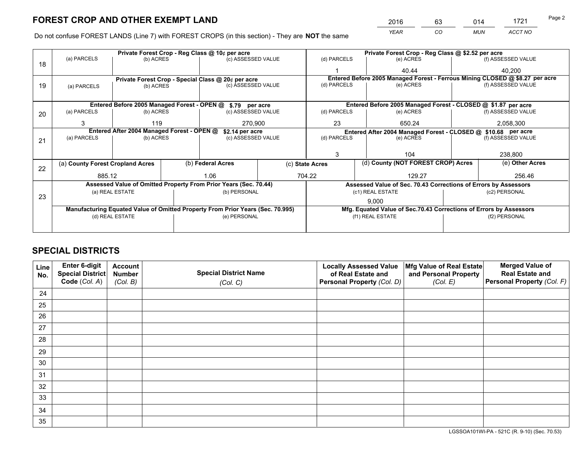*YEAR CO MUN ACCT NO* <sup>2016</sup> <sup>63</sup> <sup>014</sup> <sup>1721</sup>

Do not confuse FOREST LANDS (Line 7) with FOREST CROPS (in this section) - They are **NOT** the same

|    |                                  |                                                               |  | Private Forest Crop - Reg Class @ 10¢ per acre                                 |                 | Private Forest Crop - Reg Class @ \$2.52 per acre             |  |                                                                    |               |                                                                              |
|----|----------------------------------|---------------------------------------------------------------|--|--------------------------------------------------------------------------------|-----------------|---------------------------------------------------------------|--|--------------------------------------------------------------------|---------------|------------------------------------------------------------------------------|
| 18 | (a) PARCELS                      | (b) ACRES                                                     |  | (c) ASSESSED VALUE                                                             |                 | (d) PARCELS                                                   |  | (e) ACRES                                                          |               | (f) ASSESSED VALUE                                                           |
|    |                                  |                                                               |  |                                                                                |                 |                                                               |  | 40.44                                                              |               | 40,200                                                                       |
|    |                                  |                                                               |  | Private Forest Crop - Special Class @ 20¢ per acre                             |                 |                                                               |  |                                                                    |               | Entered Before 2005 Managed Forest - Ferrous Mining CLOSED @ \$8.27 per acre |
| 19 | (a) PARCELS                      | (b) ACRES                                                     |  | (c) ASSESSED VALUE                                                             |                 | (d) PARCELS                                                   |  | (e) ACRES                                                          |               | (f) ASSESSED VALUE                                                           |
|    |                                  |                                                               |  |                                                                                |                 |                                                               |  |                                                                    |               |                                                                              |
|    |                                  |                                                               |  | Entered Before 2005 Managed Forest - OPEN @ \$.79 per acre                     |                 |                                                               |  | Entered Before 2005 Managed Forest - CLOSED @ \$1.87 per acre      |               |                                                                              |
| 20 | (a) PARCELS                      | (b) ACRES                                                     |  | (c) ASSESSED VALUE                                                             |                 | (d) PARCELS                                                   |  | (e) ACRES                                                          |               | (f) ASSESSED VALUE                                                           |
|    | 3                                | 119                                                           |  | 270,900                                                                        |                 | 23                                                            |  | 650.24                                                             |               | 2,058,300                                                                    |
|    |                                  | Entered After 2004 Managed Forest - OPEN @<br>\$2.14 per acre |  |                                                                                |                 | Entered After 2004 Managed Forest - CLOSED @ \$10.68 per acre |  |                                                                    |               |                                                                              |
| 21 | (a) PARCELS                      | (b) ACRES                                                     |  | (c) ASSESSED VALUE                                                             |                 | (d) PARCELS<br>(e) ACRES                                      |  | (f) ASSESSED VALUE                                                 |               |                                                                              |
|    |                                  |                                                               |  |                                                                                |                 |                                                               |  |                                                                    |               |                                                                              |
|    |                                  |                                                               |  |                                                                                |                 | 3                                                             |  | 104                                                                |               | 238,800                                                                      |
| 22 | (a) County Forest Cropland Acres |                                                               |  | (b) Federal Acres                                                              | (c) State Acres |                                                               |  | (d) County (NOT FOREST CROP) Acres                                 |               | (e) Other Acres                                                              |
|    | 885.12                           |                                                               |  | 1.06                                                                           |                 | 704.22                                                        |  | 129.27                                                             |               | 256.46                                                                       |
|    |                                  |                                                               |  | Assessed Value of Omitted Property From Prior Years (Sec. 70.44)               |                 |                                                               |  | Assessed Value of Sec. 70.43 Corrections of Errors by Assessors    |               |                                                                              |
| 23 |                                  | (a) REAL ESTATE                                               |  | (b) PERSONAL                                                                   |                 |                                                               |  | (c1) REAL ESTATE                                                   |               | (c2) PERSONAL                                                                |
|    |                                  |                                                               |  |                                                                                |                 |                                                               |  | 9,000                                                              |               |                                                                              |
|    |                                  |                                                               |  | Manufacturing Equated Value of Omitted Property From Prior Years (Sec. 70.995) |                 |                                                               |  | Mfg. Equated Value of Sec.70.43 Corrections of Errors by Assessors |               |                                                                              |
|    |                                  | (d) REAL ESTATE                                               |  | (e) PERSONAL                                                                   |                 |                                                               |  | (f1) REAL ESTATE                                                   | (f2) PERSONAL |                                                                              |
|    |                                  |                                                               |  |                                                                                |                 |                                                               |  |                                                                    |               |                                                                              |

## **SPECIAL DISTRICTS**

| Line<br>No. | Enter 6-digit<br>Special District<br>Code (Col. A) | <b>Account</b><br><b>Number</b> | <b>Special District Name</b> | <b>Locally Assessed Value</b><br>of Real Estate and | Mfg Value of Real Estate<br>and Personal Property | <b>Merged Value of</b><br><b>Real Estate and</b><br>Personal Property (Col. F) |
|-------------|----------------------------------------------------|---------------------------------|------------------------------|-----------------------------------------------------|---------------------------------------------------|--------------------------------------------------------------------------------|
|             |                                                    | (Col. B)                        | (Col. C)                     | Personal Property (Col. D)                          | (Col. E)                                          |                                                                                |
| 24          |                                                    |                                 |                              |                                                     |                                                   |                                                                                |
| 25          |                                                    |                                 |                              |                                                     |                                                   |                                                                                |
| 26          |                                                    |                                 |                              |                                                     |                                                   |                                                                                |
| 27          |                                                    |                                 |                              |                                                     |                                                   |                                                                                |
| 28          |                                                    |                                 |                              |                                                     |                                                   |                                                                                |
| 29          |                                                    |                                 |                              |                                                     |                                                   |                                                                                |
| 30          |                                                    |                                 |                              |                                                     |                                                   |                                                                                |
| 31          |                                                    |                                 |                              |                                                     |                                                   |                                                                                |
| 32          |                                                    |                                 |                              |                                                     |                                                   |                                                                                |
| 33          |                                                    |                                 |                              |                                                     |                                                   |                                                                                |
| 34          |                                                    |                                 |                              |                                                     |                                                   |                                                                                |
| 35          |                                                    |                                 |                              |                                                     |                                                   |                                                                                |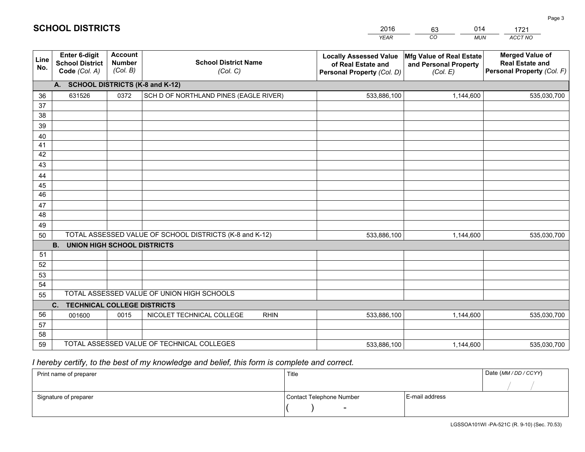|                                         | 2016<br><b>YEAR</b>                                                               | 014<br>63<br>CO<br><b>MUN</b>                                 | 1721<br>ACCT NO                                                                |
|-----------------------------------------|-----------------------------------------------------------------------------------|---------------------------------------------------------------|--------------------------------------------------------------------------------|
| <b>School District Name</b><br>(Col. C) | <b>Locally Assessed Value</b><br>of Real Estate and<br>Personal Property (Col. D) | Mfg Value of Real Estate<br>and Personal Property<br>(Col, E) | <b>Merged Value of</b><br><b>Real Estate and</b><br>Personal Property (Col. F) |
| 3 and K-12)                             |                                                                                   |                                                               |                                                                                |

| <b>Line</b><br>No. | <b>School District</b><br>Code (Col. A)              | <b>Number</b><br>(Col. B) | <b>School District Name</b><br>(Col. C)                 | of Real Estate and<br>Personal Property (Col. D) | and Personal Property<br>(Col. E) | <b>Real Estate and</b><br>Personal Property (Col. F) |
|--------------------|------------------------------------------------------|---------------------------|---------------------------------------------------------|--------------------------------------------------|-----------------------------------|------------------------------------------------------|
|                    | A. SCHOOL DISTRICTS (K-8 and K-12)                   |                           |                                                         |                                                  |                                   |                                                      |
| 36                 | 631526                                               | 0372                      | SCH D OF NORTHLAND PINES (EAGLE RIVER)                  | 533,886,100                                      | 1,144,600                         | 535,030,700                                          |
| 37                 |                                                      |                           |                                                         |                                                  |                                   |                                                      |
| 38                 |                                                      |                           |                                                         |                                                  |                                   |                                                      |
| 39                 |                                                      |                           |                                                         |                                                  |                                   |                                                      |
| 40                 |                                                      |                           |                                                         |                                                  |                                   |                                                      |
| 41                 |                                                      |                           |                                                         |                                                  |                                   |                                                      |
| 42                 |                                                      |                           |                                                         |                                                  |                                   |                                                      |
| 43                 |                                                      |                           |                                                         |                                                  |                                   |                                                      |
| 44                 |                                                      |                           |                                                         |                                                  |                                   |                                                      |
| 45<br>46           |                                                      |                           |                                                         |                                                  |                                   |                                                      |
|                    |                                                      |                           |                                                         |                                                  |                                   |                                                      |
| 47<br>48           |                                                      |                           |                                                         |                                                  |                                   |                                                      |
| 49                 |                                                      |                           |                                                         |                                                  |                                   |                                                      |
| 50                 |                                                      |                           | TOTAL ASSESSED VALUE OF SCHOOL DISTRICTS (K-8 and K-12) | 533,886,100                                      | 1,144,600                         | 535,030,700                                          |
|                    | <b>B.</b><br><b>UNION HIGH SCHOOL DISTRICTS</b>      |                           |                                                         |                                                  |                                   |                                                      |
| 51                 |                                                      |                           |                                                         |                                                  |                                   |                                                      |
| 52                 |                                                      |                           |                                                         |                                                  |                                   |                                                      |
| 53                 |                                                      |                           |                                                         |                                                  |                                   |                                                      |
| 54                 |                                                      |                           |                                                         |                                                  |                                   |                                                      |
| 55                 |                                                      |                           | TOTAL ASSESSED VALUE OF UNION HIGH SCHOOLS              |                                                  |                                   |                                                      |
|                    | <b>TECHNICAL COLLEGE DISTRICTS</b><br>$\mathbf{C}$ . |                           |                                                         |                                                  |                                   |                                                      |
| 56                 | 001600                                               | 0015                      | NICOLET TECHNICAL COLLEGE<br><b>RHIN</b>                | 533,886,100                                      | 1,144,600                         | 535,030,700                                          |
| 57                 |                                                      |                           |                                                         |                                                  |                                   |                                                      |
| 58                 |                                                      |                           |                                                         |                                                  |                                   |                                                      |
| 59                 |                                                      |                           | TOTAL ASSESSED VALUE OF TECHNICAL COLLEGES              | 533,886,100                                      | 1,144,600                         | 535,030,700                                          |

## *I hereby certify, to the best of my knowledge and belief, this form is complete and correct.*

**SCHOOL DISTRICTS**

**Enter 6-digit**

**Account**

**LineNo.**

| Print name of preparer | Title                    |                | Date (MM / DD / CCYY) |
|------------------------|--------------------------|----------------|-----------------------|
|                        |                          |                |                       |
| Signature of preparer  | Contact Telephone Number | E-mail address |                       |
|                        | $\overline{\phantom{0}}$ |                |                       |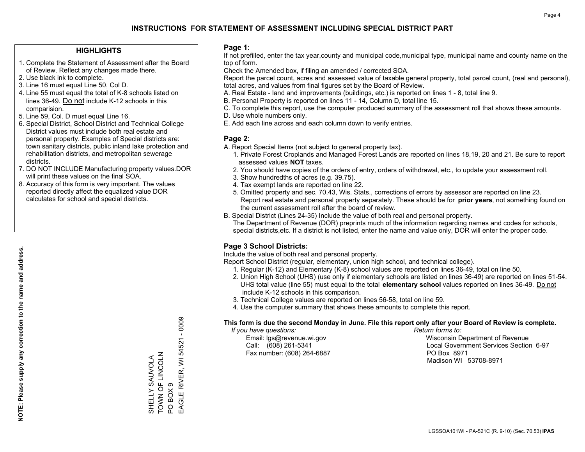### **HIGHLIGHTS**

- 1. Complete the Statement of Assessment after the Board of Review. Reflect any changes made there.
- 2. Use black ink to complete.
- 3. Line 16 must equal Line 50, Col D.
- 4. Line 55 must equal the total of K-8 schools listed on lines 36-49. Do not include K-12 schools in this comparision.
- 5. Line 59, Col. D must equal Line 16.
- 6. Special District, School District and Technical College District values must include both real estate and personal property. Examples of Special districts are: town sanitary districts, public inland lake protection and rehabilitation districts, and metropolitan sewerage districts.
- 7. DO NOT INCLUDE Manufacturing property values.DOR will print these values on the final SOA.
- 8. Accuracy of this form is very important. The values reported directly affect the equalized value DOR calculates for school and special districts.

### **Page 1:**

 If not prefilled, enter the tax year,county and municipal code,municipal type, municipal name and county name on the top of form.

Check the Amended box, if filing an amended / corrected SOA.

 Report the parcel count, acres and assessed value of taxable general property, total parcel count, (real and personal), total acres, and values from final figures set by the Board of Review.

- A. Real Estate land and improvements (buildings, etc.) is reported on lines 1 8, total line 9.
- B. Personal Property is reported on lines 11 14, Column D, total line 15.
- C. To complete this report, use the computer produced summary of the assessment roll that shows these amounts.
- D. Use whole numbers only.
- E. Add each line across and each column down to verify entries.

### **Page 2:**

- A. Report Special Items (not subject to general property tax).
- 1. Private Forest Croplands and Managed Forest Lands are reported on lines 18,19, 20 and 21. Be sure to report assessed values **NOT** taxes.
- 2. You should have copies of the orders of entry, orders of withdrawal, etc., to update your assessment roll.
	- 3. Show hundredths of acres (e.g. 39.75).
- 4. Tax exempt lands are reported on line 22.
- 5. Omitted property and sec. 70.43, Wis. Stats., corrections of errors by assessor are reported on line 23. Report real estate and personal property separately. These should be for **prior years**, not something found on the current assessment roll after the board of review.
- B. Special District (Lines 24-35) Include the value of both real and personal property.

 The Department of Revenue (DOR) preprints much of the information regarding names and codes for schools, special districts,etc. If a district is not listed, enter the name and value only, DOR will enter the proper code.

### **Page 3 School Districts:**

Include the value of both real and personal property.

Report School District (regular, elementary, union high school, and technical college).

- 1. Regular (K-12) and Elementary (K-8) school values are reported on lines 36-49, total on line 50.
- 2. Union High School (UHS) (use only if elementary schools are listed on lines 36-49) are reported on lines 51-54. UHS total value (line 55) must equal to the total **elementary school** values reported on lines 36-49. Do notinclude K-12 schools in this comparison.
- 3. Technical College values are reported on lines 56-58, total on line 59.
- 4. Use the computer summary that shows these amounts to complete this report.

#### **This form is due the second Monday in June. File this report only after your Board of Review is complete.**

 *If you have questions: Return forms to:*

Fax number: (608) 264-6887 PO Box 8971

 Email: lgs@revenue.wi.gov Wisconsin Department of Revenue Call: (608) 261-5341 Local Government Services Section 6-97Madison WI 53708-8971

EAGLE RIVER, WI 54521 - 0009 EAGLE RIVER, WI 54521 - 0009 TOWN OF LINCOLN TOWN OF LINCOLN SHELLY SAUVOLA PO BOX 9 PO BOX 9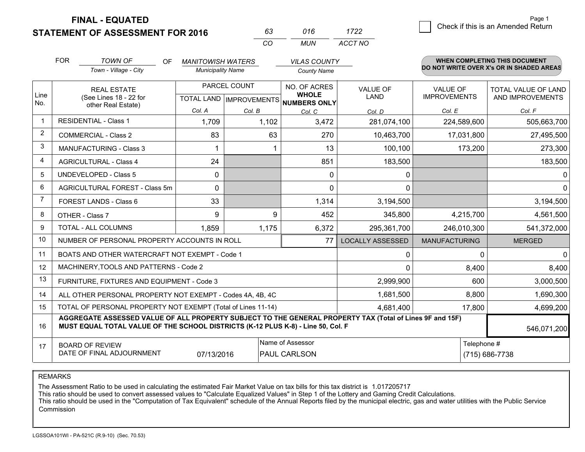**STATEMENT OF ASSESSMENT FOR 2016** 

**FINAL - EQUATED**

|                | <b>FOR</b>                     | <b>TOWN OF</b><br><b>OF</b>                                                                                                                                                                  | <b>MANITOWISH WATERS</b> |                                | <b>VILAS COUNTY</b>                 |                         |                      | <b>WHEN COMPLETING THIS DOCUMENT</b>     |
|----------------|--------------------------------|----------------------------------------------------------------------------------------------------------------------------------------------------------------------------------------------|--------------------------|--------------------------------|-------------------------------------|-------------------------|----------------------|------------------------------------------|
|                |                                | Town - Village - City                                                                                                                                                                        | <b>Municipality Name</b> |                                | <b>County Name</b>                  |                         |                      | DO NOT WRITE OVER X's OR IN SHADED AREAS |
|                |                                | PARCEL COUNT<br><b>REAL ESTATE</b>                                                                                                                                                           |                          |                                | NO. OF ACRES                        | <b>VALUE OF</b>         | <b>VALUE OF</b>      | TOTAL VALUE OF LAND                      |
| Line<br>No.    |                                | (See Lines 18 - 22 for<br>other Real Estate)                                                                                                                                                 |                          | <b>TOTAL LAND IMPROVEMENTS</b> | <b>WHOLE</b><br><b>NUMBERS ONLY</b> | LAND                    | <b>IMPROVEMENTS</b>  | AND IMPROVEMENTS                         |
|                |                                |                                                                                                                                                                                              | Col. A                   | Col. B                         | Col. C                              | Col. D                  | Col. E               | Col. F                                   |
| $\overline{1}$ |                                | <b>RESIDENTIAL - Class 1</b>                                                                                                                                                                 | 1,709                    | 1,102                          | 3,472                               | 281,074,100             | 224,589,600          | 505,663,700                              |
| $\overline{2}$ |                                | <b>COMMERCIAL - Class 2</b>                                                                                                                                                                  | 83                       | 63                             | 270                                 | 10,463,700              | 17,031,800           | 27,495,500                               |
| 3              |                                | <b>MANUFACTURING - Class 3</b>                                                                                                                                                               |                          |                                | 13                                  | 100,100                 | 173,200              | 273,300                                  |
| 4              |                                | <b>AGRICULTURAL - Class 4</b>                                                                                                                                                                | 24                       |                                | 851                                 | 183,500                 |                      | 183,500                                  |
| 5              | <b>UNDEVELOPED - Class 5</b>   |                                                                                                                                                                                              | $\mathbf{0}$             |                                | 0                                   | 0                       |                      | 0                                        |
| 6              | AGRICULTURAL FOREST - Class 5m |                                                                                                                                                                                              | 0                        |                                | $\Omega$                            | 0                       |                      | $\Omega$                                 |
| $\overline{7}$ | <b>FOREST LANDS - Class 6</b>  |                                                                                                                                                                                              | 33                       |                                | 1,314                               | 3,194,500               |                      | 3,194,500                                |
| 8              | OTHER - Class 7                |                                                                                                                                                                                              | 9                        | 9                              | 452                                 | 345,800                 | 4,215,700            | 4,561,500                                |
| 9              |                                | TOTAL - ALL COLUMNS                                                                                                                                                                          | 1,859                    | 1,175                          | 6,372                               | 295,361,700             | 246,010,300          | 541,372,000                              |
| 10             |                                | NUMBER OF PERSONAL PROPERTY ACCOUNTS IN ROLL                                                                                                                                                 |                          |                                | 77                                  | <b>LOCALLY ASSESSED</b> | <b>MANUFACTURING</b> | <b>MERGED</b>                            |
| 11             |                                | BOATS AND OTHER WATERCRAFT NOT EXEMPT - Code 1                                                                                                                                               |                          |                                |                                     | 0                       | $\Omega$             | $\Omega$                                 |
| 12             |                                | MACHINERY, TOOLS AND PATTERNS - Code 2                                                                                                                                                       |                          |                                |                                     | 0                       | 8,400                | 8,400                                    |
| 13             |                                | FURNITURE, FIXTURES AND EQUIPMENT - Code 3                                                                                                                                                   |                          |                                |                                     | 2,999,900               | 600                  | 3,000,500                                |
| 14             |                                | ALL OTHER PERSONAL PROPERTY NOT EXEMPT - Codes 4A, 4B, 4C                                                                                                                                    |                          |                                |                                     | 1,681,500               | 8,800                | 1,690,300                                |
| 15             |                                | TOTAL OF PERSONAL PROPERTY NOT EXEMPT (Total of Lines 11-14)                                                                                                                                 |                          |                                |                                     | 4,681,400               | 17,800               | 4,699,200                                |
| 16             |                                | AGGREGATE ASSESSED VALUE OF ALL PROPERTY SUBJECT TO THE GENERAL PROPERTY TAX (Total of Lines 9F and 15F)<br>MUST EQUAL TOTAL VALUE OF THE SCHOOL DISTRICTS (K-12 PLUS K-8) - Line 50, Col. F |                          |                                |                                     |                         |                      | 546,071,200                              |
| 17             |                                | <b>BOARD OF REVIEW</b>                                                                                                                                                                       |                          |                                | Name of Assessor                    |                         | Telephone #          |                                          |
|                |                                | DATE OF FINAL ADJOURNMENT                                                                                                                                                                    | 07/13/2016               |                                | PAUL CARLSON                        | (715) 686-7738          |                      |                                          |

*CO*

*MUN*

*ACCT NO1722*

*<sup>63</sup> <sup>016</sup>*

REMARKS

The Assessment Ratio to be used in calculating the estimated Fair Market Value on tax bills for this tax district is 1.017205717<br>This ratio should be used to convert assessed values to "Calculate Equalized Values" in Step Commission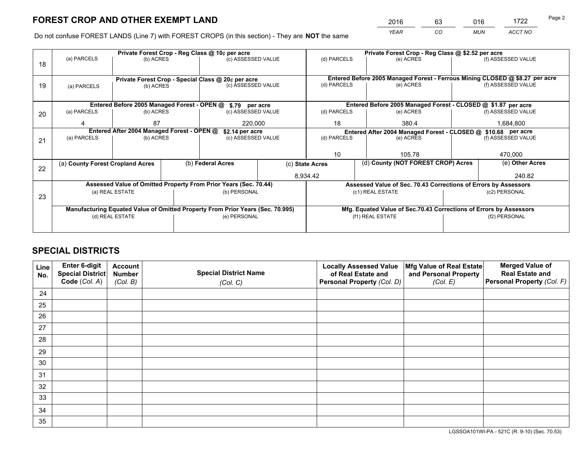*YEAR CO MUN ACCT NO* <sup>2016</sup> <sup>63</sup> <sup>016</sup> <sup>1722</sup>

Do not confuse FOREST LANDS (Line 7) with FOREST CROPS (in this section) - They are **NOT** the same

|    |                                                               |                 |  | Private Forest Crop - Reg Class @ 10¢ per acre                                 |             | Private Forest Crop - Reg Class @ \$2.52 per acre             |                                                                              |           |                    |  |
|----|---------------------------------------------------------------|-----------------|--|--------------------------------------------------------------------------------|-------------|---------------------------------------------------------------|------------------------------------------------------------------------------|-----------|--------------------|--|
| 18 | (a) PARCELS                                                   | (b) ACRES       |  | (c) ASSESSED VALUE                                                             |             | (d) PARCELS                                                   | (e) ACRES                                                                    |           | (f) ASSESSED VALUE |  |
|    |                                                               |                 |  |                                                                                |             |                                                               |                                                                              |           |                    |  |
|    |                                                               |                 |  | Private Forest Crop - Special Class @ 20¢ per acre                             |             |                                                               | Entered Before 2005 Managed Forest - Ferrous Mining CLOSED @ \$8.27 per acre |           |                    |  |
| 19 | (a) PARCELS                                                   | (b) ACRES       |  | (c) ASSESSED VALUE                                                             |             | (d) PARCELS                                                   | (e) ACRES                                                                    |           | (f) ASSESSED VALUE |  |
|    |                                                               |                 |  |                                                                                |             |                                                               |                                                                              |           |                    |  |
|    |                                                               |                 |  | Entered Before 2005 Managed Forest - OPEN @ \$.79 per acre                     |             |                                                               | Entered Before 2005 Managed Forest - CLOSED @ \$1.87 per acre                |           |                    |  |
| 20 | (a) PARCELS                                                   | (b) ACRES       |  | (c) ASSESSED VALUE                                                             |             | (d) PARCELS                                                   | (e) ACRES                                                                    |           | (f) ASSESSED VALUE |  |
|    |                                                               | 87<br>220,000   |  |                                                                                | 18<br>380.4 |                                                               |                                                                              | 1,684,800 |                    |  |
|    | Entered After 2004 Managed Forest - OPEN @<br>\$2.14 per acre |                 |  |                                                                                |             | Entered After 2004 Managed Forest - CLOSED @ \$10.68 per acre |                                                                              |           |                    |  |
| 21 | (a) PARCELS                                                   | (b) ACRES       |  | (c) ASSESSED VALUE                                                             | (d) PARCELS |                                                               | (e) ACRES                                                                    |           |                    |  |
|    |                                                               |                 |  |                                                                                |             |                                                               |                                                                              |           |                    |  |
|    |                                                               |                 |  |                                                                                |             | 10                                                            | 105.78                                                                       |           | 470,000            |  |
| 22 | (a) County Forest Cropland Acres                              |                 |  | (b) Federal Acres                                                              |             |                                                               | (d) County (NOT FOREST CROP) Acres<br>(c) State Acres                        |           | (e) Other Acres    |  |
|    |                                                               |                 |  |                                                                                |             | 8,934.42                                                      |                                                                              |           | 240.82             |  |
|    |                                                               |                 |  | Assessed Value of Omitted Property From Prior Years (Sec. 70.44)               |             |                                                               | Assessed Value of Sec. 70.43 Corrections of Errors by Assessors              |           |                    |  |
| 23 |                                                               | (a) REAL ESTATE |  | (b) PERSONAL                                                                   |             |                                                               | (c1) REAL ESTATE                                                             |           | (c2) PERSONAL      |  |
|    |                                                               |                 |  |                                                                                |             |                                                               |                                                                              |           |                    |  |
|    |                                                               |                 |  | Manufacturing Equated Value of Omitted Property From Prior Years (Sec. 70.995) |             |                                                               | Mfg. Equated Value of Sec.70.43 Corrections of Errors by Assessors           |           |                    |  |
|    |                                                               | (d) REAL ESTATE |  | (e) PERSONAL                                                                   |             |                                                               | (f1) REAL ESTATE                                                             |           | (f2) PERSONAL      |  |
|    |                                                               |                 |  |                                                                                |             |                                                               |                                                                              |           |                    |  |

## **SPECIAL DISTRICTS**

| Line<br>No. | Enter 6-digit<br>Special District<br>Code (Col. A) | <b>Account</b><br><b>Number</b> | <b>Special District Name</b> | <b>Locally Assessed Value</b><br>of Real Estate and | Mfg Value of Real Estate<br>and Personal Property | <b>Merged Value of</b><br><b>Real Estate and</b><br>Personal Property (Col. F) |
|-------------|----------------------------------------------------|---------------------------------|------------------------------|-----------------------------------------------------|---------------------------------------------------|--------------------------------------------------------------------------------|
|             |                                                    | (Col. B)                        | (Col. C)                     | Personal Property (Col. D)                          | (Col. E)                                          |                                                                                |
| 24          |                                                    |                                 |                              |                                                     |                                                   |                                                                                |
| 25          |                                                    |                                 |                              |                                                     |                                                   |                                                                                |
| 26          |                                                    |                                 |                              |                                                     |                                                   |                                                                                |
| 27          |                                                    |                                 |                              |                                                     |                                                   |                                                                                |
| 28          |                                                    |                                 |                              |                                                     |                                                   |                                                                                |
| 29          |                                                    |                                 |                              |                                                     |                                                   |                                                                                |
| 30          |                                                    |                                 |                              |                                                     |                                                   |                                                                                |
| 31          |                                                    |                                 |                              |                                                     |                                                   |                                                                                |
| 32          |                                                    |                                 |                              |                                                     |                                                   |                                                                                |
| 33          |                                                    |                                 |                              |                                                     |                                                   |                                                                                |
| 34          |                                                    |                                 |                              |                                                     |                                                   |                                                                                |
| 35          |                                                    |                                 |                              |                                                     |                                                   |                                                                                |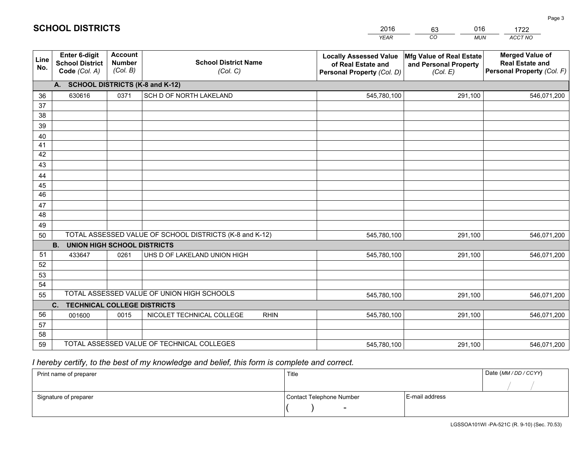|             |                                                          |                                             |                                                         | <b>YEAR</b>                                                                       | $\overline{co}$<br><b>MUN</b>                                 | ACCT NO                                                                        |
|-------------|----------------------------------------------------------|---------------------------------------------|---------------------------------------------------------|-----------------------------------------------------------------------------------|---------------------------------------------------------------|--------------------------------------------------------------------------------|
| Line<br>No. | Enter 6-digit<br><b>School District</b><br>Code (Col. A) | <b>Account</b><br><b>Number</b><br>(Col. B) | <b>School District Name</b><br>(Col. C)                 | <b>Locally Assessed Value</b><br>of Real Estate and<br>Personal Property (Col. D) | Mfg Value of Real Estate<br>and Personal Property<br>(Col. E) | <b>Merged Value of</b><br><b>Real Estate and</b><br>Personal Property (Col. F) |
|             | A. SCHOOL DISTRICTS (K-8 and K-12)                       |                                             |                                                         |                                                                                   |                                                               |                                                                                |
| 36          | 630616                                                   | 0371                                        | SCH D OF NORTH LAKELAND                                 | 545,780,100                                                                       | 291,100                                                       | 546,071,200                                                                    |
| 37          |                                                          |                                             |                                                         |                                                                                   |                                                               |                                                                                |
| 38          |                                                          |                                             |                                                         |                                                                                   |                                                               |                                                                                |
| 39          |                                                          |                                             |                                                         |                                                                                   |                                                               |                                                                                |
| 40          |                                                          |                                             |                                                         |                                                                                   |                                                               |                                                                                |
| 41<br>42    |                                                          |                                             |                                                         |                                                                                   |                                                               |                                                                                |
| 43          |                                                          |                                             |                                                         |                                                                                   |                                                               |                                                                                |
| 44          |                                                          |                                             |                                                         |                                                                                   |                                                               |                                                                                |
| 45          |                                                          |                                             |                                                         |                                                                                   |                                                               |                                                                                |
| 46          |                                                          |                                             |                                                         |                                                                                   |                                                               |                                                                                |
| 47          |                                                          |                                             |                                                         |                                                                                   |                                                               |                                                                                |
| 48          |                                                          |                                             |                                                         |                                                                                   |                                                               |                                                                                |
| 49          |                                                          |                                             |                                                         |                                                                                   |                                                               |                                                                                |
| 50          |                                                          |                                             | TOTAL ASSESSED VALUE OF SCHOOL DISTRICTS (K-8 and K-12) | 545,780,100                                                                       | 291,100                                                       | 546,071,200                                                                    |
|             | <b>B.</b><br><b>UNION HIGH SCHOOL DISTRICTS</b>          |                                             |                                                         |                                                                                   |                                                               |                                                                                |
| 51          | 433647                                                   | 0261                                        | UHS D OF LAKELAND UNION HIGH                            | 545,780,100                                                                       | 291,100                                                       | 546,071,200                                                                    |
| 52          |                                                          |                                             |                                                         |                                                                                   |                                                               |                                                                                |
| 53          |                                                          |                                             |                                                         |                                                                                   |                                                               |                                                                                |
| 54          |                                                          |                                             |                                                         |                                                                                   |                                                               |                                                                                |
| 55          |                                                          |                                             | TOTAL ASSESSED VALUE OF UNION HIGH SCHOOLS              | 545,780,100                                                                       | 291,100                                                       | 546,071,200                                                                    |
|             | C.<br><b>TECHNICAL COLLEGE DISTRICTS</b>                 |                                             |                                                         |                                                                                   |                                                               |                                                                                |
| 56<br>57    | 001600                                                   | 0015                                        | NICOLET TECHNICAL COLLEGE<br><b>RHIN</b>                | 545,780,100                                                                       | 291,100                                                       | 546,071,200                                                                    |
| 58          |                                                          |                                             |                                                         |                                                                                   |                                                               |                                                                                |
| 59          |                                                          |                                             | TOTAL ASSESSED VALUE OF TECHNICAL COLLEGES              | 545,780,100                                                                       | 291,100                                                       | 546,071,200                                                                    |
|             |                                                          |                                             |                                                         |                                                                                   |                                                               |                                                                                |

2016

63

016

## *I hereby certify, to the best of my knowledge and belief, this form is complete and correct.*

**SCHOOL DISTRICTS**

| Print name of preparer | Title                    | Date (MM / DD / CCYY) |  |
|------------------------|--------------------------|-----------------------|--|
|                        |                          |                       |  |
| Signature of preparer  | Contact Telephone Number | E-mail address        |  |
|                        | $\overline{\phantom{0}}$ |                       |  |

1722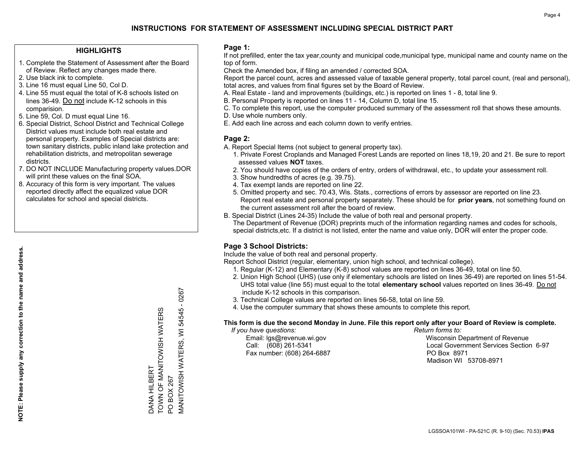### **HIGHLIGHTS**

- 1. Complete the Statement of Assessment after the Board of Review. Reflect any changes made there.
- 2. Use black ink to complete.
- 3. Line 16 must equal Line 50, Col D.
- 4. Line 55 must equal the total of K-8 schools listed on lines 36-49. Do not include K-12 schools in this comparision.
- 5. Line 59, Col. D must equal Line 16.
- 6. Special District, School District and Technical College District values must include both real estate and personal property. Examples of Special districts are: town sanitary districts, public inland lake protection and rehabilitation districts, and metropolitan sewerage districts.
- 7. DO NOT INCLUDE Manufacturing property values.DOR will print these values on the final SOA.

DANA HILBERT

DANA HILBERT

TOWN OF MANITOWISH WATERS

TOWN OF MANITOWISH WATERS

PO BOX 267

**PO BOX 267** 

MANITOWISH WATERS, WI 54545 - 0267

**MANITOWISH WATERS,** 

 $-0267$ 

54545

 $\overline{\ge}$ 

 8. Accuracy of this form is very important. The values reported directly affect the equalized value DOR calculates for school and special districts.

### **Page 1:**

 If not prefilled, enter the tax year,county and municipal code,municipal type, municipal name and county name on the top of form.

Check the Amended box, if filing an amended / corrected SOA.

 Report the parcel count, acres and assessed value of taxable general property, total parcel count, (real and personal), total acres, and values from final figures set by the Board of Review.

- A. Real Estate land and improvements (buildings, etc.) is reported on lines 1 8, total line 9.
- B. Personal Property is reported on lines 11 14, Column D, total line 15.
- C. To complete this report, use the computer produced summary of the assessment roll that shows these amounts.
- D. Use whole numbers only.
- E. Add each line across and each column down to verify entries.

### **Page 2:**

- A. Report Special Items (not subject to general property tax).
- 1. Private Forest Croplands and Managed Forest Lands are reported on lines 18,19, 20 and 21. Be sure to report assessed values **NOT** taxes.
- 2. You should have copies of the orders of entry, orders of withdrawal, etc., to update your assessment roll.
	- 3. Show hundredths of acres (e.g. 39.75).
- 4. Tax exempt lands are reported on line 22.
- 5. Omitted property and sec. 70.43, Wis. Stats., corrections of errors by assessor are reported on line 23. Report real estate and personal property separately. These should be for **prior years**, not something found on the current assessment roll after the board of review.
- B. Special District (Lines 24-35) Include the value of both real and personal property.
- The Department of Revenue (DOR) preprints much of the information regarding names and codes for schools, special districts,etc. If a district is not listed, enter the name and value only, DOR will enter the proper code.

### **Page 3 School Districts:**

Include the value of both real and personal property.

Report School District (regular, elementary, union high school, and technical college).

- 1. Regular (K-12) and Elementary (K-8) school values are reported on lines 36-49, total on line 50.
- 2. Union High School (UHS) (use only if elementary schools are listed on lines 36-49) are reported on lines 51-54. UHS total value (line 55) must equal to the total **elementary school** values reported on lines 36-49. Do notinclude K-12 schools in this comparison.
- 3. Technical College values are reported on lines 56-58, total on line 59.
- 4. Use the computer summary that shows these amounts to complete this report.

#### **This form is due the second Monday in June. File this report only after your Board of Review is complete.**

 *If you have questions: Return forms to:*

Fax number: (608) 264-6887 PO Box 8971

 Email: lgs@revenue.wi.gov Wisconsin Department of Revenue Call: (608) 261-5341 Local Government Services Section 6-97Madison WI 53708-8971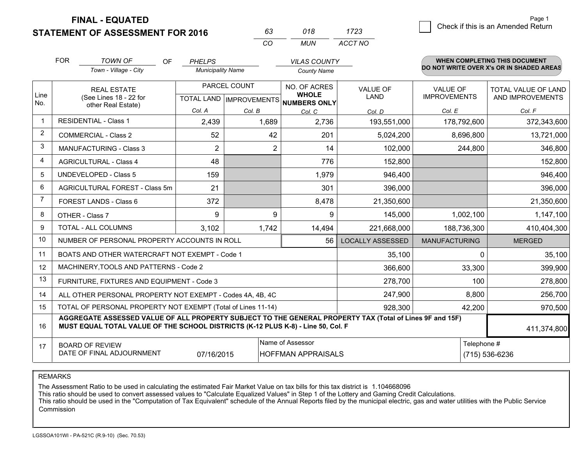**FINAL - EQUATED**

**STATEMENT OF ASSESSMENT FOR 2016** 

| 63.      | 018 | 1723    |
|----------|-----|---------|
| $\cdots$ | MUN | ACCT NO |

|             | <b>FOR</b><br><b>TOWN OF</b><br><b>OF</b><br><b>PHELPS</b><br><b>VILAS COUNTY</b><br>Town - Village - City<br><b>Municipality Name</b><br><b>County Name</b>                                 |                   |                                          |                  | <b>WHEN COMPLETING THIS DOCUMENT</b><br>DO NOT WRITE OVER X's OR IN SHADED AREAS |                      |                            |
|-------------|----------------------------------------------------------------------------------------------------------------------------------------------------------------------------------------------|-------------------|------------------------------------------|------------------|----------------------------------------------------------------------------------|----------------------|----------------------------|
|             |                                                                                                                                                                                              |                   |                                          |                  |                                                                                  |                      |                            |
|             | <b>REAL ESTATE</b>                                                                                                                                                                           |                   | PARCEL COUNT                             | NO. OF ACRES     | <b>VALUE OF</b>                                                                  | <b>VALUE OF</b>      | <b>TOTAL VALUE OF LAND</b> |
| Line<br>No. | (See Lines 18 - 22 for                                                                                                                                                                       |                   | TOTAL LAND   IMPROVEMENTS   NUMBERS ONLY | <b>WHOLE</b>     | <b>LAND</b>                                                                      | <b>IMPROVEMENTS</b>  | AND IMPROVEMENTS           |
|             | other Real Estate)                                                                                                                                                                           | Col. A            | Col. B                                   | Col. C           | Col. D                                                                           | Col. E               | Col. F                     |
| $\mathbf 1$ | <b>RESIDENTIAL - Class 1</b>                                                                                                                                                                 | 2,439             | 1,689                                    | 2,736            | 193,551,000                                                                      | 178,792,600          | 372,343,600                |
| 2           | <b>COMMERCIAL - Class 2</b>                                                                                                                                                                  | 52                | 42                                       | 201              | 5,024,200                                                                        | 8,696,800            | 13,721,000                 |
| 3           | <b>MANUFACTURING - Class 3</b>                                                                                                                                                               | $\overline{2}$    | 2                                        | 14               | 102,000                                                                          | 244,800              | 346,800                    |
| 4           | <b>AGRICULTURAL - Class 4</b>                                                                                                                                                                | 48                |                                          | 776              | 152,800                                                                          |                      | 152,800                    |
| 5           | UNDEVELOPED - Class 5                                                                                                                                                                        | 159               |                                          | 1,979            | 946,400                                                                          |                      | 946,400                    |
| 6           | AGRICULTURAL FOREST - Class 5m                                                                                                                                                               | 21                |                                          | 301              | 396,000                                                                          |                      | 396,000                    |
| 7           | FOREST LANDS - Class 6                                                                                                                                                                       | 372               |                                          | 8,478            | 21,350,600                                                                       |                      | 21,350,600                 |
| 8           | OTHER - Class 7                                                                                                                                                                              | 9                 | 9                                        | 9                | 145,000                                                                          | 1,002,100            | 1,147,100                  |
| 9           | TOTAL - ALL COLUMNS                                                                                                                                                                          | 3,102             | 1,742                                    | 14,494           | 221,668,000                                                                      | 188,736,300          | 410,404,300                |
| 10          | NUMBER OF PERSONAL PROPERTY ACCOUNTS IN ROLL                                                                                                                                                 |                   |                                          | 56               | <b>LOCALLY ASSESSED</b>                                                          | <b>MANUFACTURING</b> | <b>MERGED</b>              |
| 11          | BOATS AND OTHER WATERCRAFT NOT EXEMPT - Code 1                                                                                                                                               |                   |                                          |                  | 35,100                                                                           |                      | 35,100<br>0                |
| 12          | MACHINERY, TOOLS AND PATTERNS - Code 2                                                                                                                                                       |                   |                                          |                  | 366,600                                                                          | 33,300               | 399,900                    |
| 13          | FURNITURE, FIXTURES AND EQUIPMENT - Code 3                                                                                                                                                   |                   |                                          |                  | 278,700                                                                          |                      | 100<br>278,800             |
| 14          | ALL OTHER PERSONAL PROPERTY NOT EXEMPT - Codes 4A, 4B, 4C                                                                                                                                    |                   |                                          |                  | 247,900                                                                          | 8,800                | 256,700                    |
| 15          | TOTAL OF PERSONAL PROPERTY NOT EXEMPT (Total of Lines 11-14)                                                                                                                                 | 42,200<br>970,500 |                                          |                  |                                                                                  |                      |                            |
| 16          | AGGREGATE ASSESSED VALUE OF ALL PROPERTY SUBJECT TO THE GENERAL PROPERTY TAX (Total of Lines 9F and 15F)<br>MUST EQUAL TOTAL VALUE OF THE SCHOOL DISTRICTS (K-12 PLUS K-8) - Line 50, Col. F |                   |                                          |                  |                                                                                  |                      | 411,374,800                |
| 17          | <b>BOARD OF REVIEW</b>                                                                                                                                                                       |                   |                                          | Name of Assessor |                                                                                  |                      | Telephone #                |
|             | DATE OF FINAL ADJOURNMENT<br><b>HOFFMAN APPRAISALS</b><br>07/16/2015                                                                                                                         |                   |                                          |                  |                                                                                  |                      | (715) 536-6236             |

REMARKS

The Assessment Ratio to be used in calculating the estimated Fair Market Value on tax bills for this tax district is 1.104668096

This ratio should be used to convert assessed values to "Calculate Equalized Values" in Step 1 of the Lottery and Gaming Credit Calculations.<br>This ratio should be used in the "Computation of Tax Equivalent" schedule of the **Commission**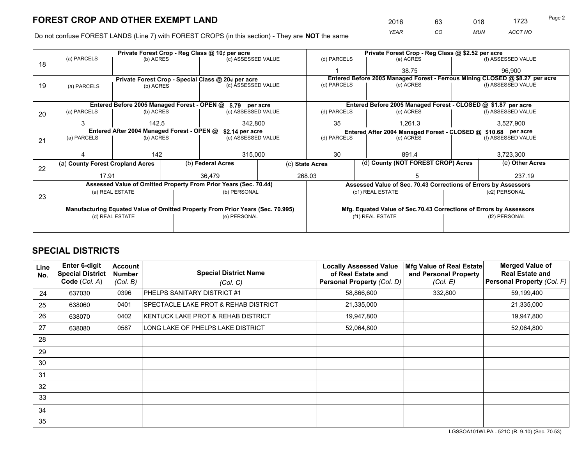*YEAR CO MUN ACCT NO* <sup>2016</sup> <sup>63</sup> <sup>018</sup> <sup>1723</sup>

Do not confuse FOREST LANDS (Line 7) with FOREST CROPS (in this section) - They are **NOT** the same

|    |                                                                                |                 |  | Private Forest Crop - Reg Class @ 10¢ per acre                   | Private Forest Crop - Reg Class @ \$2.52 per acre |                                                               |  |                                                                              |                 |                    |
|----|--------------------------------------------------------------------------------|-----------------|--|------------------------------------------------------------------|---------------------------------------------------|---------------------------------------------------------------|--|------------------------------------------------------------------------------|-----------------|--------------------|
| 18 | (a) PARCELS                                                                    | (b) ACRES       |  | (c) ASSESSED VALUE                                               |                                                   | (d) PARCELS                                                   |  | (e) ACRES                                                                    |                 | (f) ASSESSED VALUE |
|    |                                                                                |                 |  |                                                                  |                                                   |                                                               |  | 38.75                                                                        |                 | 96.900             |
|    |                                                                                |                 |  | Private Forest Crop - Special Class @ 20¢ per acre               |                                                   |                                                               |  | Entered Before 2005 Managed Forest - Ferrous Mining CLOSED @ \$8.27 per acre |                 |                    |
| 19 | (a) PARCELS                                                                    | (b) ACRES       |  | (c) ASSESSED VALUE                                               |                                                   | (d) PARCELS                                                   |  | (e) ACRES                                                                    |                 | (f) ASSESSED VALUE |
|    |                                                                                |                 |  |                                                                  |                                                   |                                                               |  |                                                                              |                 |                    |
|    |                                                                                |                 |  | Entered Before 2005 Managed Forest - OPEN @ \$.79 per acre       |                                                   |                                                               |  | Entered Before 2005 Managed Forest - CLOSED @ \$1.87 per acre                |                 |                    |
| 20 | (a) PARCELS                                                                    | (b) ACRES       |  | (c) ASSESSED VALUE                                               |                                                   | (d) PARCELS                                                   |  | (e) ACRES                                                                    |                 | (f) ASSESSED VALUE |
|    | 3                                                                              | 142.5           |  | 342,800                                                          |                                                   | 35                                                            |  | 1,261.3                                                                      |                 | 3,527,900          |
|    | Entered After 2004 Managed Forest - OPEN @<br>\$2.14 per acre                  |                 |  |                                                                  |                                                   | Entered After 2004 Managed Forest - CLOSED @ \$10.68 per acre |  |                                                                              |                 |                    |
| 21 | (a) PARCELS                                                                    | (b) ACRES       |  | (c) ASSESSED VALUE                                               |                                                   | (d) PARCELS<br>(e) ACRES                                      |  | (f) ASSESSED VALUE                                                           |                 |                    |
|    |                                                                                |                 |  |                                                                  |                                                   |                                                               |  |                                                                              |                 |                    |
|    |                                                                                | 142             |  | 315,000                                                          |                                                   | 30                                                            |  | 891.4                                                                        |                 | 3,723,300          |
| 22 | (a) County Forest Cropland Acres                                               |                 |  | (b) Federal Acres                                                |                                                   | (d) County (NOT FOREST CROP) Acres<br>(c) State Acres         |  |                                                                              | (e) Other Acres |                    |
|    | 17.91                                                                          |                 |  | 36.479                                                           |                                                   | 268.03                                                        |  |                                                                              |                 | 237.19             |
|    |                                                                                |                 |  | Assessed Value of Omitted Property From Prior Years (Sec. 70.44) |                                                   |                                                               |  | Assessed Value of Sec. 70.43 Corrections of Errors by Assessors              |                 |                    |
|    |                                                                                | (a) REAL ESTATE |  | (b) PERSONAL                                                     |                                                   |                                                               |  | (c1) REAL ESTATE                                                             | (c2) PERSONAL   |                    |
| 23 |                                                                                |                 |  |                                                                  |                                                   |                                                               |  |                                                                              |                 |                    |
|    | Manufacturing Equated Value of Omitted Property From Prior Years (Sec. 70.995) |                 |  |                                                                  |                                                   |                                                               |  | Mfg. Equated Value of Sec.70.43 Corrections of Errors by Assessors           |                 |                    |
|    |                                                                                | (d) REAL ESTATE |  | (e) PERSONAL                                                     |                                                   | (f1) REAL ESTATE                                              |  | (f2) PERSONAL                                                                |                 |                    |
|    |                                                                                |                 |  |                                                                  |                                                   |                                                               |  |                                                                              |                 |                    |

## **SPECIAL DISTRICTS**

| Line<br>No. | <b>Enter 6-digit</b><br><b>Special District</b><br>Code (Col. A) | Account<br><b>Number</b><br>(Col. B) | <b>Special District Name</b><br>(Col. C) | <b>Locally Assessed Value</b><br>of Real Estate and<br><b>Personal Property (Col. D)</b> | Mfg Value of Real Estate<br>and Personal Property<br>(Col. E) | <b>Merged Value of</b><br><b>Real Estate and</b><br>Personal Property (Col. F) |
|-------------|------------------------------------------------------------------|--------------------------------------|------------------------------------------|------------------------------------------------------------------------------------------|---------------------------------------------------------------|--------------------------------------------------------------------------------|
| 24          | 637030                                                           | 0396                                 | PHELPS SANITARY DISTRICT #1              | 58,866,600                                                                               | 332,800                                                       | 59,199,400                                                                     |
| 25          | 638060                                                           | 0401                                 | SPECTACLE LAKE PROT & REHAB DISTRICT     | 21,335,000                                                                               |                                                               | 21,335,000                                                                     |
| 26          | 638070                                                           | 0402                                 | KENTUCK LAKE PROT & REHAB DISTRICT       | 19,947,800                                                                               |                                                               | 19,947,800                                                                     |
| 27          | 638080                                                           | 0587                                 | LONG LAKE OF PHELPS LAKE DISTRICT        | 52,064,800                                                                               |                                                               | 52,064,800                                                                     |
| 28          |                                                                  |                                      |                                          |                                                                                          |                                                               |                                                                                |
| 29          |                                                                  |                                      |                                          |                                                                                          |                                                               |                                                                                |
| 30          |                                                                  |                                      |                                          |                                                                                          |                                                               |                                                                                |
| 31          |                                                                  |                                      |                                          |                                                                                          |                                                               |                                                                                |
| 32          |                                                                  |                                      |                                          |                                                                                          |                                                               |                                                                                |
| 33          |                                                                  |                                      |                                          |                                                                                          |                                                               |                                                                                |
| 34          |                                                                  |                                      |                                          |                                                                                          |                                                               |                                                                                |
| 35          |                                                                  |                                      |                                          |                                                                                          |                                                               |                                                                                |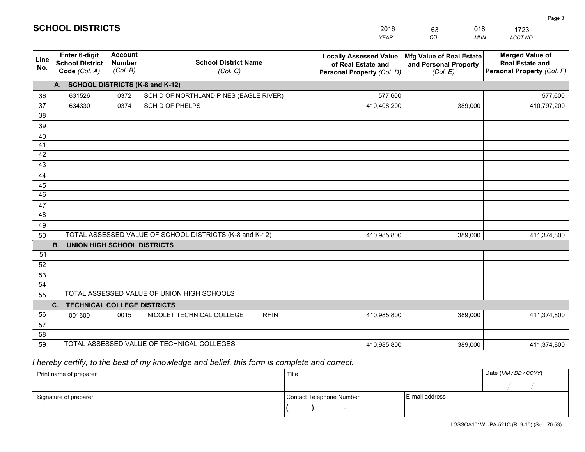|             |                                                                 |                                             |                                                         | <b>YEAR</b>                                                                       | CO<br><b>MUN</b>                                              | ACCT NO                                                                        |
|-------------|-----------------------------------------------------------------|---------------------------------------------|---------------------------------------------------------|-----------------------------------------------------------------------------------|---------------------------------------------------------------|--------------------------------------------------------------------------------|
| Line<br>No. | <b>Enter 6-digit</b><br><b>School District</b><br>Code (Col. A) | <b>Account</b><br><b>Number</b><br>(Col. B) | <b>School District Name</b><br>(Col. C)                 | <b>Locally Assessed Value</b><br>of Real Estate and<br>Personal Property (Col. D) | Mfg Value of Real Estate<br>and Personal Property<br>(Col. E) | <b>Merged Value of</b><br><b>Real Estate and</b><br>Personal Property (Col. F) |
|             | A. SCHOOL DISTRICTS (K-8 and K-12)                              |                                             |                                                         |                                                                                   |                                                               |                                                                                |
| 36          | 631526                                                          | 0372                                        | SCH D OF NORTHLAND PINES (EAGLE RIVER)                  | 577,600                                                                           |                                                               | 577,600                                                                        |
| 37          | 634330                                                          | 0374                                        | SCH D OF PHELPS                                         | 410,408,200                                                                       | 389,000                                                       | 410,797,200                                                                    |
| 38          |                                                                 |                                             |                                                         |                                                                                   |                                                               |                                                                                |
| 39          |                                                                 |                                             |                                                         |                                                                                   |                                                               |                                                                                |
| 40          |                                                                 |                                             |                                                         |                                                                                   |                                                               |                                                                                |
| 41          |                                                                 |                                             |                                                         |                                                                                   |                                                               |                                                                                |
| 42          |                                                                 |                                             |                                                         |                                                                                   |                                                               |                                                                                |
| 43          |                                                                 |                                             |                                                         |                                                                                   |                                                               |                                                                                |
| 44          |                                                                 |                                             |                                                         |                                                                                   |                                                               |                                                                                |
| 45<br>46    |                                                                 |                                             |                                                         |                                                                                   |                                                               |                                                                                |
| 47          |                                                                 |                                             |                                                         |                                                                                   |                                                               |                                                                                |
| 48          |                                                                 |                                             |                                                         |                                                                                   |                                                               |                                                                                |
| 49          |                                                                 |                                             |                                                         |                                                                                   |                                                               |                                                                                |
| 50          |                                                                 |                                             | TOTAL ASSESSED VALUE OF SCHOOL DISTRICTS (K-8 and K-12) | 410,985,800                                                                       | 389,000                                                       | 411,374,800                                                                    |
|             | <b>B.</b><br><b>UNION HIGH SCHOOL DISTRICTS</b>                 |                                             |                                                         |                                                                                   |                                                               |                                                                                |
| 51          |                                                                 |                                             |                                                         |                                                                                   |                                                               |                                                                                |
| 52          |                                                                 |                                             |                                                         |                                                                                   |                                                               |                                                                                |
| 53          |                                                                 |                                             |                                                         |                                                                                   |                                                               |                                                                                |
| 54          |                                                                 |                                             |                                                         |                                                                                   |                                                               |                                                                                |
| 55          |                                                                 |                                             | TOTAL ASSESSED VALUE OF UNION HIGH SCHOOLS              |                                                                                   |                                                               |                                                                                |
|             | C.<br><b>TECHNICAL COLLEGE DISTRICTS</b>                        |                                             |                                                         |                                                                                   |                                                               |                                                                                |
| 56          | 001600                                                          | 0015                                        | NICOLET TECHNICAL COLLEGE<br><b>RHIN</b>                | 410,985,800                                                                       | 389.000                                                       | 411,374,800                                                                    |
| 57          |                                                                 |                                             |                                                         |                                                                                   |                                                               |                                                                                |
| 58          |                                                                 |                                             |                                                         |                                                                                   |                                                               |                                                                                |
| 59          |                                                                 |                                             | TOTAL ASSESSED VALUE OF TECHNICAL COLLEGES              | 410,985,800                                                                       | 389,000                                                       | 411,374,800                                                                    |

2016

63

018

 *I hereby certify, to the best of my knowledge and belief, this form is complete and correct.*

**SCHOOL DISTRICTS**

| Print name of preparer | Title                    |                | Date (MM / DD / CCYY) |
|------------------------|--------------------------|----------------|-----------------------|
|                        |                          |                |                       |
| Signature of preparer  | Contact Telephone Number | E-mail address |                       |
|                        | $\sim$                   |                |                       |

1723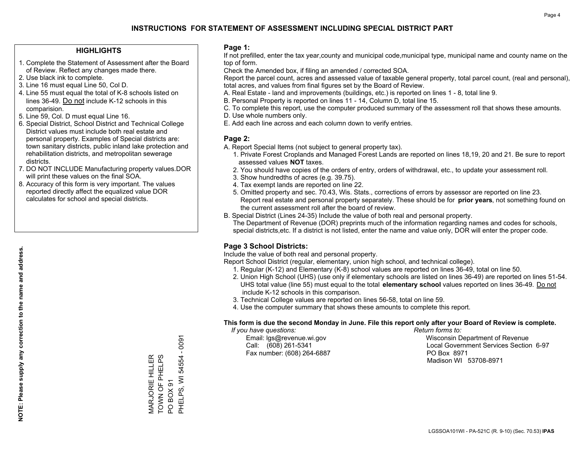### **HIGHLIGHTS**

- 1. Complete the Statement of Assessment after the Board of Review. Reflect any changes made there.
- 2. Use black ink to complete.
- 3. Line 16 must equal Line 50, Col D.
- 4. Line 55 must equal the total of K-8 schools listed on lines 36-49. Do not include K-12 schools in this comparision.
- 5. Line 59, Col. D must equal Line 16.
- 6. Special District, School District and Technical College District values must include both real estate and personal property. Examples of Special districts are: town sanitary districts, public inland lake protection and rehabilitation districts, and metropolitan sewerage districts.
- 7. DO NOT INCLUDE Manufacturing property values.DOR will print these values on the final SOA.
- 8. Accuracy of this form is very important. The values reported directly affect the equalized value DOR calculates for school and special districts.

### **Page 1:**

 If not prefilled, enter the tax year,county and municipal code,municipal type, municipal name and county name on the top of form.

Check the Amended box, if filing an amended / corrected SOA.

 Report the parcel count, acres and assessed value of taxable general property, total parcel count, (real and personal), total acres, and values from final figures set by the Board of Review.

- A. Real Estate land and improvements (buildings, etc.) is reported on lines 1 8, total line 9.
- B. Personal Property is reported on lines 11 14, Column D, total line 15.
- C. To complete this report, use the computer produced summary of the assessment roll that shows these amounts.
- D. Use whole numbers only.
- E. Add each line across and each column down to verify entries.

### **Page 2:**

- A. Report Special Items (not subject to general property tax).
- 1. Private Forest Croplands and Managed Forest Lands are reported on lines 18,19, 20 and 21. Be sure to report assessed values **NOT** taxes.
- 2. You should have copies of the orders of entry, orders of withdrawal, etc., to update your assessment roll.
	- 3. Show hundredths of acres (e.g. 39.75).
- 4. Tax exempt lands are reported on line 22.
- 5. Omitted property and sec. 70.43, Wis. Stats., corrections of errors by assessor are reported on line 23. Report real estate and personal property separately. These should be for **prior years**, not something found on the current assessment roll after the board of review.
- B. Special District (Lines 24-35) Include the value of both real and personal property.
- The Department of Revenue (DOR) preprints much of the information regarding names and codes for schools, special districts,etc. If a district is not listed, enter the name and value only, DOR will enter the proper code.

### **Page 3 School Districts:**

Include the value of both real and personal property.

Report School District (regular, elementary, union high school, and technical college).

- 1. Regular (K-12) and Elementary (K-8) school values are reported on lines 36-49, total on line 50.
- 2. Union High School (UHS) (use only if elementary schools are listed on lines 36-49) are reported on lines 51-54. UHS total value (line 55) must equal to the total **elementary school** values reported on lines 36-49. Do notinclude K-12 schools in this comparison.
- 3. Technical College values are reported on lines 56-58, total on line 59.
- 4. Use the computer summary that shows these amounts to complete this report.

#### **This form is due the second Monday in June. File this report only after your Board of Review is complete.**

 *If you have questions: Return forms to:*

Fax number: (608) 264-6887 PO Box 8971

 Email: lgs@revenue.wi.gov Wisconsin Department of Revenue Call: (608) 261-5341 Local Government Services Section 6-97Madison WI 53708-8971

**NOTE: Please supply any correction to the name and address.**

NOTE: Please supply any correction to the name and address.

 $-0091$ PHELPS, WI 54554 - 0091 TOWN OF PHELPS PHELPS, WI 54554 MARJORIE HILLER<br>TOWN OF PHELPS MARJORIE HILLER POBOX91 PO BOX 91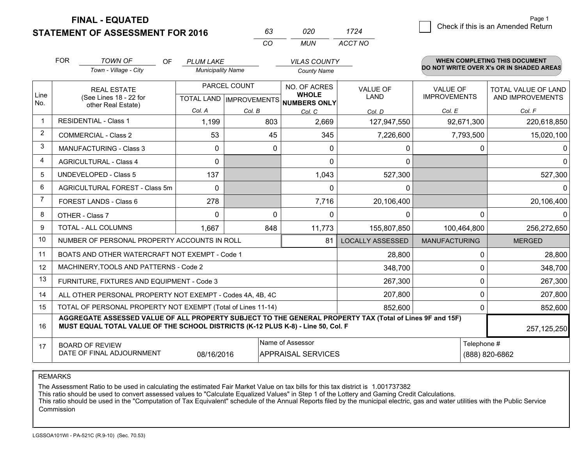**FINAL - EQUATED**

**STATEMENT OF ASSESSMENT FOR 2016** 

| 020 | 1724    |
|-----|---------|
| MUN | ACCT NO |

|                | <b>FOR</b>                                                                                                                                                                                   | <b>TOWN OF</b><br>OF                                      | <b>PLUM LAKE</b>         |              | <b>VILAS COUNTY</b>                                  |                         |                      | <b>WHEN COMPLETING THIS DOCUMENT</b>     |
|----------------|----------------------------------------------------------------------------------------------------------------------------------------------------------------------------------------------|-----------------------------------------------------------|--------------------------|--------------|------------------------------------------------------|-------------------------|----------------------|------------------------------------------|
|                |                                                                                                                                                                                              | Town - Village - City                                     | <b>Municipality Name</b> |              | <b>County Name</b>                                   |                         |                      | DO NOT WRITE OVER X's OR IN SHADED AREAS |
|                |                                                                                                                                                                                              | <b>REAL ESTATE</b>                                        |                          | PARCEL COUNT | NO. OF ACRES                                         | <b>VALUE OF</b>         | <b>VALUE OF</b>      | <b>TOTAL VALUE OF LAND</b>               |
| Line<br>No.    |                                                                                                                                                                                              | (See Lines 18 - 22 for<br>other Real Estate)              |                          |              | <b>WHOLE</b><br>TOTAL LAND IMPROVEMENTS NUMBERS ONLY | <b>LAND</b>             | <b>IMPROVEMENTS</b>  | AND IMPROVEMENTS                         |
|                |                                                                                                                                                                                              |                                                           | Col. A                   | Col. B       | Col. C                                               | Col. D                  | Col. E               | Col. F                                   |
|                |                                                                                                                                                                                              | <b>RESIDENTIAL - Class 1</b>                              | 1,199                    | 803          | 2,669                                                | 127,947,550             | 92,671,300           | 220,618,850                              |
| $\overline{2}$ |                                                                                                                                                                                              | <b>COMMERCIAL - Class 2</b>                               | 53                       | 45           | 345                                                  | 7,226,600               | 7,793,500            | 15,020,100                               |
| 3              |                                                                                                                                                                                              | <b>MANUFACTURING - Class 3</b>                            | 0                        | $\Omega$     | $\Omega$                                             | 0                       |                      | 0<br>$\Omega$                            |
| $\overline{4}$ |                                                                                                                                                                                              | <b>AGRICULTURAL - Class 4</b>                             | $\Omega$                 |              | $\Omega$                                             | 0                       |                      | $\Omega$                                 |
| 5              |                                                                                                                                                                                              | <b>UNDEVELOPED - Class 5</b>                              | 137                      |              | 1,043                                                | 527,300                 |                      | 527,300                                  |
| 6              |                                                                                                                                                                                              | AGRICULTURAL FOREST - Class 5m                            | $\Omega$                 |              | $\Omega$                                             | 0                       |                      | $\Omega$                                 |
| $\overline{7}$ |                                                                                                                                                                                              | FOREST LANDS - Class 6                                    | 278                      |              | 7,716                                                | 20,106,400              |                      | 20,106,400                               |
| 8              |                                                                                                                                                                                              | OTHER - Class 7                                           | $\Omega$                 | $\Omega$     | $\Omega$                                             | 0                       |                      | $\Omega$<br>0                            |
| 9              |                                                                                                                                                                                              | TOTAL - ALL COLUMNS                                       | 1,667                    | 848          | 11,773                                               | 155,807,850             | 100,464,800          | 256,272,650                              |
| 10             |                                                                                                                                                                                              | NUMBER OF PERSONAL PROPERTY ACCOUNTS IN ROLL              |                          |              | 81                                                   | <b>LOCALLY ASSESSED</b> | <b>MANUFACTURING</b> | <b>MERGED</b>                            |
| 11             |                                                                                                                                                                                              | BOATS AND OTHER WATERCRAFT NOT EXEMPT - Code 1            |                          |              |                                                      | 28,800                  |                      | $\mathbf 0$<br>28,800                    |
| 12             |                                                                                                                                                                                              | MACHINERY, TOOLS AND PATTERNS - Code 2                    |                          |              |                                                      | 348,700                 |                      | $\mathbf 0$<br>348,700                   |
| 13             |                                                                                                                                                                                              | FURNITURE, FIXTURES AND EQUIPMENT - Code 3                |                          |              |                                                      | 267,300                 |                      | $\mathbf 0$<br>267,300                   |
| 14             |                                                                                                                                                                                              | ALL OTHER PERSONAL PROPERTY NOT EXEMPT - Codes 4A, 4B, 4C |                          |              |                                                      | 207,800                 |                      | $\mathbf 0$<br>207,800                   |
| 15             | TOTAL OF PERSONAL PROPERTY NOT EXEMPT (Total of Lines 11-14)                                                                                                                                 |                                                           |                          |              |                                                      |                         |                      | $\mathbf 0$<br>852,600                   |
| 16             | AGGREGATE ASSESSED VALUE OF ALL PROPERTY SUBJECT TO THE GENERAL PROPERTY TAX (Total of Lines 9F and 15F)<br>MUST EQUAL TOTAL VALUE OF THE SCHOOL DISTRICTS (K-12 PLUS K-8) - Line 50, Col. F |                                                           |                          |              |                                                      |                         |                      | 257, 125, 250                            |
| 17             |                                                                                                                                                                                              | <b>BOARD OF REVIEW</b>                                    |                          |              | Name of Assessor                                     |                         |                      | Telephone #                              |
|                | DATE OF FINAL ADJOURNMENT<br>08/16/2016<br><b>APPRAISAL SERVICES</b>                                                                                                                         |                                                           |                          |              |                                                      | (888) 820-6862          |                      |                                          |

*CO*

*<sup>63</sup> <sup>020</sup>*

REMARKS

The Assessment Ratio to be used in calculating the estimated Fair Market Value on tax bills for this tax district is 1.001737382

This ratio should be used to convert assessed values to "Calculate Equalized Values" in Step 1 of the Lottery and Gaming Credit Calculations.

 This ratio should be used in the "Computation of Tax Equivalent" schedule of the Annual Reports filed by the municipal electric, gas and water utilities with the Public Service Commission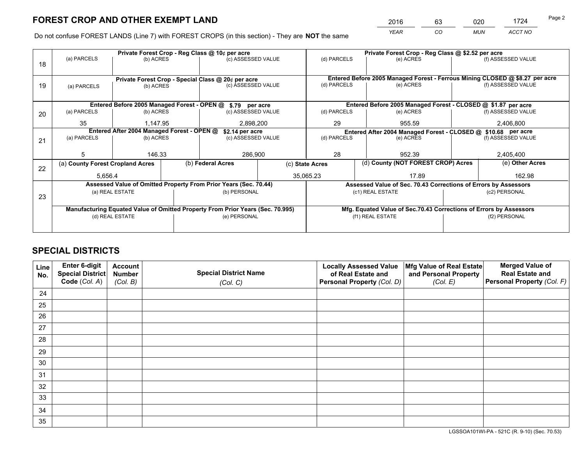*YEAR CO MUN ACCT NO* <sup>2016</sup> <sup>63</sup> <sup>020</sup> <sup>1724</sup>

Do not confuse FOREST LANDS (Line 7) with FOREST CROPS (in this section) - They are **NOT** the same

|    |                                            |                                                                                |  | Private Forest Crop - Reg Class @ 10¢ per acre                   |                                                                    | Private Forest Crop - Reg Class @ \$2.52 per acre                            |                                                                 |                    |                    |  |
|----|--------------------------------------------|--------------------------------------------------------------------------------|--|------------------------------------------------------------------|--------------------------------------------------------------------|------------------------------------------------------------------------------|-----------------------------------------------------------------|--------------------|--------------------|--|
| 18 | (a) PARCELS                                | (b) ACRES                                                                      |  | (c) ASSESSED VALUE                                               |                                                                    | (d) PARCELS                                                                  | (e) ACRES                                                       |                    | (f) ASSESSED VALUE |  |
|    |                                            |                                                                                |  |                                                                  |                                                                    |                                                                              |                                                                 |                    |                    |  |
|    |                                            |                                                                                |  | Private Forest Crop - Special Class @ 20¢ per acre               |                                                                    | Entered Before 2005 Managed Forest - Ferrous Mining CLOSED @ \$8.27 per acre |                                                                 |                    |                    |  |
| 19 | (a) PARCELS                                | (b) ACRES                                                                      |  | (c) ASSESSED VALUE                                               |                                                                    | (d) PARCELS                                                                  | (e) ACRES                                                       |                    | (f) ASSESSED VALUE |  |
|    |                                            |                                                                                |  |                                                                  |                                                                    |                                                                              |                                                                 |                    |                    |  |
|    |                                            |                                                                                |  | Entered Before 2005 Managed Forest - OPEN @ \$.79 per acre       |                                                                    |                                                                              | Entered Before 2005 Managed Forest - CLOSED @ \$1.87 per acre   |                    |                    |  |
| 20 | (a) PARCELS                                | (b) ACRES                                                                      |  | (c) ASSESSED VALUE                                               |                                                                    | (d) PARCELS                                                                  | (e) ACRES                                                       |                    | (f) ASSESSED VALUE |  |
|    | 35                                         | 1.147.95                                                                       |  | 2,898,200                                                        |                                                                    | 29<br>955.59                                                                 |                                                                 |                    | 2,406,800          |  |
|    | Entered After 2004 Managed Forest - OPEN @ |                                                                                |  | \$2.14 per acre                                                  |                                                                    | Entered After 2004 Managed Forest - CLOSED @ \$10.68 per acre                |                                                                 |                    |                    |  |
| 21 | (a) PARCELS                                | (b) ACRES                                                                      |  | (c) ASSESSED VALUE                                               |                                                                    | (d) PARCELS                                                                  | (e) ACRES                                                       | (f) ASSESSED VALUE |                    |  |
|    |                                            |                                                                                |  |                                                                  |                                                                    |                                                                              |                                                                 |                    |                    |  |
|    | 5                                          | 146.33                                                                         |  | 286,900                                                          |                                                                    | 28<br>952.39                                                                 |                                                                 |                    | 2,405,400          |  |
| 22 | (a) County Forest Cropland Acres           |                                                                                |  | (b) Federal Acres                                                |                                                                    | (d) County (NOT FOREST CROP) Acres<br>(c) State Acres                        |                                                                 | (e) Other Acres    |                    |  |
|    | 5,656.4                                    |                                                                                |  | 35,065.23                                                        |                                                                    |                                                                              | 17.89                                                           |                    | 162.98             |  |
|    |                                            |                                                                                |  | Assessed Value of Omitted Property From Prior Years (Sec. 70.44) |                                                                    |                                                                              | Assessed Value of Sec. 70.43 Corrections of Errors by Assessors |                    |                    |  |
|    |                                            | (a) REAL ESTATE                                                                |  | (b) PERSONAL                                                     |                                                                    |                                                                              | (c1) REAL ESTATE                                                |                    | (c2) PERSONAL      |  |
| 23 |                                            |                                                                                |  |                                                                  |                                                                    |                                                                              |                                                                 |                    |                    |  |
|    |                                            | Manufacturing Equated Value of Omitted Property From Prior Years (Sec. 70.995) |  |                                                                  | Mfg. Equated Value of Sec.70.43 Corrections of Errors by Assessors |                                                                              |                                                                 |                    |                    |  |
|    |                                            | (d) REAL ESTATE                                                                |  | (e) PERSONAL                                                     |                                                                    |                                                                              | (f1) REAL ESTATE                                                |                    | (f2) PERSONAL      |  |
|    |                                            |                                                                                |  |                                                                  |                                                                    |                                                                              |                                                                 |                    |                    |  |

## **SPECIAL DISTRICTS**

| Line<br>No. | Enter 6-digit<br><b>Special District</b> | <b>Account</b><br><b>Number</b> | <b>Special District Name</b> | <b>Locally Assessed Value</b><br>of Real Estate and | Mfg Value of Real Estate<br>and Personal Property | <b>Merged Value of</b><br><b>Real Estate and</b> |
|-------------|------------------------------------------|---------------------------------|------------------------------|-----------------------------------------------------|---------------------------------------------------|--------------------------------------------------|
|             | Code (Col. A)                            | (Col. B)                        | (Col. C)                     | Personal Property (Col. D)                          | (Col. E)                                          | Personal Property (Col. F)                       |
| 24          |                                          |                                 |                              |                                                     |                                                   |                                                  |
| 25          |                                          |                                 |                              |                                                     |                                                   |                                                  |
| 26          |                                          |                                 |                              |                                                     |                                                   |                                                  |
| 27          |                                          |                                 |                              |                                                     |                                                   |                                                  |
| 28          |                                          |                                 |                              |                                                     |                                                   |                                                  |
| 29          |                                          |                                 |                              |                                                     |                                                   |                                                  |
| 30          |                                          |                                 |                              |                                                     |                                                   |                                                  |
| 31          |                                          |                                 |                              |                                                     |                                                   |                                                  |
| 32          |                                          |                                 |                              |                                                     |                                                   |                                                  |
| 33          |                                          |                                 |                              |                                                     |                                                   |                                                  |
| 34          |                                          |                                 |                              |                                                     |                                                   |                                                  |
| 35          |                                          |                                 |                              |                                                     |                                                   |                                                  |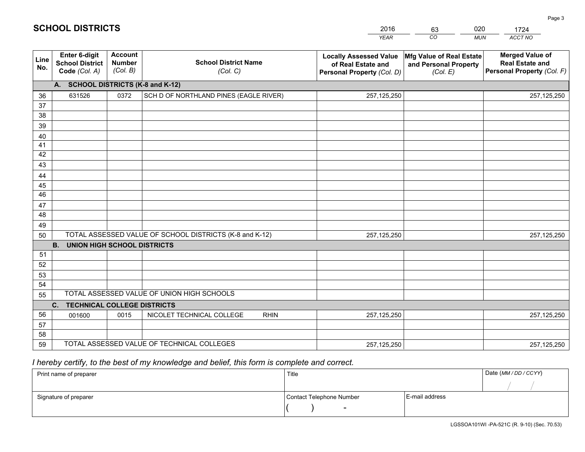|             | <b>SCHOOL DISTRICTS</b>                                  |                                             |                                                         | 2016<br><b>YEAR</b>                                                               | 020<br>63<br>$\overline{co}$<br><b>MUN</b>                    | 1724<br>ACCT NO                                                                |
|-------------|----------------------------------------------------------|---------------------------------------------|---------------------------------------------------------|-----------------------------------------------------------------------------------|---------------------------------------------------------------|--------------------------------------------------------------------------------|
| Line<br>No. | Enter 6-digit<br><b>School District</b><br>Code (Col. A) | <b>Account</b><br><b>Number</b><br>(Col. B) | <b>School District Name</b><br>(Col. C)                 | <b>Locally Assessed Value</b><br>of Real Estate and<br>Personal Property (Col. D) | Mfg Value of Real Estate<br>and Personal Property<br>(Col. E) | <b>Merged Value of</b><br><b>Real Estate and</b><br>Personal Property (Col. F) |
|             | <b>SCHOOL DISTRICTS (K-8 and K-12)</b><br>A.             |                                             |                                                         |                                                                                   |                                                               |                                                                                |
| 36          | 631526                                                   | 0372                                        | SCH D OF NORTHLAND PINES (EAGLE RIVER)                  | 257,125,250                                                                       |                                                               | 257, 125, 250                                                                  |
| 37          |                                                          |                                             |                                                         |                                                                                   |                                                               |                                                                                |
| 38          |                                                          |                                             |                                                         |                                                                                   |                                                               |                                                                                |
| 39          |                                                          |                                             |                                                         |                                                                                   |                                                               |                                                                                |
| 40          |                                                          |                                             |                                                         |                                                                                   |                                                               |                                                                                |
| 41          |                                                          |                                             |                                                         |                                                                                   |                                                               |                                                                                |
| 42          |                                                          |                                             |                                                         |                                                                                   |                                                               |                                                                                |
| 43          |                                                          |                                             |                                                         |                                                                                   |                                                               |                                                                                |
| 44          |                                                          |                                             |                                                         |                                                                                   |                                                               |                                                                                |
| 45          |                                                          |                                             |                                                         |                                                                                   |                                                               |                                                                                |
| 46          |                                                          |                                             |                                                         |                                                                                   |                                                               |                                                                                |
| 47          |                                                          |                                             |                                                         |                                                                                   |                                                               |                                                                                |
| 48          |                                                          |                                             |                                                         |                                                                                   |                                                               |                                                                                |
| 49          |                                                          |                                             |                                                         |                                                                                   |                                                               |                                                                                |
| 50          |                                                          |                                             | TOTAL ASSESSED VALUE OF SCHOOL DISTRICTS (K-8 and K-12) | 257,125,250                                                                       |                                                               | 257,125,250                                                                    |
|             | UNION HIGH SCHOOL DISTRICTS<br><b>B.</b>                 |                                             |                                                         |                                                                                   |                                                               |                                                                                |
| 51          |                                                          |                                             |                                                         |                                                                                   |                                                               |                                                                                |

 52 53 54 55**C. TECHNICAL COLLEGE DISTRICTS**0 0015 NICOLET TECHNICAL COLLEGE RHIN 257,125,250 56 57 58 59 TOTAL ASSESSED VALUE OF TECHNICAL COLLEGESTOTAL ASSESSED VALUE OF UNION HIGH SCHOOLS001600 257,125,250 257,125,250257,125,250

 *I hereby certify, to the best of my knowledge and belief, this form is complete and correct.*

**SCHOOL DISTRICTS**

| Print name of preparer | Title                    |                | Date (MM/DD/CCYY) |
|------------------------|--------------------------|----------------|-------------------|
|                        |                          |                |                   |
| Signature of preparer  | Contact Telephone Number | E-mail address |                   |
|                        | $\overline{\phantom{a}}$ |                |                   |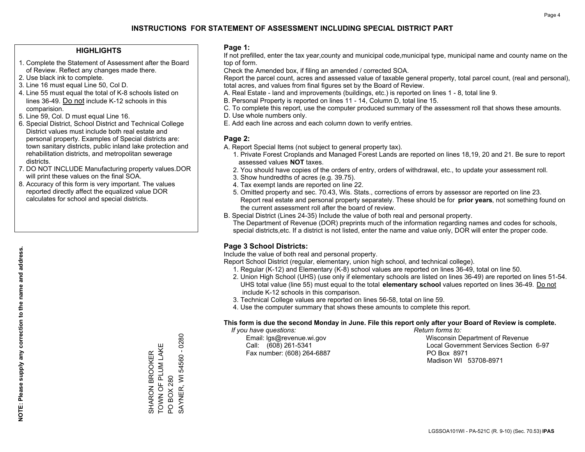### **HIGHLIGHTS**

- 1. Complete the Statement of Assessment after the Board of Review. Reflect any changes made there.
- 2. Use black ink to complete.
- 3. Line 16 must equal Line 50, Col D.
- 4. Line 55 must equal the total of K-8 schools listed on lines 36-49. Do not include K-12 schools in this comparision.
- 5. Line 59, Col. D must equal Line 16.
- 6. Special District, School District and Technical College District values must include both real estate and personal property. Examples of Special districts are: town sanitary districts, public inland lake protection and rehabilitation districts, and metropolitan sewerage districts.
- 7. DO NOT INCLUDE Manufacturing property values.DOR will print these values on the final SOA.

SHARON BROOKER TOWN OF PLUM LAKE

SHARON BROOKER<br>TOWN OF PLUM LAK

Щ

PO BOX 280

**PO BOX 280** 

SAYNER, WI 54560 - 0280

SAYNER, WI 54560 - 0280

 8. Accuracy of this form is very important. The values reported directly affect the equalized value DOR calculates for school and special districts.

### **Page 1:**

 If not prefilled, enter the tax year,county and municipal code,municipal type, municipal name and county name on the top of form.

Check the Amended box, if filing an amended / corrected SOA.

 Report the parcel count, acres and assessed value of taxable general property, total parcel count, (real and personal), total acres, and values from final figures set by the Board of Review.

- A. Real Estate land and improvements (buildings, etc.) is reported on lines 1 8, total line 9.
- B. Personal Property is reported on lines 11 14, Column D, total line 15.
- C. To complete this report, use the computer produced summary of the assessment roll that shows these amounts.
- D. Use whole numbers only.
- E. Add each line across and each column down to verify entries.

### **Page 2:**

- A. Report Special Items (not subject to general property tax).
- 1. Private Forest Croplands and Managed Forest Lands are reported on lines 18,19, 20 and 21. Be sure to report assessed values **NOT** taxes.
- 2. You should have copies of the orders of entry, orders of withdrawal, etc., to update your assessment roll.
	- 3. Show hundredths of acres (e.g. 39.75).
- 4. Tax exempt lands are reported on line 22.
- 5. Omitted property and sec. 70.43, Wis. Stats., corrections of errors by assessor are reported on line 23. Report real estate and personal property separately. These should be for **prior years**, not something found on the current assessment roll after the board of review.
- B. Special District (Lines 24-35) Include the value of both real and personal property.
- The Department of Revenue (DOR) preprints much of the information regarding names and codes for schools, special districts,etc. If a district is not listed, enter the name and value only, DOR will enter the proper code.

## **Page 3 School Districts:**

Include the value of both real and personal property.

Report School District (regular, elementary, union high school, and technical college).

- 1. Regular (K-12) and Elementary (K-8) school values are reported on lines 36-49, total on line 50.
- 2. Union High School (UHS) (use only if elementary schools are listed on lines 36-49) are reported on lines 51-54. UHS total value (line 55) must equal to the total **elementary school** values reported on lines 36-49. Do notinclude K-12 schools in this comparison.
- 3. Technical College values are reported on lines 56-58, total on line 59.
- 4. Use the computer summary that shows these amounts to complete this report.

### **This form is due the second Monday in June. File this report only after your Board of Review is complete.**

 *If you have questions: Return forms to:*

Fax number: (608) 264-6887 PO Box 8971

 Email: lgs@revenue.wi.gov Wisconsin Department of Revenue Call: (608) 261-5341 Local Government Services Section 6-97Madison WI 53708-8971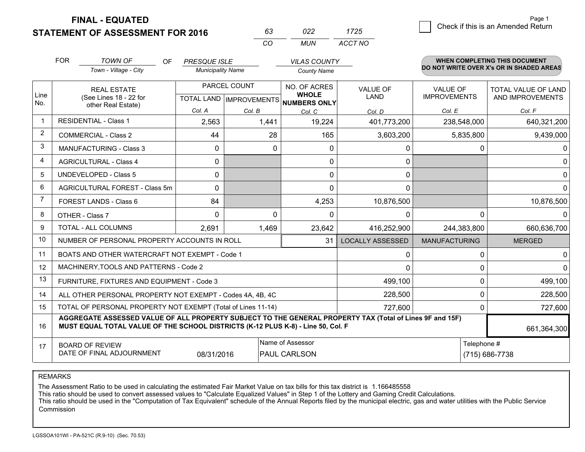**STATEMENT OF ASSESSMENT FOR 2016** 

**FINAL - EQUATED**

|                | <b>FOR</b>                                                        | <b>TOWN OF</b><br><b>OF</b><br>Town - Village - City                                                                                                                                         | <b>PRESQUE ISLE</b><br><b>Municipality Name</b> |                                                | <b>VILAS COUNTY</b><br><b>County Name</b> |                         |                                        | <b>WHEN COMPLETING THIS DOCUMENT</b><br>DO NOT WRITE OVER X's OR IN SHADED AREAS |  |
|----------------|-------------------------------------------------------------------|----------------------------------------------------------------------------------------------------------------------------------------------------------------------------------------------|-------------------------------------------------|------------------------------------------------|-------------------------------------------|-------------------------|----------------------------------------|----------------------------------------------------------------------------------|--|
| Line<br>No.    |                                                                   | <b>REAL ESTATE</b><br>(See Lines 18 - 22 for<br>other Real Estate)                                                                                                                           |                                                 | PARCEL COUNT<br><b>TOTAL LAND IMPROVEMENTS</b> |                                           | <b>VALUE OF</b><br>LAND | <b>VALUE OF</b><br><b>IMPROVEMENTS</b> | <b>TOTAL VALUE OF LAND</b><br>AND IMPROVEMENTS                                   |  |
|                |                                                                   |                                                                                                                                                                                              | Col. A                                          | Col. B                                         | <b>NUMBERS ONLY</b><br>Col. C             | Col. D                  | Col. E                                 | Col. F                                                                           |  |
| $\mathbf 1$    |                                                                   | <b>RESIDENTIAL - Class 1</b>                                                                                                                                                                 | 2,563                                           | 1,441                                          | 19,224                                    | 401,773,200             | 238,548,000                            | 640,321,200                                                                      |  |
| $\overline{2}$ |                                                                   | <b>COMMERCIAL - Class 2</b>                                                                                                                                                                  | 44                                              | 28                                             | 165                                       | 3,603,200               | 5,835,800                              | 9,439,000                                                                        |  |
| 3              |                                                                   | <b>MANUFACTURING - Class 3</b>                                                                                                                                                               | 0                                               | $\Omega$                                       | $\Omega$                                  | 0                       | 0                                      | 0                                                                                |  |
| 4              |                                                                   | <b>AGRICULTURAL - Class 4</b>                                                                                                                                                                | 0                                               |                                                | 0                                         | 0                       |                                        | $\Omega$                                                                         |  |
| 5              |                                                                   | <b>UNDEVELOPED - Class 5</b>                                                                                                                                                                 | 0                                               |                                                | 0                                         | $\mathbf 0$             |                                        | $\Omega$                                                                         |  |
| 6              |                                                                   | AGRICULTURAL FOREST - Class 5m                                                                                                                                                               | 0                                               |                                                | 0                                         | 0                       |                                        | $\Omega$                                                                         |  |
| 7              |                                                                   | FOREST LANDS - Class 6                                                                                                                                                                       | 84                                              |                                                | 4,253                                     | 10,876,500              |                                        | 10,876,500                                                                       |  |
| 8              |                                                                   | OTHER - Class 7                                                                                                                                                                              | 0                                               | 0                                              | 0                                         | 0                       | $\Omega$                               |                                                                                  |  |
| 9              |                                                                   | TOTAL - ALL COLUMNS                                                                                                                                                                          | 2,691                                           | 1,469                                          | 23,642                                    | 416,252,900             | 244,383,800                            | 660,636,700                                                                      |  |
| 10             |                                                                   | NUMBER OF PERSONAL PROPERTY ACCOUNTS IN ROLL                                                                                                                                                 |                                                 |                                                | 31                                        | <b>LOCALLY ASSESSED</b> | <b>MANUFACTURING</b>                   | <b>MERGED</b>                                                                    |  |
| 11             |                                                                   | BOATS AND OTHER WATERCRAFT NOT EXEMPT - Code 1                                                                                                                                               |                                                 |                                                |                                           | 0                       | 0                                      | 0                                                                                |  |
| 12             |                                                                   | MACHINERY, TOOLS AND PATTERNS - Code 2                                                                                                                                                       |                                                 |                                                |                                           | $\Omega$                | 0                                      | $\Omega$                                                                         |  |
| 13             |                                                                   | FURNITURE, FIXTURES AND EQUIPMENT - Code 3                                                                                                                                                   |                                                 |                                                |                                           | 499,100                 | $\Omega$                               | 499,100                                                                          |  |
| 14             |                                                                   | ALL OTHER PERSONAL PROPERTY NOT EXEMPT - Codes 4A, 4B, 4C                                                                                                                                    |                                                 |                                                |                                           | 228,500                 | $\Omega$                               | 228,500                                                                          |  |
| 15             |                                                                   | TOTAL OF PERSONAL PROPERTY NOT EXEMPT (Total of Lines 11-14)                                                                                                                                 |                                                 |                                                |                                           | 727,600                 | 0                                      | 727,600                                                                          |  |
| 16             |                                                                   | AGGREGATE ASSESSED VALUE OF ALL PROPERTY SUBJECT TO THE GENERAL PROPERTY TAX (Total of Lines 9F and 15F)<br>MUST EQUAL TOTAL VALUE OF THE SCHOOL DISTRICTS (K-12 PLUS K-8) - Line 50, Col. F |                                                 |                                                |                                           |                         |                                        | 661,364,300                                                                      |  |
| 17             | <b>BOARD OF REVIEW</b><br>DATE OF FINAL ADJOURNMENT<br>08/31/2016 |                                                                                                                                                                                              |                                                 |                                                | Name of Assessor<br>PAUL CARLSON          |                         | Telephone #<br>(715) 686-7738          |                                                                                  |  |

*CO*

*MUN*

*ACCT NO1725*

*<sup>63</sup> <sup>022</sup>*

REMARKS

The Assessment Ratio to be used in calculating the estimated Fair Market Value on tax bills for this tax district is 1.166485558<br>This ratio should be used to convert assessed values to "Calculate Equalized Values" in Step Commission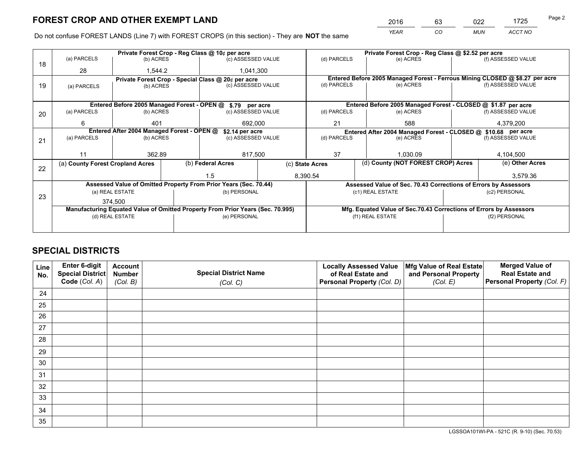*YEAR CO MUN ACCT NO* <sup>2016</sup> <sup>63</sup> <sup>022</sup> <sup>1725</sup>

Do not confuse FOREST LANDS (Line 7) with FOREST CROPS (in this section) - They are **NOT** the same

|    |                                            |                 |  | Private Forest Crop - Reg Class @ 10¢ per acre                                 |  |                                                       | Private Forest Crop - Reg Class @ \$2.52 per acre                            |          |                    |  |
|----|--------------------------------------------|-----------------|--|--------------------------------------------------------------------------------|--|-------------------------------------------------------|------------------------------------------------------------------------------|----------|--------------------|--|
| 18 | (a) PARCELS                                | (b) ACRES       |  | (c) ASSESSED VALUE                                                             |  | (d) PARCELS                                           | (e) ACRES                                                                    |          | (f) ASSESSED VALUE |  |
|    | 28                                         | 1,544.2         |  | 1,041,300                                                                      |  |                                                       |                                                                              |          |                    |  |
|    |                                            |                 |  | Private Forest Crop - Special Class @ 20¢ per acre                             |  |                                                       | Entered Before 2005 Managed Forest - Ferrous Mining CLOSED @ \$8.27 per acre |          |                    |  |
| 19 | (a) PARCELS                                | (b) ACRES       |  | (c) ASSESSED VALUE                                                             |  | (d) PARCELS                                           | (e) ACRES                                                                    |          | (f) ASSESSED VALUE |  |
|    |                                            |                 |  |                                                                                |  |                                                       |                                                                              |          |                    |  |
|    |                                            |                 |  | Entered Before 2005 Managed Forest - OPEN @ \$.79 per acre                     |  |                                                       | Entered Before 2005 Managed Forest - CLOSED @ \$1.87 per acre                |          |                    |  |
| 20 | (a) PARCELS                                | (b) ACRES       |  | (c) ASSESSED VALUE                                                             |  | (d) PARCELS                                           | (e) ACRES                                                                    |          | (f) ASSESSED VALUE |  |
|    | 6                                          | 401             |  | 692.000                                                                        |  | 21                                                    | 588                                                                          |          | 4,379,200          |  |
|    | Entered After 2004 Managed Forest - OPEN @ |                 |  |                                                                                |  |                                                       |                                                                              |          |                    |  |
|    | (a) PARCELS<br>(b) ACRES                   |                 |  | \$2.14 per acre<br>(c) ASSESSED VALUE                                          |  | (d) PARCELS                                           | Entered After 2004 Managed Forest - CLOSED @ \$10.68 per acre<br>(e) ACRES   |          | (f) ASSESSED VALUE |  |
| 21 |                                            |                 |  |                                                                                |  |                                                       |                                                                              |          |                    |  |
|    | 11                                         |                 |  |                                                                                |  | 37                                                    |                                                                              | 1.030.09 |                    |  |
|    |                                            | 362.89          |  | 817,500                                                                        |  |                                                       |                                                                              |          | 4,104,500          |  |
| 22 | (a) County Forest Cropland Acres           |                 |  | (b) Federal Acres                                                              |  | (d) County (NOT FOREST CROP) Acres<br>(c) State Acres |                                                                              |          | (e) Other Acres    |  |
|    |                                            |                 |  | 1.5                                                                            |  | 8,390.54                                              |                                                                              |          | 3,579.36           |  |
|    |                                            |                 |  | Assessed Value of Omitted Property From Prior Years (Sec. 70.44)               |  |                                                       | Assessed Value of Sec. 70.43 Corrections of Errors by Assessors              |          |                    |  |
|    |                                            | (a) REAL ESTATE |  | (b) PERSONAL                                                                   |  |                                                       | (c1) REAL ESTATE                                                             |          | (c2) PERSONAL      |  |
| 23 |                                            | 374.500         |  |                                                                                |  |                                                       |                                                                              |          |                    |  |
|    |                                            |                 |  | Manufacturing Equated Value of Omitted Property From Prior Years (Sec. 70.995) |  |                                                       | Mfg. Equated Value of Sec.70.43 Corrections of Errors by Assessors           |          |                    |  |
|    | (d) REAL ESTATE                            |                 |  | (e) PERSONAL                                                                   |  | (f1) REAL ESTATE                                      |                                                                              |          | (f2) PERSONAL      |  |
|    |                                            |                 |  |                                                                                |  |                                                       |                                                                              |          |                    |  |
|    |                                            |                 |  |                                                                                |  |                                                       |                                                                              |          |                    |  |

## **SPECIAL DISTRICTS**

| Line<br>No. | Enter 6-digit<br>Special District<br>Code (Col. A) | <b>Account</b><br><b>Number</b><br>(Col. B) | <b>Special District Name</b><br>(Col. C) | <b>Locally Assessed Value</b><br>of Real Estate and<br>Personal Property (Col. D) | Mfg Value of Real Estate<br>and Personal Property<br>(Col. E) | <b>Merged Value of</b><br><b>Real Estate and</b><br>Personal Property (Col. F) |
|-------------|----------------------------------------------------|---------------------------------------------|------------------------------------------|-----------------------------------------------------------------------------------|---------------------------------------------------------------|--------------------------------------------------------------------------------|
|             |                                                    |                                             |                                          |                                                                                   |                                                               |                                                                                |
| 24          |                                                    |                                             |                                          |                                                                                   |                                                               |                                                                                |
| 25          |                                                    |                                             |                                          |                                                                                   |                                                               |                                                                                |
| 26          |                                                    |                                             |                                          |                                                                                   |                                                               |                                                                                |
| 27          |                                                    |                                             |                                          |                                                                                   |                                                               |                                                                                |
| 28          |                                                    |                                             |                                          |                                                                                   |                                                               |                                                                                |
| 29          |                                                    |                                             |                                          |                                                                                   |                                                               |                                                                                |
| 30          |                                                    |                                             |                                          |                                                                                   |                                                               |                                                                                |
| 31          |                                                    |                                             |                                          |                                                                                   |                                                               |                                                                                |
| 32          |                                                    |                                             |                                          |                                                                                   |                                                               |                                                                                |
| 33          |                                                    |                                             |                                          |                                                                                   |                                                               |                                                                                |
| 34          |                                                    |                                             |                                          |                                                                                   |                                                               |                                                                                |
| 35          |                                                    |                                             |                                          |                                                                                   |                                                               |                                                                                |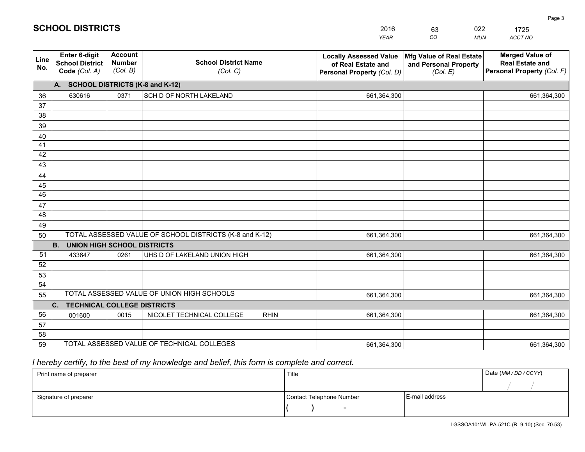|             |                                                          |                                             |                                                         | <b>YEAR</b>                                                                       | CO<br><b>MUN</b>                                              | ACCT NO                                                                        |
|-------------|----------------------------------------------------------|---------------------------------------------|---------------------------------------------------------|-----------------------------------------------------------------------------------|---------------------------------------------------------------|--------------------------------------------------------------------------------|
| Line<br>No. | Enter 6-digit<br><b>School District</b><br>Code (Col. A) | <b>Account</b><br><b>Number</b><br>(Col. B) | <b>School District Name</b><br>(Col. C)                 | <b>Locally Assessed Value</b><br>of Real Estate and<br>Personal Property (Col. D) | Mfg Value of Real Estate<br>and Personal Property<br>(Col. E) | <b>Merged Value of</b><br><b>Real Estate and</b><br>Personal Property (Col. F) |
|             | A. SCHOOL DISTRICTS (K-8 and K-12)                       |                                             |                                                         |                                                                                   |                                                               |                                                                                |
| 36          | 630616                                                   | 0371                                        | SCH D OF NORTH LAKELAND                                 | 661,364,300                                                                       |                                                               | 661,364,300                                                                    |
| 37          |                                                          |                                             |                                                         |                                                                                   |                                                               |                                                                                |
| 38          |                                                          |                                             |                                                         |                                                                                   |                                                               |                                                                                |
| 39          |                                                          |                                             |                                                         |                                                                                   |                                                               |                                                                                |
| 40          |                                                          |                                             |                                                         |                                                                                   |                                                               |                                                                                |
| 41<br>42    |                                                          |                                             |                                                         |                                                                                   |                                                               |                                                                                |
| 43          |                                                          |                                             |                                                         |                                                                                   |                                                               |                                                                                |
| 44          |                                                          |                                             |                                                         |                                                                                   |                                                               |                                                                                |
| 45          |                                                          |                                             |                                                         |                                                                                   |                                                               |                                                                                |
| 46          |                                                          |                                             |                                                         |                                                                                   |                                                               |                                                                                |
| 47          |                                                          |                                             |                                                         |                                                                                   |                                                               |                                                                                |
| 48          |                                                          |                                             |                                                         |                                                                                   |                                                               |                                                                                |
| 49          |                                                          |                                             |                                                         |                                                                                   |                                                               |                                                                                |
| 50          |                                                          |                                             | TOTAL ASSESSED VALUE OF SCHOOL DISTRICTS (K-8 and K-12) | 661,364,300                                                                       |                                                               | 661,364,300                                                                    |
|             | <b>B.</b><br><b>UNION HIGH SCHOOL DISTRICTS</b>          |                                             |                                                         |                                                                                   |                                                               |                                                                                |
| 51          | 433647                                                   | 0261                                        | UHS D OF LAKELAND UNION HIGH                            | 661,364,300                                                                       |                                                               | 661,364,300                                                                    |
| 52          |                                                          |                                             |                                                         |                                                                                   |                                                               |                                                                                |
| 53          |                                                          |                                             |                                                         |                                                                                   |                                                               |                                                                                |
| 54          |                                                          |                                             | TOTAL ASSESSED VALUE OF UNION HIGH SCHOOLS              |                                                                                   |                                                               |                                                                                |
| 55          | C. TECHNICAL COLLEGE DISTRICTS                           |                                             |                                                         | 661,364,300                                                                       |                                                               | 661,364,300                                                                    |
| 56          | 001600                                                   | 0015                                        | NICOLET TECHNICAL COLLEGE<br><b>RHIN</b>                | 661,364,300                                                                       |                                                               | 661,364,300                                                                    |
| 57          |                                                          |                                             |                                                         |                                                                                   |                                                               |                                                                                |
| 58          |                                                          |                                             |                                                         |                                                                                   |                                                               |                                                                                |
| 59          |                                                          |                                             | TOTAL ASSESSED VALUE OF TECHNICAL COLLEGES              | 661,364,300                                                                       |                                                               | 661,364,300                                                                    |

2016

63

022

 *I hereby certify, to the best of my knowledge and belief, this form is complete and correct.*

**SCHOOL DISTRICTS**

| Print name of preparer | Title                    | Date (MM / DD / CCYY) |  |
|------------------------|--------------------------|-----------------------|--|
|                        |                          |                       |  |
| Signature of preparer  | Contact Telephone Number | E-mail address        |  |
|                        | $\overline{\phantom{0}}$ |                       |  |

1725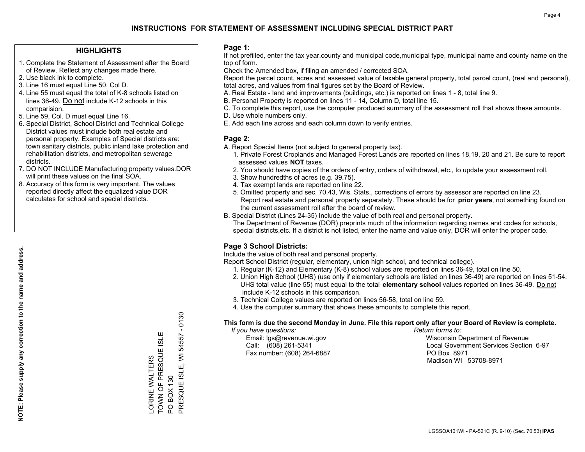### **HIGHLIGHTS**

- 1. Complete the Statement of Assessment after the Board of Review. Reflect any changes made there.
- 2. Use black ink to complete.
- 3. Line 16 must equal Line 50, Col D.
- 4. Line 55 must equal the total of K-8 schools listed on lines 36-49. Do not include K-12 schools in this comparision.
- 5. Line 59, Col. D must equal Line 16.
- 6. Special District, School District and Technical College District values must include both real estate and personal property. Examples of Special districts are: town sanitary districts, public inland lake protection and rehabilitation districts, and metropolitan sewerage districts.
- 7. DO NOT INCLUDE Manufacturing property values.DOR will print these values on the final SOA.

LORINE WALTERS

ORINE WALTERS

TOWN OF PRESQUE ISLE

TOWN OF PRESQUE ISL

Ш

PO BOX 130

PRESQUE ISLE, WI 54557 - 0130

PRESQUE ISLE, PO BOX 130

 $\overline{5}$ 

 $-0130$ 

54557

 8. Accuracy of this form is very important. The values reported directly affect the equalized value DOR calculates for school and special districts.

#### **Page 1:**

 If not prefilled, enter the tax year,county and municipal code,municipal type, municipal name and county name on the top of form.

Check the Amended box, if filing an amended / corrected SOA.

 Report the parcel count, acres and assessed value of taxable general property, total parcel count, (real and personal), total acres, and values from final figures set by the Board of Review.

- A. Real Estate land and improvements (buildings, etc.) is reported on lines 1 8, total line 9.
- B. Personal Property is reported on lines 11 14, Column D, total line 15.
- C. To complete this report, use the computer produced summary of the assessment roll that shows these amounts.
- D. Use whole numbers only.
- E. Add each line across and each column down to verify entries.

### **Page 2:**

- A. Report Special Items (not subject to general property tax).
- 1. Private Forest Croplands and Managed Forest Lands are reported on lines 18,19, 20 and 21. Be sure to report assessed values **NOT** taxes.
- 2. You should have copies of the orders of entry, orders of withdrawal, etc., to update your assessment roll.
	- 3. Show hundredths of acres (e.g. 39.75).
- 4. Tax exempt lands are reported on line 22.
- 5. Omitted property and sec. 70.43, Wis. Stats., corrections of errors by assessor are reported on line 23. Report real estate and personal property separately. These should be for **prior years**, not something found on the current assessment roll after the board of review.
- B. Special District (Lines 24-35) Include the value of both real and personal property.
- The Department of Revenue (DOR) preprints much of the information regarding names and codes for schools, special districts,etc. If a district is not listed, enter the name and value only, DOR will enter the proper code.

### **Page 3 School Districts:**

Include the value of both real and personal property.

Report School District (regular, elementary, union high school, and technical college).

- 1. Regular (K-12) and Elementary (K-8) school values are reported on lines 36-49, total on line 50.
- 2. Union High School (UHS) (use only if elementary schools are listed on lines 36-49) are reported on lines 51-54. UHS total value (line 55) must equal to the total **elementary school** values reported on lines 36-49. Do notinclude K-12 schools in this comparison.
- 3. Technical College values are reported on lines 56-58, total on line 59.
- 4. Use the computer summary that shows these amounts to complete this report.

#### **This form is due the second Monday in June. File this report only after your Board of Review is complete.**

 *If you have questions: Return forms to:*

Fax number: (608) 264-6887 PO Box 8971

 Email: lgs@revenue.wi.gov Wisconsin Department of Revenue Call: (608) 261-5341 Local Government Services Section 6-97Madison WI 53708-8971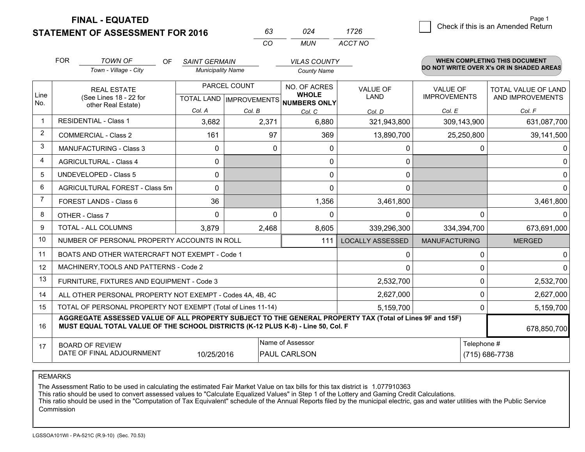**STATEMENT OF ASSESSMENT FOR 2016** 

**FINAL - EQUATED**

|                | <b>FOR</b> | <b>TOWN OF</b><br><b>OF</b><br>Town - Village - City                                                                                                                                         | <b>SAINT GERMAIN</b><br><b>Municipality Name</b> |              | <b>VILAS COUNTY</b><br><b>County Name</b>    |                         |                                        | <b>WHEN COMPLETING THIS DOCUMENT</b><br>DO NOT WRITE OVER X's OR IN SHADED AREAS |  |
|----------------|------------|----------------------------------------------------------------------------------------------------------------------------------------------------------------------------------------------|--------------------------------------------------|--------------|----------------------------------------------|-------------------------|----------------------------------------|----------------------------------------------------------------------------------|--|
| Line<br>No.    |            | <b>REAL ESTATE</b><br>(See Lines 18 - 22 for                                                                                                                                                 | PARCEL COUNT<br>TOTAL LAND   IMPROVEMENTS        |              | NO. OF ACRES<br><b>WHOLE</b><br>NUMBERS ONLY | VALUE OF<br>LAND        | <b>VALUE OF</b><br><b>IMPROVEMENTS</b> | TOTAL VALUE OF LAND<br>AND IMPROVEMENTS                                          |  |
|                |            | other Real Estate)                                                                                                                                                                           | Col. A                                           | Col. B       | Col. C                                       | Col. D                  | Col. E                                 | Col. F                                                                           |  |
| $\mathbf 1$    |            | <b>RESIDENTIAL - Class 1</b>                                                                                                                                                                 | 3,682                                            | 2,371        | 6,880                                        | 321,943,800             | 309,143,900                            | 631,087,700                                                                      |  |
| $\overline{2}$ |            | <b>COMMERCIAL - Class 2</b>                                                                                                                                                                  | 161                                              | 97           | 369                                          | 13,890,700              | 25,250,800                             | 39,141,500                                                                       |  |
| 3              |            | <b>MANUFACTURING - Class 3</b>                                                                                                                                                               | 0                                                | $\mathbf{0}$ | $\mathbf{0}$                                 | 0                       | 0                                      | 0                                                                                |  |
| 4              |            | <b>AGRICULTURAL - Class 4</b>                                                                                                                                                                | 0                                                |              | 0                                            | 0                       |                                        | 0                                                                                |  |
| 5              |            | <b>UNDEVELOPED - Class 5</b>                                                                                                                                                                 | 0                                                |              | 0                                            | 0                       |                                        | 0                                                                                |  |
| 6              |            | AGRICULTURAL FOREST - Class 5m                                                                                                                                                               | 0                                                |              | 0                                            | 0                       |                                        | $\Omega$                                                                         |  |
| $\overline{7}$ |            | FOREST LANDS - Class 6                                                                                                                                                                       | 36                                               |              | 1,356                                        | 3,461,800               |                                        | 3,461,800                                                                        |  |
| 8              |            | OTHER - Class 7                                                                                                                                                                              | 0                                                | 0            | 0                                            | 0                       | 0                                      | $\Omega$                                                                         |  |
| 9              |            | TOTAL - ALL COLUMNS                                                                                                                                                                          | 3,879                                            | 2,468        | 8,605                                        | 339,296,300             | 334,394,700                            | 673,691,000                                                                      |  |
| 10             |            | NUMBER OF PERSONAL PROPERTY ACCOUNTS IN ROLL                                                                                                                                                 |                                                  |              | 111                                          | <b>LOCALLY ASSESSED</b> | <b>MANUFACTURING</b>                   | <b>MERGED</b>                                                                    |  |
| 11             |            | BOATS AND OTHER WATERCRAFT NOT EXEMPT - Code 1                                                                                                                                               |                                                  |              |                                              | 0                       | 0                                      | $\mathbf 0$                                                                      |  |
| 12             |            | MACHINERY, TOOLS AND PATTERNS - Code 2                                                                                                                                                       |                                                  |              |                                              | 0                       | 0                                      | $\Omega$                                                                         |  |
| 13             |            | FURNITURE, FIXTURES AND EQUIPMENT - Code 3                                                                                                                                                   |                                                  |              |                                              | 2,532,700               | $\Omega$                               | 2,532,700                                                                        |  |
| 14             |            | ALL OTHER PERSONAL PROPERTY NOT EXEMPT - Codes 4A, 4B, 4C                                                                                                                                    |                                                  |              |                                              | 2,627,000               | 0                                      | 2,627,000                                                                        |  |
| 15             |            | TOTAL OF PERSONAL PROPERTY NOT EXEMPT (Total of Lines 11-14)                                                                                                                                 |                                                  |              |                                              | 5,159,700               | 0                                      | 5,159,700                                                                        |  |
| 16             |            | AGGREGATE ASSESSED VALUE OF ALL PROPERTY SUBJECT TO THE GENERAL PROPERTY TAX (Total of Lines 9F and 15F)<br>MUST EQUAL TOTAL VALUE OF THE SCHOOL DISTRICTS (K-12 PLUS K-8) - Line 50, Col. F |                                                  |              |                                              |                         |                                        | 678,850,700                                                                      |  |
| 17             |            | <b>BOARD OF REVIEW</b><br>DATE OF FINAL ADJOURNMENT                                                                                                                                          | 10/25/2016                                       |              | Name of Assessor<br><b>PAUL CARLSON</b>      |                         | Telephone #<br>(715) 686-7738          |                                                                                  |  |

*CO*

*MUN*

*ACCT NO1726*

*<sup>63</sup> <sup>024</sup>*

REMARKS

The Assessment Ratio to be used in calculating the estimated Fair Market Value on tax bills for this tax district is 1.077910363<br>This ratio should be used to convert assessed values to "Calculate Equalized Values" in Step Commission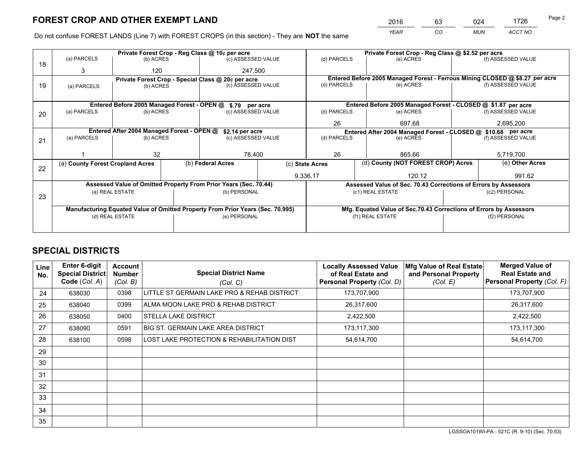*YEAR CO MUN ACCT NO* <sup>2016</sup> <sup>63</sup> <sup>024</sup> <sup>1726</sup> Page 2

Do not confuse FOREST LANDS (Line 7) with FOREST CROPS (in this section) - They are **NOT** the same

|    |                                                                                |                 |                    | Private Forest Crop - Reg Class @ 10¢ per acre                   |                    |                                                               |                          |                                                                 | Private Forest Crop - Reg Class @ \$2.52 per acre |                                                                              |  |  |
|----|--------------------------------------------------------------------------------|-----------------|--------------------|------------------------------------------------------------------|--------------------|---------------------------------------------------------------|--------------------------|-----------------------------------------------------------------|---------------------------------------------------|------------------------------------------------------------------------------|--|--|
| 18 | (a) PARCELS                                                                    | (b) ACRES       |                    | (c) ASSESSED VALUE                                               |                    | (d) PARCELS                                                   |                          | (e) ACRES                                                       |                                                   | (f) ASSESSED VALUE                                                           |  |  |
|    | 3                                                                              | 120             |                    | 247.500                                                          |                    |                                                               |                          |                                                                 |                                                   |                                                                              |  |  |
|    |                                                                                |                 |                    | Private Forest Crop - Special Class @ 20¢ per acre               |                    |                                                               |                          |                                                                 |                                                   | Entered Before 2005 Managed Forest - Ferrous Mining CLOSED @ \$8.27 per acre |  |  |
| 19 | (b) ACRES<br>(a) PARCELS                                                       |                 | (c) ASSESSED VALUE |                                                                  | (d) PARCELS        |                                                               | (e) ACRES                |                                                                 | (f) ASSESSED VALUE                                |                                                                              |  |  |
|    |                                                                                |                 |                    |                                                                  |                    |                                                               |                          |                                                                 |                                                   |                                                                              |  |  |
|    |                                                                                |                 |                    | Entered Before 2005 Managed Forest - OPEN @ \$.79 per acre       |                    |                                                               |                          | Entered Before 2005 Managed Forest - CLOSED @ \$1.87 per acre   |                                                   |                                                                              |  |  |
| 20 | (a) PARCELS                                                                    | (b) ACRES       |                    | (c) ASSESSED VALUE                                               |                    | (d) PARCELS                                                   |                          | (e) ACRES                                                       |                                                   | (f) ASSESSED VALUE                                                           |  |  |
|    |                                                                                |                 |                    |                                                                  |                    | 26                                                            |                          | 697.68                                                          |                                                   | 2,695,200                                                                    |  |  |
|    | Entered After 2004 Managed Forest - OPEN @<br>\$2.14 per acre                  |                 |                    |                                                                  |                    | Entered After 2004 Managed Forest - CLOSED @ \$10.68 per acre |                          |                                                                 |                                                   |                                                                              |  |  |
| 21 | (a) PARCELS                                                                    | (b) ACRES       |                    |                                                                  | (c) ASSESSED VALUE |                                                               | (d) PARCELS<br>(e) ACRES |                                                                 |                                                   | (f) ASSESSED VALUE                                                           |  |  |
|    |                                                                                |                 |                    |                                                                  |                    |                                                               |                          |                                                                 |                                                   |                                                                              |  |  |
|    |                                                                                | 32              |                    | 78,400                                                           |                    | 26                                                            |                          | 865.66                                                          |                                                   | 5,719,700                                                                    |  |  |
|    | (a) County Forest Cropland Acres                                               |                 |                    | (b) Federal Acres                                                |                    | (d) County (NOT FOREST CROP) Acres<br>(c) State Acres         |                          |                                                                 |                                                   | (e) Other Acres                                                              |  |  |
| 22 |                                                                                |                 |                    |                                                                  |                    | 9,336.17<br>120.12                                            |                          |                                                                 |                                                   | 991.62                                                                       |  |  |
|    |                                                                                |                 |                    | Assessed Value of Omitted Property From Prior Years (Sec. 70.44) |                    |                                                               |                          | Assessed Value of Sec. 70.43 Corrections of Errors by Assessors |                                                   |                                                                              |  |  |
|    |                                                                                | (a) REAL ESTATE |                    | (b) PERSONAL                                                     |                    |                                                               | (c1) REAL ESTATE         |                                                                 |                                                   | (c2) PERSONAL                                                                |  |  |
| 23 |                                                                                |                 |                    |                                                                  |                    |                                                               |                          |                                                                 |                                                   |                                                                              |  |  |
|    | Manufacturing Equated Value of Omitted Property From Prior Years (Sec. 70.995) |                 |                    |                                                                  |                    |                                                               |                          |                                                                 |                                                   | Mfg. Equated Value of Sec.70.43 Corrections of Errors by Assessors           |  |  |
|    | (d) REAL ESTATE                                                                |                 |                    | (e) PERSONAL                                                     |                    | (f1) REAL ESTATE                                              |                          |                                                                 | (f2) PERSONAL                                     |                                                                              |  |  |
|    |                                                                                |                 |                    |                                                                  |                    |                                                               |                          |                                                                 |                                                   |                                                                              |  |  |

## **SPECIAL DISTRICTS**

| <b>Line</b><br>No. | <b>Enter 6-digit</b><br><b>Special District</b><br>Code (Col. A) | <b>Account</b><br><b>Number</b><br>(Col. B) | <b>Special District Name</b><br>(Col. C)    | <b>Locally Assessed Value</b><br>of Real Estate and<br>Personal Property (Col. D) | Mfg Value of Real Estate<br>and Personal Property<br>(Col. E) | <b>Merged Value of</b><br><b>Real Estate and</b><br>Personal Property (Col. F) |
|--------------------|------------------------------------------------------------------|---------------------------------------------|---------------------------------------------|-----------------------------------------------------------------------------------|---------------------------------------------------------------|--------------------------------------------------------------------------------|
| 24                 | 638030                                                           | 0398                                        | LITTLE ST GERMAIN LAKE PRO & REHAB DISTRICT | 173,707,900                                                                       |                                                               | 173,707,900                                                                    |
| 25                 | 638040                                                           | 0399                                        | ALMA MOON LAKE PRO & REHAB DISTRICT         | 26,317,600                                                                        |                                                               | 26,317,600                                                                     |
| 26                 | 638050                                                           | 0400                                        | <b>STELLA LAKE DISTRICT</b>                 | 2,422,500                                                                         |                                                               | 2,422,500                                                                      |
| 27                 | 638090                                                           | 0591                                        | <b>BIG ST. GERMAIN LAKE AREA DISTRICT</b>   | 173,117,300                                                                       |                                                               | 173,117,300                                                                    |
| 28                 | 638100                                                           | 0598                                        | LOST LAKE PROTECTION & REHABILITATION DIST  | 54,614,700                                                                        |                                                               | 54,614,700                                                                     |
| 29                 |                                                                  |                                             |                                             |                                                                                   |                                                               |                                                                                |
| 30                 |                                                                  |                                             |                                             |                                                                                   |                                                               |                                                                                |
| 31                 |                                                                  |                                             |                                             |                                                                                   |                                                               |                                                                                |
| 32                 |                                                                  |                                             |                                             |                                                                                   |                                                               |                                                                                |
| 33                 |                                                                  |                                             |                                             |                                                                                   |                                                               |                                                                                |
| 34                 |                                                                  |                                             |                                             |                                                                                   |                                                               |                                                                                |
| 35                 |                                                                  |                                             |                                             |                                                                                   |                                                               |                                                                                |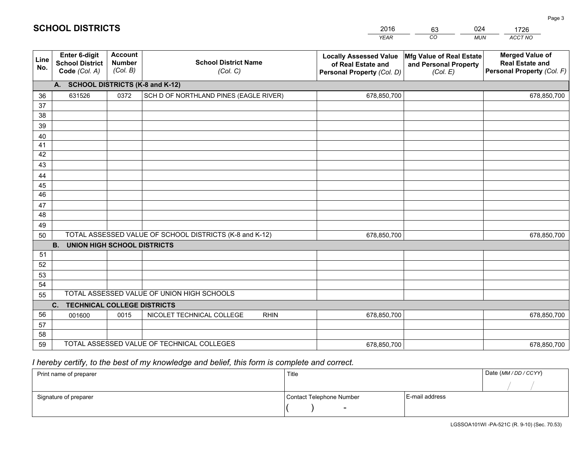|             | <b>SCHOOL DISTRICTS</b>                                  |                                             |                                                         | 2016                                                                              | 024<br>63                                                     | 1726                                                                           |  |  |  |  |  |
|-------------|----------------------------------------------------------|---------------------------------------------|---------------------------------------------------------|-----------------------------------------------------------------------------------|---------------------------------------------------------------|--------------------------------------------------------------------------------|--|--|--|--|--|
|             |                                                          |                                             |                                                         | <b>YEAR</b>                                                                       | CO<br><b>MUN</b>                                              | ACCT NO                                                                        |  |  |  |  |  |
| Line<br>No. | Enter 6-digit<br><b>School District</b><br>Code (Col. A) | <b>Account</b><br><b>Number</b><br>(Col. B) | <b>School District Name</b><br>(Col. C)                 | <b>Locally Assessed Value</b><br>of Real Estate and<br>Personal Property (Col. D) | Mfg Value of Real Estate<br>and Personal Property<br>(Col. E) | <b>Merged Value of</b><br><b>Real Estate and</b><br>Personal Property (Col. F) |  |  |  |  |  |
|             | <b>SCHOOL DISTRICTS (K-8 and K-12)</b><br>А.             |                                             |                                                         |                                                                                   |                                                               |                                                                                |  |  |  |  |  |
| 36          | 631526                                                   | 0372                                        | SCH D OF NORTHLAND PINES (EAGLE RIVER)                  | 678,850,700                                                                       |                                                               | 678,850,700                                                                    |  |  |  |  |  |
| 37          |                                                          |                                             |                                                         |                                                                                   |                                                               |                                                                                |  |  |  |  |  |
| 38          |                                                          |                                             |                                                         |                                                                                   |                                                               |                                                                                |  |  |  |  |  |
| 39          |                                                          |                                             |                                                         |                                                                                   |                                                               |                                                                                |  |  |  |  |  |
| 40          |                                                          |                                             |                                                         |                                                                                   |                                                               |                                                                                |  |  |  |  |  |
| 41          |                                                          |                                             |                                                         |                                                                                   |                                                               |                                                                                |  |  |  |  |  |
| 42          |                                                          |                                             |                                                         |                                                                                   |                                                               |                                                                                |  |  |  |  |  |
| 43          |                                                          |                                             |                                                         |                                                                                   |                                                               |                                                                                |  |  |  |  |  |
| 44          |                                                          |                                             |                                                         |                                                                                   |                                                               |                                                                                |  |  |  |  |  |
| 45          |                                                          |                                             |                                                         |                                                                                   |                                                               |                                                                                |  |  |  |  |  |
| 46          |                                                          |                                             |                                                         |                                                                                   |                                                               |                                                                                |  |  |  |  |  |
| 47          |                                                          |                                             |                                                         |                                                                                   |                                                               |                                                                                |  |  |  |  |  |
| 48          |                                                          |                                             |                                                         |                                                                                   |                                                               |                                                                                |  |  |  |  |  |
| 49          |                                                          |                                             |                                                         |                                                                                   |                                                               |                                                                                |  |  |  |  |  |
| 50          |                                                          |                                             | TOTAL ASSESSED VALUE OF SCHOOL DISTRICTS (K-8 and K-12) | 678,850,700                                                                       |                                                               | 678,850,700                                                                    |  |  |  |  |  |

| 50 |                                                 |      | TOTAL ASSESSED VALUE OF SCHOOL DISTRICTS (K-8 and K-12) | 678,850,700 |  | 678,850,700 |  |  |  |  |  |
|----|-------------------------------------------------|------|---------------------------------------------------------|-------------|--|-------------|--|--|--|--|--|
|    | <b>UNION HIGH SCHOOL DISTRICTS</b><br><b>B.</b> |      |                                                         |             |  |             |  |  |  |  |  |
| 51 |                                                 |      |                                                         |             |  |             |  |  |  |  |  |
| 52 |                                                 |      |                                                         |             |  |             |  |  |  |  |  |
| 53 |                                                 |      |                                                         |             |  |             |  |  |  |  |  |
| 54 |                                                 |      |                                                         |             |  |             |  |  |  |  |  |
| 55 |                                                 |      | TOTAL ASSESSED VALUE OF UNION HIGH SCHOOLS              |             |  |             |  |  |  |  |  |
|    | <b>TECHNICAL COLLEGE DISTRICTS</b><br>C.        |      |                                                         |             |  |             |  |  |  |  |  |
| 56 | 001600                                          | 0015 | NICOLET TECHNICAL COLLEGE<br><b>RHIN</b>                | 678,850,700 |  | 678,850,700 |  |  |  |  |  |
| 57 |                                                 |      |                                                         |             |  |             |  |  |  |  |  |
| 58 |                                                 |      |                                                         |             |  |             |  |  |  |  |  |
| 59 |                                                 |      | TOTAL ASSESSED VALUE OF TECHNICAL COLLEGES              | 678,850,700 |  | 678,850,700 |  |  |  |  |  |

## *I hereby certify, to the best of my knowledge and belief, this form is complete and correct.*

| Print name of preparer | Title                    | Date (MM / DD / CCYY) |
|------------------------|--------------------------|-----------------------|
|                        |                          |                       |
| Signature of preparer  | Contact Telephone Number | E-mail address        |
|                        | $\overline{\phantom{0}}$ |                       |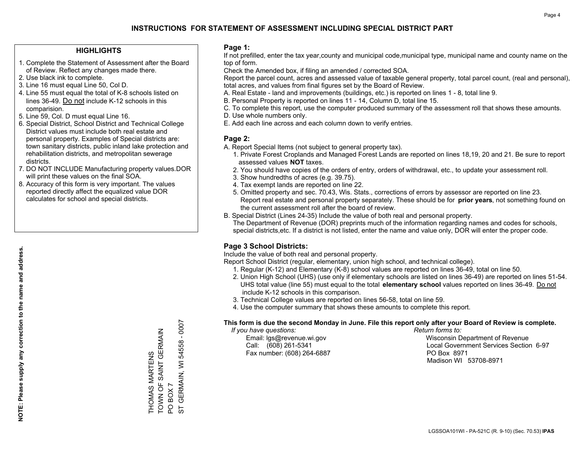### **HIGHLIGHTS**

- 1. Complete the Statement of Assessment after the Board of Review. Reflect any changes made there.
- 2. Use black ink to complete.
- 3. Line 16 must equal Line 50, Col D.
- 4. Line 55 must equal the total of K-8 schools listed on lines 36-49. Do not include K-12 schools in this comparision.
- 5. Line 59, Col. D must equal Line 16.
- 6. Special District, School District and Technical College District values must include both real estate and personal property. Examples of Special districts are: town sanitary districts, public inland lake protection and rehabilitation districts, and metropolitan sewerage districts.
- 7. DO NOT INCLUDE Manufacturing property values.DOR will print these values on the final SOA.

THOMAS MARTENS

TOWN OF SAINT GERMAIN

TOWN OF SAINT GERMAIN *THOMAS MARTENS* 

PO BOX 7

 $\overline{Q}$  $\overline{5}$ 

BOX 7

ST GERMAIN, WI 54558 - 0007

GERMAIN, WI 54558 - 0007

 8. Accuracy of this form is very important. The values reported directly affect the equalized value DOR calculates for school and special districts.

### **Page 1:**

 If not prefilled, enter the tax year,county and municipal code,municipal type, municipal name and county name on the top of form.

Check the Amended box, if filing an amended / corrected SOA.

 Report the parcel count, acres and assessed value of taxable general property, total parcel count, (real and personal), total acres, and values from final figures set by the Board of Review.

- A. Real Estate land and improvements (buildings, etc.) is reported on lines 1 8, total line 9.
- B. Personal Property is reported on lines 11 14, Column D, total line 15.
- C. To complete this report, use the computer produced summary of the assessment roll that shows these amounts.
- D. Use whole numbers only.
- E. Add each line across and each column down to verify entries.

### **Page 2:**

- A. Report Special Items (not subject to general property tax).
- 1. Private Forest Croplands and Managed Forest Lands are reported on lines 18,19, 20 and 21. Be sure to report assessed values **NOT** taxes.
- 2. You should have copies of the orders of entry, orders of withdrawal, etc., to update your assessment roll.
	- 3. Show hundredths of acres (e.g. 39.75).
- 4. Tax exempt lands are reported on line 22.
- 5. Omitted property and sec. 70.43, Wis. Stats., corrections of errors by assessor are reported on line 23. Report real estate and personal property separately. These should be for **prior years**, not something found on the current assessment roll after the board of review.
- B. Special District (Lines 24-35) Include the value of both real and personal property.
- The Department of Revenue (DOR) preprints much of the information regarding names and codes for schools, special districts,etc. If a district is not listed, enter the name and value only, DOR will enter the proper code.

### **Page 3 School Districts:**

Include the value of both real and personal property.

Report School District (regular, elementary, union high school, and technical college).

- 1. Regular (K-12) and Elementary (K-8) school values are reported on lines 36-49, total on line 50.
- 2. Union High School (UHS) (use only if elementary schools are listed on lines 36-49) are reported on lines 51-54. UHS total value (line 55) must equal to the total **elementary school** values reported on lines 36-49. Do notinclude K-12 schools in this comparison.
- 3. Technical College values are reported on lines 56-58, total on line 59.
- 4. Use the computer summary that shows these amounts to complete this report.

#### **This form is due the second Monday in June. File this report only after your Board of Review is complete.**

 *If you have questions: Return forms to:*

Fax number: (608) 264-6887 PO Box 8971

 Email: lgs@revenue.wi.gov Wisconsin Department of Revenue Call: (608) 261-5341 Local Government Services Section 6-97Madison WI 53708-8971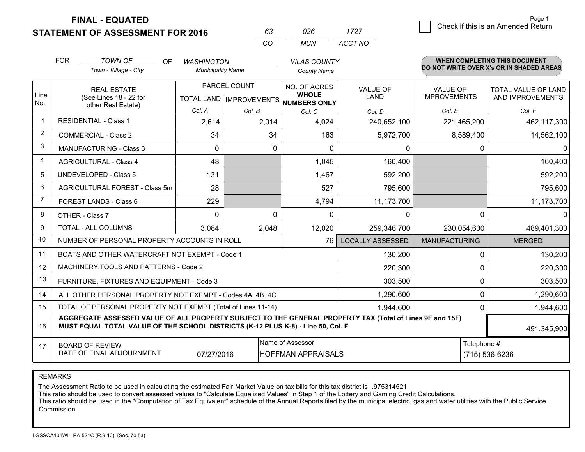**STATEMENT OF ASSESSMENT FOR 2016 FINAL - EQUATED**

7 Check if this is an Amended Return<br>7 Page 1

|                | <b>FOR</b> | <b>TOWN OF</b><br><b>OF</b>                                                                                                                                                                  | <b>WASHINGTON</b>        |                           | <b>VILAS COUNTY</b>                 |                         |                      | <b>WHEN COMPLETING THIS DOCUMENT</b><br>DO NOT WRITE OVER X's OR IN SHADED AREAS |  |
|----------------|------------|----------------------------------------------------------------------------------------------------------------------------------------------------------------------------------------------|--------------------------|---------------------------|-------------------------------------|-------------------------|----------------------|----------------------------------------------------------------------------------|--|
|                |            | Town - Village - City                                                                                                                                                                        | <b>Municipality Name</b> |                           | <b>County Name</b>                  |                         |                      |                                                                                  |  |
|                |            | <b>REAL ESTATE</b>                                                                                                                                                                           | PARCEL COUNT             |                           | NO. OF ACRES                        | <b>VALUE OF</b>         | <b>VALUE OF</b>      | TOTAL VALUE OF LAND                                                              |  |
| Line<br>No.    |            | (See Lines 18 - 22 for<br>other Real Estate)                                                                                                                                                 |                          | TOTAL LAND   IMPROVEMENTS | <b>WHOLE</b><br><b>NUMBERS ONLY</b> | LAND                    | <b>IMPROVEMENTS</b>  | AND IMPROVEMENTS                                                                 |  |
|                |            |                                                                                                                                                                                              | Col. A                   | Col. B                    | Col. C                              | Col. D                  | Col. E               | Col. F                                                                           |  |
| -1             |            | <b>RESIDENTIAL - Class 1</b>                                                                                                                                                                 | 2,614                    | 2,014                     | 4,024                               | 240,652,100             | 221,465,200          | 462,117,300                                                                      |  |
| 2              |            | <b>COMMERCIAL - Class 2</b>                                                                                                                                                                  | 34                       | 34                        | 163                                 | 5,972,700               | 8,589,400            | 14,562,100                                                                       |  |
| 3              |            | <b>MANUFACTURING - Class 3</b>                                                                                                                                                               | $\Omega$                 | $\Omega$                  | $\Omega$                            | 0                       | 0                    |                                                                                  |  |
| 4              |            | <b>AGRICULTURAL - Class 4</b>                                                                                                                                                                | 48                       |                           | 1,045                               | 160,400                 |                      | 160,400                                                                          |  |
| 5              |            | UNDEVELOPED - Class 5                                                                                                                                                                        | 131                      |                           | 1,467                               | 592,200                 |                      | 592,200                                                                          |  |
| 6              |            | AGRICULTURAL FOREST - Class 5m                                                                                                                                                               | 28                       |                           | 527                                 | 795,600                 |                      | 795,600                                                                          |  |
| $\overline{7}$ |            | FOREST LANDS - Class 6                                                                                                                                                                       | 229                      |                           | 4,794                               | 11,173,700              |                      | 11,173,700                                                                       |  |
| 8              |            | OTHER - Class 7                                                                                                                                                                              | $\Omega$                 | $\Omega$                  | $\Omega$                            | $\Omega$                | $\Omega$             |                                                                                  |  |
| 9              |            | TOTAL - ALL COLUMNS                                                                                                                                                                          | 3,084                    | 2,048                     | 12,020                              | 259,346,700             | 230,054,600          | 489,401,300                                                                      |  |
| 10             |            | NUMBER OF PERSONAL PROPERTY ACCOUNTS IN ROLL                                                                                                                                                 |                          |                           | 76                                  | <b>LOCALLY ASSESSED</b> | <b>MANUFACTURING</b> | <b>MERGED</b>                                                                    |  |
| 11             |            | BOATS AND OTHER WATERCRAFT NOT EXEMPT - Code 1                                                                                                                                               |                          |                           |                                     | 130,200                 | 0                    | 130,200                                                                          |  |
| 12             |            | MACHINERY, TOOLS AND PATTERNS - Code 2                                                                                                                                                       |                          |                           |                                     | 220,300                 | 0                    | 220,300                                                                          |  |
| 13             |            | FURNITURE, FIXTURES AND EQUIPMENT - Code 3                                                                                                                                                   |                          |                           |                                     | 303,500                 | 0                    | 303,500                                                                          |  |
| 14             |            | ALL OTHER PERSONAL PROPERTY NOT EXEMPT - Codes 4A, 4B, 4C                                                                                                                                    |                          |                           |                                     | 1,290,600               | 0                    | 1,290,600                                                                        |  |
| 15             |            | TOTAL OF PERSONAL PROPERTY NOT EXEMPT (Total of Lines 11-14)                                                                                                                                 |                          |                           |                                     | 1,944,600               | $\mathbf{0}$         | 1,944,600                                                                        |  |
| 16             |            | AGGREGATE ASSESSED VALUE OF ALL PROPERTY SUBJECT TO THE GENERAL PROPERTY TAX (Total of Lines 9F and 15F)<br>MUST EQUAL TOTAL VALUE OF THE SCHOOL DISTRICTS (K-12 PLUS K-8) - Line 50, Col. F |                          |                           |                                     |                         |                      | 491,345,900                                                                      |  |
| 17             |            | <b>BOARD OF REVIEW</b>                                                                                                                                                                       |                          |                           | Name of Assessor                    |                         | Telephone #          |                                                                                  |  |
|                |            | DATE OF FINAL ADJOURNMENT                                                                                                                                                                    | 07/27/2016               |                           | <b>HOFFMAN APPRAISALS</b>           |                         |                      | (715) 536-6236                                                                   |  |

*CO*

*MUN*

*ACCT NO1727*

*<sup>63</sup> <sup>026</sup>*

REMARKS

The Assessment Ratio to be used in calculating the estimated Fair Market Value on tax bills for this tax district is .975314521<br>This ratio should be used to convert assessed values to "Calculate Equalized Values" in Step 1 Commission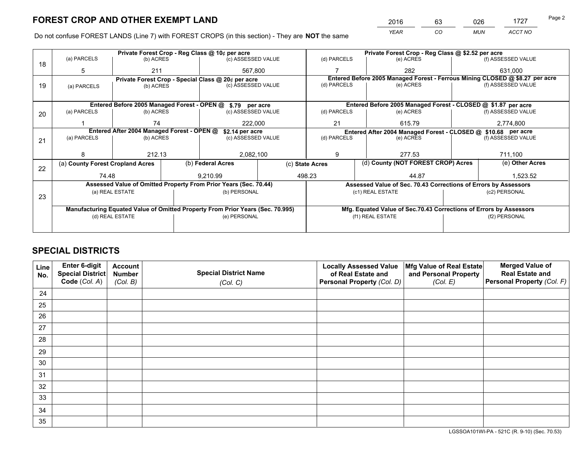*YEAR CO MUN ACCT NO* 2016 63 026 1727

Do not confuse FOREST LANDS (Line 7) with FOREST CROPS (in this section) - They are **NOT** the same

|    | Private Forest Crop - Reg Class @ 10¢ per acre                                 |                                                               |                                                    |                                                                  |  |                                                                 | Private Forest Crop - Reg Class @ \$2.52 per acre                  |                                                               |                                                                              |                    |
|----|--------------------------------------------------------------------------------|---------------------------------------------------------------|----------------------------------------------------|------------------------------------------------------------------|--|-----------------------------------------------------------------|--------------------------------------------------------------------|---------------------------------------------------------------|------------------------------------------------------------------------------|--------------------|
| 18 | (a) PARCELS                                                                    | (b) ACRES                                                     |                                                    | (c) ASSESSED VALUE                                               |  | (d) PARCELS                                                     |                                                                    | (e) ACRES                                                     |                                                                              | (f) ASSESSED VALUE |
|    | 5                                                                              | 211                                                           |                                                    | 567.800                                                          |  |                                                                 |                                                                    | 282                                                           |                                                                              | 631.000            |
|    |                                                                                |                                                               | Private Forest Crop - Special Class @ 20¢ per acre |                                                                  |  |                                                                 |                                                                    |                                                               | Entered Before 2005 Managed Forest - Ferrous Mining CLOSED @ \$8.27 per acre |                    |
| 19 | (a) PARCELS                                                                    | (b) ACRES                                                     |                                                    | (c) ASSESSED VALUE                                               |  | (d) PARCELS                                                     |                                                                    | (e) ACRES                                                     |                                                                              | (f) ASSESSED VALUE |
|    |                                                                                |                                                               |                                                    |                                                                  |  |                                                                 |                                                                    |                                                               |                                                                              |                    |
|    |                                                                                |                                                               |                                                    | Entered Before 2005 Managed Forest - OPEN @ \$.79 per acre       |  |                                                                 |                                                                    | Entered Before 2005 Managed Forest - CLOSED @ \$1.87 per acre |                                                                              |                    |
| 20 | (a) PARCELS                                                                    | (b) ACRES                                                     |                                                    | (c) ASSESSED VALUE                                               |  | (d) PARCELS                                                     |                                                                    | (e) ACRES                                                     |                                                                              | (f) ASSESSED VALUE |
|    |                                                                                | 74                                                            |                                                    | 222,000                                                          |  | 21<br>615.79                                                    |                                                                    | 2,774,800                                                     |                                                                              |                    |
|    |                                                                                | Entered After 2004 Managed Forest - OPEN @<br>\$2.14 per acre |                                                    |                                                                  |  | Entered After 2004 Managed Forest - CLOSED @ \$10.68 per acre   |                                                                    |                                                               |                                                                              |                    |
| 21 | (a) PARCELS                                                                    | (b) ACRES                                                     |                                                    | (c) ASSESSED VALUE                                               |  | (d) PARCELS<br>(e) ACRES                                        |                                                                    |                                                               | (f) ASSESSED VALUE                                                           |                    |
|    |                                                                                |                                                               |                                                    |                                                                  |  |                                                                 |                                                                    |                                                               |                                                                              |                    |
|    |                                                                                | 212.13                                                        |                                                    | 2,082,100                                                        |  | 9                                                               |                                                                    | 277.53                                                        |                                                                              | 711,100            |
|    | (a) County Forest Cropland Acres                                               |                                                               |                                                    | (b) Federal Acres                                                |  | (c) State Acres                                                 |                                                                    | (d) County (NOT FOREST CROP) Acres                            |                                                                              | (e) Other Acres    |
| 22 |                                                                                |                                                               |                                                    |                                                                  |  |                                                                 |                                                                    |                                                               |                                                                              |                    |
|    | 74.48                                                                          |                                                               |                                                    | 9.210.99                                                         |  | 498.23                                                          |                                                                    | 44.87                                                         |                                                                              | 1,523.52           |
|    |                                                                                |                                                               |                                                    | Assessed Value of Omitted Property From Prior Years (Sec. 70.44) |  | Assessed Value of Sec. 70.43 Corrections of Errors by Assessors |                                                                    |                                                               |                                                                              |                    |
| 23 |                                                                                | (a) REAL ESTATE                                               |                                                    | (b) PERSONAL                                                     |  | (c1) REAL ESTATE                                                |                                                                    |                                                               |                                                                              | (c2) PERSONAL      |
|    |                                                                                |                                                               |                                                    |                                                                  |  |                                                                 |                                                                    |                                                               |                                                                              |                    |
|    | Manufacturing Equated Value of Omitted Property From Prior Years (Sec. 70.995) |                                                               |                                                    |                                                                  |  |                                                                 | Mfg. Equated Value of Sec.70.43 Corrections of Errors by Assessors |                                                               |                                                                              |                    |
|    |                                                                                | (d) REAL ESTATE                                               |                                                    | (e) PERSONAL                                                     |  | (f1) REAL ESTATE<br>(f2) PERSONAL                               |                                                                    |                                                               |                                                                              |                    |
|    |                                                                                |                                                               |                                                    |                                                                  |  |                                                                 |                                                                    |                                                               |                                                                              |                    |

## **SPECIAL DISTRICTS**

| Line<br>No. | Enter 6-digit<br>Special District<br>Code (Col. A) | <b>Account</b><br><b>Number</b><br>(Col. B) | <b>Special District Name</b><br>(Col. C) | <b>Locally Assessed Value</b><br>of Real Estate and<br>Personal Property (Col. D) | Mfg Value of Real Estate<br>and Personal Property<br>(Col. E) | <b>Merged Value of</b><br><b>Real Estate and</b><br>Personal Property (Col. F) |
|-------------|----------------------------------------------------|---------------------------------------------|------------------------------------------|-----------------------------------------------------------------------------------|---------------------------------------------------------------|--------------------------------------------------------------------------------|
| 24          |                                                    |                                             |                                          |                                                                                   |                                                               |                                                                                |
| 25          |                                                    |                                             |                                          |                                                                                   |                                                               |                                                                                |
| 26          |                                                    |                                             |                                          |                                                                                   |                                                               |                                                                                |
| 27          |                                                    |                                             |                                          |                                                                                   |                                                               |                                                                                |
| 28          |                                                    |                                             |                                          |                                                                                   |                                                               |                                                                                |
| 29          |                                                    |                                             |                                          |                                                                                   |                                                               |                                                                                |
| 30          |                                                    |                                             |                                          |                                                                                   |                                                               |                                                                                |
| 31          |                                                    |                                             |                                          |                                                                                   |                                                               |                                                                                |
| 32          |                                                    |                                             |                                          |                                                                                   |                                                               |                                                                                |
| 33          |                                                    |                                             |                                          |                                                                                   |                                                               |                                                                                |
| 34          |                                                    |                                             |                                          |                                                                                   |                                                               |                                                                                |
| 35          |                                                    |                                             |                                          |                                                                                   |                                                               |                                                                                |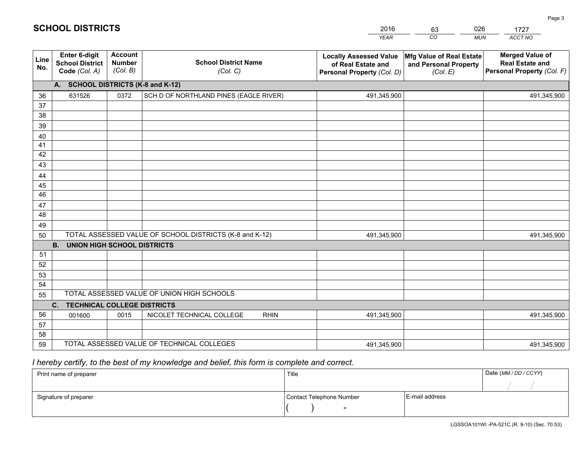|             | <b>SCHOOL DISTRICTS</b>                                  |                                             |                                                         | 2016                                                                              | 026<br>63                                                     | 1727                                                                           |  |  |
|-------------|----------------------------------------------------------|---------------------------------------------|---------------------------------------------------------|-----------------------------------------------------------------------------------|---------------------------------------------------------------|--------------------------------------------------------------------------------|--|--|
|             |                                                          |                                             |                                                         | <b>YEAR</b>                                                                       | $\overline{co}$<br><b>MUN</b>                                 | ACCT NO                                                                        |  |  |
| Line<br>No. | Enter 6-digit<br><b>School District</b><br>Code (Col. A) | <b>Account</b><br><b>Number</b><br>(Col. B) | <b>School District Name</b><br>(Col. C)                 | <b>Locally Assessed Value</b><br>of Real Estate and<br>Personal Property (Col. D) | Mfg Value of Real Estate<br>and Personal Property<br>(Col. E) | <b>Merged Value of</b><br><b>Real Estate and</b><br>Personal Property (Col. F) |  |  |
|             | <b>SCHOOL DISTRICTS (K-8 and K-12)</b><br>A.             |                                             |                                                         |                                                                                   |                                                               |                                                                                |  |  |
| 36          | 631526                                                   | 0372                                        | SCH D OF NORTHLAND PINES (EAGLE RIVER)                  | 491,345,900                                                                       |                                                               | 491,345,900                                                                    |  |  |
| 37          |                                                          |                                             |                                                         |                                                                                   |                                                               |                                                                                |  |  |
| 38          |                                                          |                                             |                                                         |                                                                                   |                                                               |                                                                                |  |  |
| 39          |                                                          |                                             |                                                         |                                                                                   |                                                               |                                                                                |  |  |
| 40          |                                                          |                                             |                                                         |                                                                                   |                                                               |                                                                                |  |  |
| 41<br>42    |                                                          |                                             |                                                         |                                                                                   |                                                               |                                                                                |  |  |
| 43          |                                                          |                                             |                                                         |                                                                                   |                                                               |                                                                                |  |  |
| 44          |                                                          |                                             |                                                         |                                                                                   |                                                               |                                                                                |  |  |
| 45          |                                                          |                                             |                                                         |                                                                                   |                                                               |                                                                                |  |  |
| 46          |                                                          |                                             |                                                         |                                                                                   |                                                               |                                                                                |  |  |
| 47          |                                                          |                                             |                                                         |                                                                                   |                                                               |                                                                                |  |  |
| 48          |                                                          |                                             |                                                         |                                                                                   |                                                               |                                                                                |  |  |
| 49          |                                                          |                                             |                                                         |                                                                                   |                                                               |                                                                                |  |  |
| 50          |                                                          |                                             | TOTAL ASSESSED VALUE OF SCHOOL DISTRICTS (K-8 and K-12) | 491,345,900                                                                       |                                                               | 491,345,900                                                                    |  |  |
|             | UNION HIGH SCHOOL DISTRICTS<br><b>B.</b>                 |                                             |                                                         |                                                                                   |                                                               |                                                                                |  |  |

| ິບບ | TO ITE AGOLOGED WALGE OF GOITOOL DIGITMOTO (IN 0 GINER TE) | 791, JTJ, JUU |                                            |             |  |             |
|-----|------------------------------------------------------------|---------------|--------------------------------------------|-------------|--|-------------|
|     | UNION HIGH SCHOOL DISTRICTS<br><b>B.</b>                   |               |                                            |             |  |             |
| 51  |                                                            |               |                                            |             |  |             |
| 52  |                                                            |               |                                            |             |  |             |
| 53  |                                                            |               |                                            |             |  |             |
| 54  |                                                            |               |                                            |             |  |             |
| 55  |                                                            |               | TOTAL ASSESSED VALUE OF UNION HIGH SCHOOLS |             |  |             |
|     | <b>TECHNICAL COLLEGE DISTRICTS</b><br>C.                   |               |                                            |             |  |             |
| 56  | 001600                                                     | 0015          | NICOLET TECHNICAL COLLEGE<br><b>RHIN</b>   | 491,345,900 |  | 491,345,900 |
| 57  |                                                            |               |                                            |             |  |             |
| 58  |                                                            |               |                                            |             |  |             |
| 59  | TOTAL ASSESSED VALUE OF TECHNICAL COLLEGES<br>491,345,900  |               |                                            |             |  | 491,345,900 |

## *I hereby certify, to the best of my knowledge and belief, this form is complete and correct.*

| Print name of preparer | Title                    |                | Date (MM / DD / CCYY) |
|------------------------|--------------------------|----------------|-----------------------|
|                        |                          |                |                       |
| Signature of preparer  | Contact Telephone Number | E-mail address |                       |
|                        | $\overline{\phantom{0}}$ |                |                       |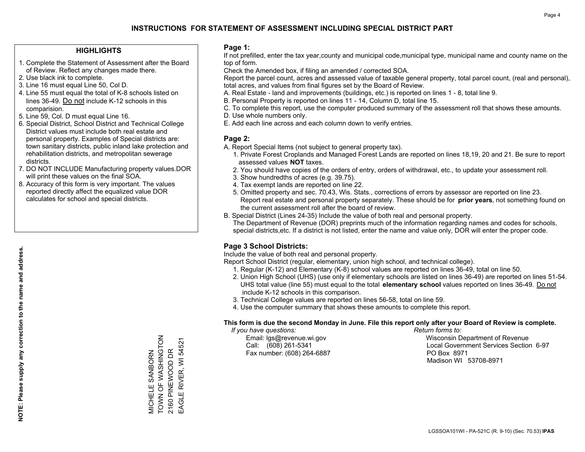### **HIGHLIGHTS**

- 1. Complete the Statement of Assessment after the Board of Review. Reflect any changes made there.
- 2. Use black ink to complete.
- 3. Line 16 must equal Line 50, Col D.
- 4. Line 55 must equal the total of K-8 schools listed on lines 36-49. Do not include K-12 schools in this comparision.
- 5. Line 59, Col. D must equal Line 16.
- 6. Special District, School District and Technical College District values must include both real estate and personal property. Examples of Special districts are: town sanitary districts, public inland lake protection and rehabilitation districts, and metropolitan sewerage districts.
- 7. DO NOT INCLUDE Manufacturing property values.DOR will print these values on the final SOA.
- 8. Accuracy of this form is very important. The values reported directly affect the equalized value DOR calculates for school and special districts.

### **Page 1:**

 If not prefilled, enter the tax year,county and municipal code,municipal type, municipal name and county name on the top of form.

Check the Amended box, if filing an amended / corrected SOA.

 Report the parcel count, acres and assessed value of taxable general property, total parcel count, (real and personal), total acres, and values from final figures set by the Board of Review.

- A. Real Estate land and improvements (buildings, etc.) is reported on lines 1 8, total line 9.
- B. Personal Property is reported on lines 11 14, Column D, total line 15.
- C. To complete this report, use the computer produced summary of the assessment roll that shows these amounts.
- D. Use whole numbers only.
- E. Add each line across and each column down to verify entries.

### **Page 2:**

- A. Report Special Items (not subject to general property tax).
- 1. Private Forest Croplands and Managed Forest Lands are reported on lines 18,19, 20 and 21. Be sure to report assessed values **NOT** taxes.
- 2. You should have copies of the orders of entry, orders of withdrawal, etc., to update your assessment roll.
	- 3. Show hundredths of acres (e.g. 39.75).
- 4. Tax exempt lands are reported on line 22.
- 5. Omitted property and sec. 70.43, Wis. Stats., corrections of errors by assessor are reported on line 23. Report real estate and personal property separately. These should be for **prior years**, not something found on the current assessment roll after the board of review.
- B. Special District (Lines 24-35) Include the value of both real and personal property.
- The Department of Revenue (DOR) preprints much of the information regarding names and codes for schools, special districts,etc. If a district is not listed, enter the name and value only, DOR will enter the proper code.

### **Page 3 School Districts:**

Include the value of both real and personal property.

Report School District (regular, elementary, union high school, and technical college).

- 1. Regular (K-12) and Elementary (K-8) school values are reported on lines 36-49, total on line 50.
- 2. Union High School (UHS) (use only if elementary schools are listed on lines 36-49) are reported on lines 51-54. UHS total value (line 55) must equal to the total **elementary school** values reported on lines 36-49. Do notinclude K-12 schools in this comparison.
- 3. Technical College values are reported on lines 56-58, total on line 59.
- 4. Use the computer summary that shows these amounts to complete this report.

#### **This form is due the second Monday in June. File this report only after your Board of Review is complete.**

 *If you have questions: Return forms to:*

Fax number: (608) 264-6887 PO Box 8971

 Email: lgs@revenue.wi.gov Wisconsin Department of Revenue Call: (608) 261-5341 Local Government Services Section 6-97Madison WI 53708-8971

MICHELE SANBORN<br>TOWN OF WASHINGTON<br>2160 PINEWOOD DR TOWN OF WASHINGTON EAGLE RIVER, WI 54521 EAGLE RIVER, WI 54521 2160 PINEWOOD DR MICHELE SANBORN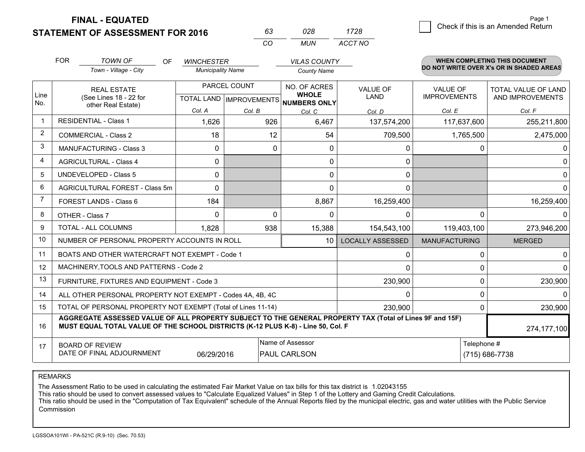**STATEMENT OF ASSESSMENT FOR 2016** 

**FINAL - EQUATED**

|   | Page 1                             |
|---|------------------------------------|
| 8 | Check if this is an Amended Return |
|   |                                    |

|             | <b>FOR</b>                                                                                            | <b>TOWN OF</b><br><b>OF</b><br>Town - Village - City                                                                                                                                         | <b>WINCHESTER</b><br><b>Municipality Name</b> |                                                | <b>VILAS COUNTY</b><br><b>County Name</b>    |                         |                                        | <b>WHEN COMPLETING THIS DOCUMENT</b><br>DO NOT WRITE OVER X's OR IN SHADED AREAS |
|-------------|-------------------------------------------------------------------------------------------------------|----------------------------------------------------------------------------------------------------------------------------------------------------------------------------------------------|-----------------------------------------------|------------------------------------------------|----------------------------------------------|-------------------------|----------------------------------------|----------------------------------------------------------------------------------|
| Line<br>No. |                                                                                                       | <b>REAL ESTATE</b><br>(See Lines 18 - 22 for<br>other Real Estate)                                                                                                                           |                                               | PARCEL COUNT<br><b>TOTAL LAND IMPROVEMENTS</b> | NO. OF ACRES<br><b>WHOLE</b><br>NUMBERS ONLY | VALUE OF<br>LAND        | <b>VALUE OF</b><br><b>IMPROVEMENTS</b> | TOTAL VALUE OF LAND<br>AND IMPROVEMENTS                                          |
|             |                                                                                                       |                                                                                                                                                                                              | Col. A                                        | Col. B                                         | Col. C                                       | Col. D                  | Col. E                                 | Col. F                                                                           |
|             |                                                                                                       | <b>RESIDENTIAL - Class 1</b>                                                                                                                                                                 | 1,626                                         | 926                                            | 6,467                                        | 137,574,200             | 117,637,600                            | 255,211,800                                                                      |
| 2           |                                                                                                       | <b>COMMERCIAL - Class 2</b>                                                                                                                                                                  | 18                                            | 12                                             | 54                                           | 709,500                 | 1,765,500                              | 2,475,000                                                                        |
| 3           |                                                                                                       | <b>MANUFACTURING - Class 3</b>                                                                                                                                                               | 0                                             | $\mathbf{0}$                                   | 0                                            | 0                       | 0                                      |                                                                                  |
| 4           |                                                                                                       | <b>AGRICULTURAL - Class 4</b>                                                                                                                                                                | 0                                             |                                                | 0                                            | 0                       |                                        | $\Omega$                                                                         |
| 5           |                                                                                                       | UNDEVELOPED - Class 5                                                                                                                                                                        | 0                                             |                                                | 0                                            | 0                       |                                        | 0                                                                                |
| 6           |                                                                                                       | AGRICULTURAL FOREST - Class 5m                                                                                                                                                               | $\Omega$                                      |                                                | 0                                            | $\Omega$                |                                        | 0                                                                                |
| 7           |                                                                                                       | FOREST LANDS - Class 6                                                                                                                                                                       | 184                                           |                                                | 8,867                                        | 16,259,400              |                                        | 16,259,400                                                                       |
| 8           |                                                                                                       | OTHER - Class 7                                                                                                                                                                              | 0                                             | $\Omega$                                       | 0                                            | $\Omega$                | $\Omega$                               |                                                                                  |
| 9           |                                                                                                       | TOTAL - ALL COLUMNS                                                                                                                                                                          | 1,828                                         | 938                                            | 15,388                                       | 154,543,100             | 119,403,100                            | 273,946,200                                                                      |
| 10          |                                                                                                       | NUMBER OF PERSONAL PROPERTY ACCOUNTS IN ROLL                                                                                                                                                 |                                               |                                                | 10                                           | <b>LOCALLY ASSESSED</b> | <b>MANUFACTURING</b>                   | <b>MERGED</b>                                                                    |
| 11          |                                                                                                       | BOATS AND OTHER WATERCRAFT NOT EXEMPT - Code 1                                                                                                                                               |                                               |                                                |                                              | 0                       | 0                                      | $\mathbf{0}$                                                                     |
| 12          |                                                                                                       | MACHINERY, TOOLS AND PATTERNS - Code 2                                                                                                                                                       |                                               |                                                |                                              | 0                       | $\Omega$                               | $\Omega$                                                                         |
| 13          |                                                                                                       | FURNITURE, FIXTURES AND EQUIPMENT - Code 3                                                                                                                                                   |                                               |                                                |                                              | 230,900                 | $\Omega$                               | 230,900                                                                          |
| 14          |                                                                                                       | ALL OTHER PERSONAL PROPERTY NOT EXEMPT - Codes 4A, 4B, 4C                                                                                                                                    |                                               |                                                |                                              | 0                       | $\Omega$                               | <sup>n</sup>                                                                     |
| 15          |                                                                                                       | TOTAL OF PERSONAL PROPERTY NOT EXEMPT (Total of Lines 11-14)                                                                                                                                 |                                               |                                                |                                              | 230,900                 | $\Omega$                               | 230,900                                                                          |
| 16          |                                                                                                       | AGGREGATE ASSESSED VALUE OF ALL PROPERTY SUBJECT TO THE GENERAL PROPERTY TAX (Total of Lines 9F and 15F)<br>MUST EQUAL TOTAL VALUE OF THE SCHOOL DISTRICTS (K-12 PLUS K-8) - Line 50, Col. F |                                               |                                                |                                              |                         |                                        | 274, 177, 100                                                                    |
| 17          | Name of Assessor<br><b>BOARD OF REVIEW</b><br>DATE OF FINAL ADJOURNMENT<br>PAUL CARLSON<br>06/29/2016 |                                                                                                                                                                                              |                                               |                                                |                                              |                         | Telephone #                            | (715) 686-7738                                                                   |

*CO*

*MUN*

*ACCT NO1728*

*<sup>63</sup> <sup>028</sup>*

REMARKS

The Assessment Ratio to be used in calculating the estimated Fair Market Value on tax bills for this tax district is 1.02043155<br>This ratio should be used to convert assessed values to "Calculate Equalized Values" in Step 1 Commission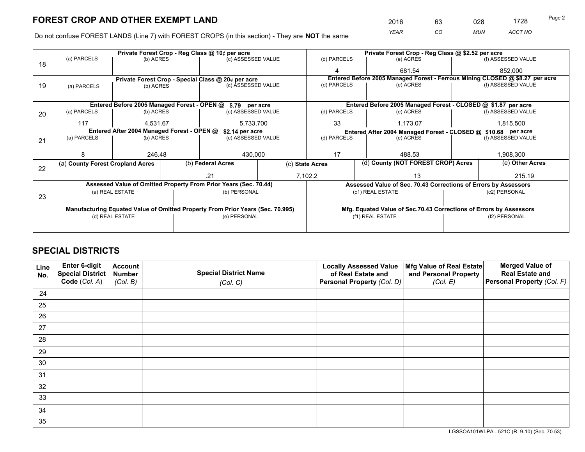*YEAR CO MUN ACCT NO* <sup>2016</sup> <sup>63</sup> <sup>028</sup> <sup>1728</sup>

Do not confuse FOREST LANDS (Line 7) with FOREST CROPS (in this section) - They are **NOT** the same

|    | Private Forest Crop - Reg Class @ 10¢ per acre                                 |                                 |  |                                                                  |                                   | Private Forest Crop - Reg Class @ \$2.52 per acre                            |                                                               |                                                                    |                    |                    |
|----|--------------------------------------------------------------------------------|---------------------------------|--|------------------------------------------------------------------|-----------------------------------|------------------------------------------------------------------------------|---------------------------------------------------------------|--------------------------------------------------------------------|--------------------|--------------------|
| 18 | (a) PARCELS                                                                    | (b) ACRES                       |  | (c) ASSESSED VALUE                                               |                                   | (d) PARCELS                                                                  |                                                               | (e) ACRES                                                          |                    | (f) ASSESSED VALUE |
|    |                                                                                |                                 |  |                                                                  |                                   | 4                                                                            |                                                               | 681.54                                                             |                    | 852,000            |
|    |                                                                                |                                 |  | Private Forest Crop - Special Class @ 20¢ per acre               |                                   | Entered Before 2005 Managed Forest - Ferrous Mining CLOSED @ \$8.27 per acre |                                                               |                                                                    |                    |                    |
| 19 | (a) PARCELS                                                                    | (b) ACRES                       |  | (c) ASSESSED VALUE                                               |                                   | (d) PARCELS                                                                  |                                                               | (e) ACRES                                                          |                    | (f) ASSESSED VALUE |
|    |                                                                                |                                 |  |                                                                  |                                   |                                                                              |                                                               |                                                                    |                    |                    |
|    |                                                                                |                                 |  | Entered Before 2005 Managed Forest - OPEN @ \$.79 per acre       |                                   |                                                                              |                                                               | Entered Before 2005 Managed Forest - CLOSED @ \$1.87 per acre      |                    |                    |
| 20 | (a) PARCELS                                                                    | (b) ACRES                       |  | (c) ASSESSED VALUE                                               |                                   | (d) PARCELS                                                                  |                                                               | (e) ACRES                                                          |                    | (f) ASSESSED VALUE |
|    | 117                                                                            | 4,531.67                        |  | 5,733,700                                                        |                                   | 33                                                                           |                                                               | 1,173.07                                                           |                    | 1,815,500          |
|    | Entered After 2004 Managed Forest - OPEN @<br>\$2.14 per acre                  |                                 |  |                                                                  |                                   |                                                                              | Entered After 2004 Managed Forest - CLOSED @ \$10.68 per acre |                                                                    |                    |                    |
| 21 | (a) PARCELS                                                                    | (b) ACRES                       |  | (c) ASSESSED VALUE                                               |                                   | (d) PARCELS<br>(e) ACRES                                                     |                                                               |                                                                    | (f) ASSESSED VALUE |                    |
|    |                                                                                |                                 |  |                                                                  |                                   |                                                                              |                                                               |                                                                    |                    |                    |
|    |                                                                                | 246.48                          |  | 430,000                                                          |                                   | 17                                                                           |                                                               | 488.53                                                             |                    | 1,908,300          |
|    | (a) County Forest Cropland Acres                                               |                                 |  | (b) Federal Acres                                                |                                   | (c) State Acres                                                              |                                                               | (d) County (NOT FOREST CROP) Acres                                 |                    | (e) Other Acres    |
| 22 |                                                                                |                                 |  | .21                                                              |                                   | 7,102.2                                                                      |                                                               | 13                                                                 |                    | 215.19             |
|    |                                                                                |                                 |  | Assessed Value of Omitted Property From Prior Years (Sec. 70.44) |                                   |                                                                              |                                                               | Assessed Value of Sec. 70.43 Corrections of Errors by Assessors    |                    |                    |
|    | (a) REAL ESTATE                                                                |                                 |  | (b) PERSONAL                                                     |                                   |                                                                              |                                                               | (c1) REAL ESTATE                                                   |                    | (c2) PERSONAL      |
| 23 |                                                                                |                                 |  |                                                                  |                                   |                                                                              |                                                               |                                                                    |                    |                    |
|    | Manufacturing Equated Value of Omitted Property From Prior Years (Sec. 70.995) |                                 |  |                                                                  |                                   |                                                                              |                                                               | Mfg. Equated Value of Sec.70.43 Corrections of Errors by Assessors |                    |                    |
|    |                                                                                | (e) PERSONAL<br>(d) REAL ESTATE |  |                                                                  | (f1) REAL ESTATE<br>(f2) PERSONAL |                                                                              |                                                               |                                                                    |                    |                    |
|    |                                                                                |                                 |  |                                                                  |                                   |                                                                              |                                                               |                                                                    |                    |                    |

## **SPECIAL DISTRICTS**

| Line<br>No. | Enter 6-digit<br>Special District<br>Code (Col. A) | <b>Account</b><br><b>Number</b><br>(Col. B) | <b>Special District Name</b><br>(Col. C) | <b>Locally Assessed Value</b><br>of Real Estate and<br>Personal Property (Col. D) | Mfg Value of Real Estate<br>and Personal Property<br>(Col. E) | <b>Merged Value of</b><br><b>Real Estate and</b><br>Personal Property (Col. F) |
|-------------|----------------------------------------------------|---------------------------------------------|------------------------------------------|-----------------------------------------------------------------------------------|---------------------------------------------------------------|--------------------------------------------------------------------------------|
| 24          |                                                    |                                             |                                          |                                                                                   |                                                               |                                                                                |
| 25          |                                                    |                                             |                                          |                                                                                   |                                                               |                                                                                |
| 26          |                                                    |                                             |                                          |                                                                                   |                                                               |                                                                                |
| 27          |                                                    |                                             |                                          |                                                                                   |                                                               |                                                                                |
| 28          |                                                    |                                             |                                          |                                                                                   |                                                               |                                                                                |
| 29          |                                                    |                                             |                                          |                                                                                   |                                                               |                                                                                |
| 30          |                                                    |                                             |                                          |                                                                                   |                                                               |                                                                                |
| 31          |                                                    |                                             |                                          |                                                                                   |                                                               |                                                                                |
| 32          |                                                    |                                             |                                          |                                                                                   |                                                               |                                                                                |
| 33          |                                                    |                                             |                                          |                                                                                   |                                                               |                                                                                |
| 34          |                                                    |                                             |                                          |                                                                                   |                                                               |                                                                                |
| 35          |                                                    |                                             |                                          |                                                                                   |                                                               |                                                                                |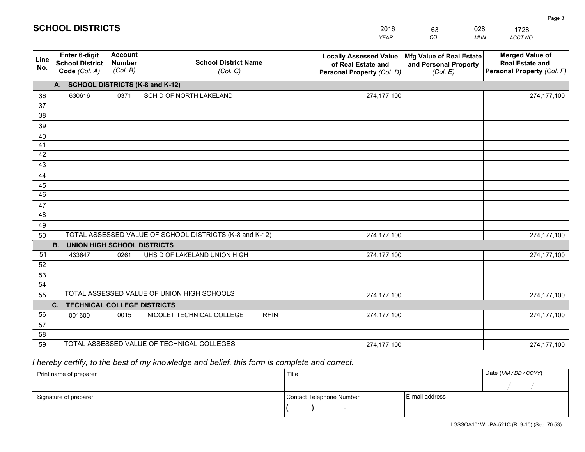|             |                                                          |                                             |                                                         | <b>YEAR</b>                                                                       | CO<br><b>MUN</b>                                              | ACCT NO                                                                        |
|-------------|----------------------------------------------------------|---------------------------------------------|---------------------------------------------------------|-----------------------------------------------------------------------------------|---------------------------------------------------------------|--------------------------------------------------------------------------------|
| Line<br>No. | Enter 6-digit<br><b>School District</b><br>Code (Col. A) | <b>Account</b><br><b>Number</b><br>(Col. B) | <b>School District Name</b><br>(Col. C)                 | <b>Locally Assessed Value</b><br>of Real Estate and<br>Personal Property (Col. D) | Mfg Value of Real Estate<br>and Personal Property<br>(Col. E) | <b>Merged Value of</b><br><b>Real Estate and</b><br>Personal Property (Col. F) |
|             | A. SCHOOL DISTRICTS (K-8 and K-12)                       |                                             |                                                         |                                                                                   |                                                               |                                                                                |
| 36          | 630616                                                   | 0371                                        | SCH D OF NORTH LAKELAND                                 | 274,177,100                                                                       |                                                               | 274,177,100                                                                    |
| 37          |                                                          |                                             |                                                         |                                                                                   |                                                               |                                                                                |
| 38          |                                                          |                                             |                                                         |                                                                                   |                                                               |                                                                                |
| 39          |                                                          |                                             |                                                         |                                                                                   |                                                               |                                                                                |
| 40          |                                                          |                                             |                                                         |                                                                                   |                                                               |                                                                                |
| 41<br>42    |                                                          |                                             |                                                         |                                                                                   |                                                               |                                                                                |
| 43          |                                                          |                                             |                                                         |                                                                                   |                                                               |                                                                                |
| 44          |                                                          |                                             |                                                         |                                                                                   |                                                               |                                                                                |
| 45          |                                                          |                                             |                                                         |                                                                                   |                                                               |                                                                                |
| 46          |                                                          |                                             |                                                         |                                                                                   |                                                               |                                                                                |
| 47          |                                                          |                                             |                                                         |                                                                                   |                                                               |                                                                                |
| 48          |                                                          |                                             |                                                         |                                                                                   |                                                               |                                                                                |
| 49          |                                                          |                                             |                                                         |                                                                                   |                                                               |                                                                                |
| 50          |                                                          |                                             | TOTAL ASSESSED VALUE OF SCHOOL DISTRICTS (K-8 and K-12) | 274, 177, 100                                                                     |                                                               | 274,177,100                                                                    |
|             | <b>B.</b><br><b>UNION HIGH SCHOOL DISTRICTS</b>          |                                             |                                                         |                                                                                   |                                                               |                                                                                |
| 51          | 433647                                                   | 0261                                        | UHS D OF LAKELAND UNION HIGH                            | 274,177,100                                                                       |                                                               | 274,177,100                                                                    |
| 52          |                                                          |                                             |                                                         |                                                                                   |                                                               |                                                                                |
| 53          |                                                          |                                             |                                                         |                                                                                   |                                                               |                                                                                |
| 54          |                                                          |                                             | TOTAL ASSESSED VALUE OF UNION HIGH SCHOOLS              |                                                                                   |                                                               |                                                                                |
| 55          |                                                          |                                             |                                                         | 274,177,100                                                                       |                                                               | 274,177,100                                                                    |
| 56          | C. TECHNICAL COLLEGE DISTRICTS                           | 0015                                        | NICOLET TECHNICAL COLLEGE<br><b>RHIN</b>                | 274,177,100                                                                       |                                                               |                                                                                |
| 57          | 001600                                                   |                                             |                                                         |                                                                                   |                                                               | 274,177,100                                                                    |
| 58          |                                                          |                                             |                                                         |                                                                                   |                                                               |                                                                                |
| 59          |                                                          |                                             | TOTAL ASSESSED VALUE OF TECHNICAL COLLEGES              | 274,177,100                                                                       |                                                               | 274,177,100                                                                    |

2016

63

028

## *I hereby certify, to the best of my knowledge and belief, this form is complete and correct.*

**SCHOOL DISTRICTS**

| Print name of preparer | Title                    |                | Date (MM / DD / CCYY) |
|------------------------|--------------------------|----------------|-----------------------|
|                        |                          |                |                       |
| Signature of preparer  | Contact Telephone Number | E-mail address |                       |
|                        | $\sim$                   |                |                       |

1728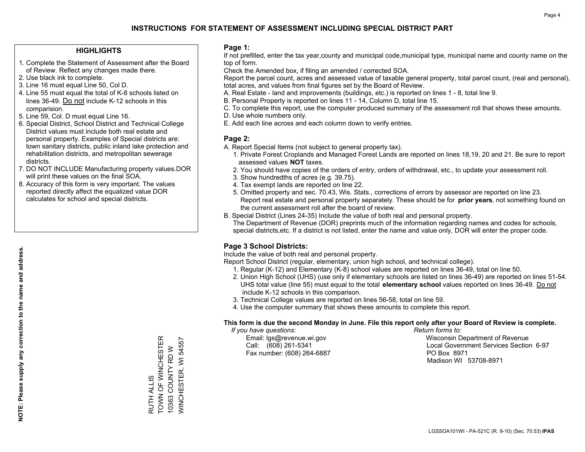### **HIGHLIGHTS**

- 1. Complete the Statement of Assessment after the Board of Review. Reflect any changes made there.
- 2. Use black ink to complete.
- 3. Line 16 must equal Line 50, Col D.
- 4. Line 55 must equal the total of K-8 schools listed on lines 36-49. Do not include K-12 schools in this comparision.
- 5. Line 59, Col. D must equal Line 16.
- 6. Special District, School District and Technical College District values must include both real estate and personal property. Examples of Special districts are: town sanitary districts, public inland lake protection and rehabilitation districts, and metropolitan sewerage districts.
- 7. DO NOT INCLUDE Manufacturing property values.DOR will print these values on the final SOA.

RUTH ALLIS

TOWN OF WINCHESTER 10363 COUNTY RD W WINCHESTER, WI 54557

WINCHESTER, WI 54557 10363 COUNTY RD W

RUTH ALLIS<br>TOWN OF WINCHESTER

 8. Accuracy of this form is very important. The values reported directly affect the equalized value DOR calculates for school and special districts.

### **Page 1:**

 If not prefilled, enter the tax year,county and municipal code,municipal type, municipal name and county name on the top of form.

Check the Amended box, if filing an amended / corrected SOA.

 Report the parcel count, acres and assessed value of taxable general property, total parcel count, (real and personal), total acres, and values from final figures set by the Board of Review.

- A. Real Estate land and improvements (buildings, etc.) is reported on lines 1 8, total line 9.
- B. Personal Property is reported on lines 11 14, Column D, total line 15.
- C. To complete this report, use the computer produced summary of the assessment roll that shows these amounts.
- D. Use whole numbers only.
- E. Add each line across and each column down to verify entries.

### **Page 2:**

- A. Report Special Items (not subject to general property tax).
- 1. Private Forest Croplands and Managed Forest Lands are reported on lines 18,19, 20 and 21. Be sure to report assessed values **NOT** taxes.
- 2. You should have copies of the orders of entry, orders of withdrawal, etc., to update your assessment roll.
	- 3. Show hundredths of acres (e.g. 39.75).
- 4. Tax exempt lands are reported on line 22.
- 5. Omitted property and sec. 70.43, Wis. Stats., corrections of errors by assessor are reported on line 23. Report real estate and personal property separately. These should be for **prior years**, not something found on the current assessment roll after the board of review.
- B. Special District (Lines 24-35) Include the value of both real and personal property.
- The Department of Revenue (DOR) preprints much of the information regarding names and codes for schools, special districts,etc. If a district is not listed, enter the name and value only, DOR will enter the proper code.

### **Page 3 School Districts:**

Include the value of both real and personal property.

Report School District (regular, elementary, union high school, and technical college).

- 1. Regular (K-12) and Elementary (K-8) school values are reported on lines 36-49, total on line 50.
- 2. Union High School (UHS) (use only if elementary schools are listed on lines 36-49) are reported on lines 51-54. UHS total value (line 55) must equal to the total **elementary school** values reported on lines 36-49. Do notinclude K-12 schools in this comparison.
- 3. Technical College values are reported on lines 56-58, total on line 59.
- 4. Use the computer summary that shows these amounts to complete this report.

#### **This form is due the second Monday in June. File this report only after your Board of Review is complete.**

 *If you have questions: Return forms to:*

Fax number: (608) 264-6887 PO Box 8971

 Email: lgs@revenue.wi.gov Wisconsin Department of Revenue Call: (608) 261-5341 Local Government Services Section 6-97Madison WI 53708-8971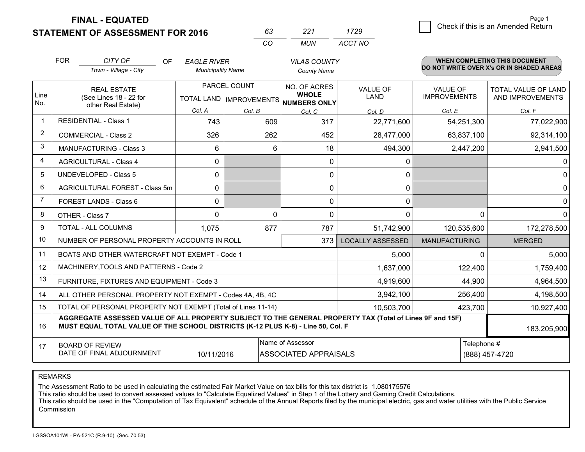**FINAL - EQUATED**

**STATEMENT OF ASSESSMENT FOR 2016** 

| 63. | 221 | 1729    |
|-----|-----|---------|
| rn  | MUN | ACCT NO |

|                          | <b>FOR</b>                                                                                                                                                                                   | CITY OF<br><b>OF</b><br>Town - Village - City             | <b>EAGLE RIVER</b><br><b>Municipality Name</b>      |          | <b>VILAS COUNTY</b><br><b>County Name</b> |                                |                                        | <b>WHEN COMPLETING THIS DOCUMENT</b><br>DO NOT WRITE OVER X's OR IN SHADED AREAS |
|--------------------------|----------------------------------------------------------------------------------------------------------------------------------------------------------------------------------------------|-----------------------------------------------------------|-----------------------------------------------------|----------|-------------------------------------------|--------------------------------|----------------------------------------|----------------------------------------------------------------------------------|
| Line<br>No.              | <b>REAL ESTATE</b><br>(See Lines 18 - 22 for<br>other Real Estate)                                                                                                                           |                                                           | PARCEL COUNT<br>TOTAL LAND MPROVEMENTS NUMBERS ONLY |          | NO. OF ACRES<br><b>WHOLE</b>              | <b>VALUE OF</b><br><b>LAND</b> | <b>VALUE OF</b><br><b>IMPROVEMENTS</b> | <b>TOTAL VALUE OF LAND</b><br>AND IMPROVEMENTS                                   |
|                          |                                                                                                                                                                                              |                                                           | Col. A                                              | Col. B   | Col. C                                    | Col. D                         | Col. E                                 | Col. F                                                                           |
| $\overline{\phantom{a}}$ |                                                                                                                                                                                              | <b>RESIDENTIAL - Class 1</b>                              | 743                                                 | 609      | 317                                       | 22,771,600                     | 54,251,300                             | 77,022,900                                                                       |
| 2                        |                                                                                                                                                                                              | <b>COMMERCIAL - Class 2</b>                               | 326                                                 | 262      | 452                                       | 28,477,000                     | 63,837,100                             | 92,314,100                                                                       |
| 3                        |                                                                                                                                                                                              | <b>MANUFACTURING - Class 3</b>                            | 6                                                   | 6        | 18                                        | 494,300                        | 2,447,200                              | 2,941,500                                                                        |
| 4                        |                                                                                                                                                                                              | <b>AGRICULTURAL - Class 4</b>                             | 0                                                   |          | $\mathbf{0}$                              | 0                              |                                        | $\mathbf 0$                                                                      |
| 5                        |                                                                                                                                                                                              | UNDEVELOPED - Class 5                                     | $\Omega$                                            |          | $\mathbf 0$                               | 0                              |                                        | $\mathbf 0$                                                                      |
| 6                        |                                                                                                                                                                                              | AGRICULTURAL FOREST - Class 5m                            | 0                                                   |          | $\mathbf 0$                               | 0                              |                                        | $\mathbf 0$                                                                      |
| 7                        |                                                                                                                                                                                              | FOREST LANDS - Class 6                                    | 0                                                   |          | $\mathbf 0$                               | 0                              |                                        | 0                                                                                |
| 8                        |                                                                                                                                                                                              | OTHER - Class 7                                           | $\Omega$                                            | $\Omega$ | $\mathbf{0}$                              | 0                              | $\Omega$                               | $\Omega$                                                                         |
| 9                        | TOTAL - ALL COLUMNS                                                                                                                                                                          |                                                           | 1,075                                               | 877      | 787                                       | 51,742,900                     | 120,535,600                            | 172,278,500                                                                      |
| 10                       | NUMBER OF PERSONAL PROPERTY ACCOUNTS IN ROLL<br>373                                                                                                                                          |                                                           |                                                     |          |                                           | <b>LOCALLY ASSESSED</b>        | <b>MANUFACTURING</b>                   | <b>MERGED</b>                                                                    |
| 11                       |                                                                                                                                                                                              | BOATS AND OTHER WATERCRAFT NOT EXEMPT - Code 1            |                                                     |          |                                           | 5,000                          | 0                                      | 5,000                                                                            |
| 12                       |                                                                                                                                                                                              | MACHINERY, TOOLS AND PATTERNS - Code 2                    |                                                     |          |                                           | 1,637,000                      | 122,400                                | 1,759,400                                                                        |
| 13                       | FURNITURE, FIXTURES AND EQUIPMENT - Code 3                                                                                                                                                   |                                                           |                                                     |          |                                           | 4,919,600                      | 44,900                                 | 4,964,500                                                                        |
| 14                       |                                                                                                                                                                                              | ALL OTHER PERSONAL PROPERTY NOT EXEMPT - Codes 4A, 4B, 4C |                                                     |          | 3,942,100                                 | 256,400                        | 4,198,500                              |                                                                                  |
| 15                       | TOTAL OF PERSONAL PROPERTY NOT EXEMPT (Total of Lines 11-14)                                                                                                                                 |                                                           |                                                     |          |                                           | 10,503,700                     | 423,700                                | 10,927,400                                                                       |
| 16                       | AGGREGATE ASSESSED VALUE OF ALL PROPERTY SUBJECT TO THE GENERAL PROPERTY TAX (Total of Lines 9F and 15F)<br>MUST EQUAL TOTAL VALUE OF THE SCHOOL DISTRICTS (K-12 PLUS K-8) - Line 50, Col. F |                                                           |                                                     |          |                                           |                                | 183,205,900                            |                                                                                  |
| 17                       | Name of Assessor<br><b>BOARD OF REVIEW</b><br>DATE OF FINAL ADJOURNMENT<br>ASSOCIATED APPRAISALS<br>10/11/2016                                                                               |                                                           |                                                     |          |                                           | Telephone #                    | (888) 457-4720                         |                                                                                  |

REMARKS

The Assessment Ratio to be used in calculating the estimated Fair Market Value on tax bills for this tax district is 1.080175576

This ratio should be used to convert assessed values to "Calculate Equalized Values" in Step 1 of the Lottery and Gaming Credit Calculations.<br>This ratio should be used in the "Computation of Tax Equivalent" schedule of the **Commission**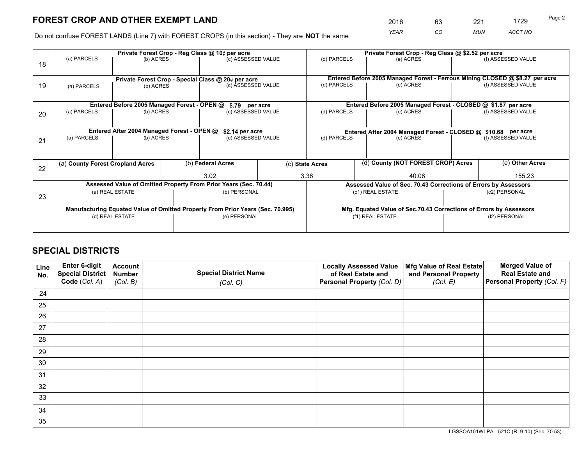*YEAR CO MUN ACCT NO* <sup>2016</sup> <sup>63</sup> <sup>221</sup> <sup>1729</sup>

Do not confuse FOREST LANDS (Line 7) with FOREST CROPS (in this section) - They are **NOT** the same

|    |                                                                                |                                                                 |  | Private Forest Crop - Reg Class @ 10¢ per acre                   |                                                               | Private Forest Crop - Reg Class @ \$2.52 per acre                            |                                                               |           |                    |  |
|----|--------------------------------------------------------------------------------|-----------------------------------------------------------------|--|------------------------------------------------------------------|---------------------------------------------------------------|------------------------------------------------------------------------------|---------------------------------------------------------------|-----------|--------------------|--|
| 18 | (a) PARCELS                                                                    | (b) ACRES                                                       |  | (c) ASSESSED VALUE                                               |                                                               | (d) PARCELS                                                                  | (e) ACRES                                                     |           | (f) ASSESSED VALUE |  |
|    |                                                                                |                                                                 |  |                                                                  |                                                               | Entered Before 2005 Managed Forest - Ferrous Mining CLOSED @ \$8.27 per acre |                                                               |           |                    |  |
| 19 | (a) PARCELS                                                                    | Private Forest Crop - Special Class @ 20¢ per acre<br>(b) ACRES |  | (c) ASSESSED VALUE                                               |                                                               | (d) PARCELS                                                                  | (e) ACRES                                                     |           | (f) ASSESSED VALUE |  |
|    |                                                                                |                                                                 |  |                                                                  |                                                               |                                                                              |                                                               |           |                    |  |
|    |                                                                                | Entered Before 2005 Managed Forest - OPEN @                     |  | \$.79 per acre                                                   |                                                               |                                                                              | Entered Before 2005 Managed Forest - CLOSED @ \$1.87 per acre |           | (f) ASSESSED VALUE |  |
| 20 | (a) PARCELS<br>(b) ACRES                                                       |                                                                 |  | (c) ASSESSED VALUE                                               |                                                               | (d) PARCELS                                                                  |                                                               | (e) ACRES |                    |  |
|    | Entered After 2004 Managed Forest - OPEN @<br>\$2.14 per acre                  |                                                                 |  |                                                                  | Entered After 2004 Managed Forest - CLOSED @ \$10.68 per acre |                                                                              |                                                               |           |                    |  |
| 21 | (a) PARCELS<br>(c) ASSESSED VALUE<br>(b) ACRES                                 |                                                                 |  |                                                                  |                                                               | (d) PARCELS<br>(e) ACRES                                                     |                                                               |           | (f) ASSESSED VALUE |  |
|    |                                                                                |                                                                 |  |                                                                  |                                                               |                                                                              |                                                               |           |                    |  |
|    | (a) County Forest Cropland Acres                                               |                                                                 |  | (b) Federal Acres                                                |                                                               | (c) State Acres                                                              | (d) County (NOT FOREST CROP) Acres                            |           | (e) Other Acres    |  |
| 22 |                                                                                |                                                                 |  | 3.02                                                             |                                                               | 3.36<br>40.08                                                                |                                                               |           | 155.23             |  |
|    |                                                                                |                                                                 |  | Assessed Value of Omitted Property From Prior Years (Sec. 70.44) |                                                               | Assessed Value of Sec. 70.43 Corrections of Errors by Assessors              |                                                               |           |                    |  |
| 23 | (a) REAL ESTATE                                                                |                                                                 |  | (b) PERSONAL                                                     |                                                               | (c1) REAL ESTATE                                                             |                                                               |           | (c2) PERSONAL      |  |
|    | Manufacturing Equated Value of Omitted Property From Prior Years (Sec. 70.995) |                                                                 |  |                                                                  |                                                               | Mfg. Equated Value of Sec.70.43 Corrections of Errors by Assessors           |                                                               |           |                    |  |
|    | (d) REAL ESTATE                                                                |                                                                 |  | (e) PERSONAL                                                     |                                                               | (f1) REAL ESTATE                                                             |                                                               |           | (f2) PERSONAL      |  |
|    |                                                                                |                                                                 |  |                                                                  |                                                               |                                                                              |                                                               |           |                    |  |

## **SPECIAL DISTRICTS**

| Line<br>No. | Enter 6-digit<br>Special District<br>Code (Col. A) | <b>Account</b><br><b>Number</b> | <b>Special District Name</b> | <b>Locally Assessed Value</b><br>of Real Estate and | Mfg Value of Real Estate<br>and Personal Property | <b>Merged Value of</b><br><b>Real Estate and</b><br>Personal Property (Col. F) |
|-------------|----------------------------------------------------|---------------------------------|------------------------------|-----------------------------------------------------|---------------------------------------------------|--------------------------------------------------------------------------------|
|             |                                                    | (Col. B)                        | (Col. C)                     | Personal Property (Col. D)                          | (Col. E)                                          |                                                                                |
| 24          |                                                    |                                 |                              |                                                     |                                                   |                                                                                |
| 25          |                                                    |                                 |                              |                                                     |                                                   |                                                                                |
| 26          |                                                    |                                 |                              |                                                     |                                                   |                                                                                |
| 27          |                                                    |                                 |                              |                                                     |                                                   |                                                                                |
| 28          |                                                    |                                 |                              |                                                     |                                                   |                                                                                |
| 29          |                                                    |                                 |                              |                                                     |                                                   |                                                                                |
| 30          |                                                    |                                 |                              |                                                     |                                                   |                                                                                |
| 31          |                                                    |                                 |                              |                                                     |                                                   |                                                                                |
| 32          |                                                    |                                 |                              |                                                     |                                                   |                                                                                |
| 33          |                                                    |                                 |                              |                                                     |                                                   |                                                                                |
| 34          |                                                    |                                 |                              |                                                     |                                                   |                                                                                |
| 35          |                                                    |                                 |                              |                                                     |                                                   |                                                                                |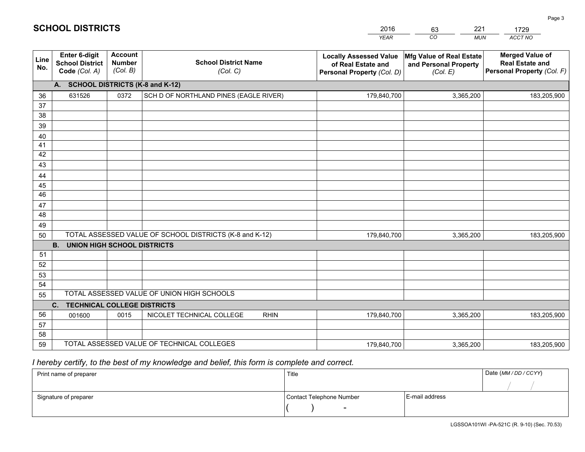|                                    | <b>SCHOOL DISTRICTS</b>                                         |                               |                                         | 2016<br><b>YEAR</b>                                                                      | 221<br>63<br>CO<br><b>MUN</b>                                 | 1729<br>ACCT NO                                                             |  |
|------------------------------------|-----------------------------------------------------------------|-------------------------------|-----------------------------------------|------------------------------------------------------------------------------------------|---------------------------------------------------------------|-----------------------------------------------------------------------------|--|
| Line<br>No.                        | <b>Enter 6-digit</b><br><b>School District</b><br>Code (Col. A) | Account<br>Number<br>(Col. B) | <b>School District Name</b><br>(Col, C) | <b>Locally Assessed Value</b><br>of Real Estate and<br><b>Personal Property (Col. D)</b> | Mfg Value of Real Estate<br>and Personal Property<br>(Col. E) | <b>Merged Value of</b><br><b>Real Estate and</b><br>Personal Property (Col. |  |
| A. SCHOOL DISTRICTS (K-8 and K-12) |                                                                 |                               |                                         |                                                                                          |                                                               |                                                                             |  |
| 36                                 | 631526                                                          | 0372                          | SCH D OF NORTHLAND PINES (EAGLE RIVER)  | 179,840,700                                                                              | 3,365,200                                                     | 183,205,90                                                                  |  |
| 37                                 |                                                                 |                               |                                         |                                                                                          |                                                               |                                                                             |  |

| Line<br>No. | Enter 6-digit<br><b>School District</b><br>Code (Col. A) | <b>Account</b><br><b>Number</b><br>(Col. B) | <b>School District Name</b><br>(Col. C)                 | <b>Locally Assessed Value</b><br>of Real Estate and<br>Personal Property (Col. D) | Mfg Value of Real Estate<br>and Personal Property<br>(Col. E) | <b>Merged Value of</b><br><b>Real Estate and</b><br>Personal Property (Col. F) |  |  |  |  |
|-------------|----------------------------------------------------------|---------------------------------------------|---------------------------------------------------------|-----------------------------------------------------------------------------------|---------------------------------------------------------------|--------------------------------------------------------------------------------|--|--|--|--|
|             | A. SCHOOL DISTRICTS (K-8 and K-12)                       |                                             |                                                         |                                                                                   |                                                               |                                                                                |  |  |  |  |
| 36          | 631526                                                   | 0372                                        | SCH D OF NORTHLAND PINES (EAGLE RIVER)                  | 179,840,700                                                                       | 3,365,200                                                     | 183,205,900                                                                    |  |  |  |  |
| 37          |                                                          |                                             |                                                         |                                                                                   |                                                               |                                                                                |  |  |  |  |
| 38          |                                                          |                                             |                                                         |                                                                                   |                                                               |                                                                                |  |  |  |  |
| 39          |                                                          |                                             |                                                         |                                                                                   |                                                               |                                                                                |  |  |  |  |
| 40          |                                                          |                                             |                                                         |                                                                                   |                                                               |                                                                                |  |  |  |  |
| 41          |                                                          |                                             |                                                         |                                                                                   |                                                               |                                                                                |  |  |  |  |
| 42          |                                                          |                                             |                                                         |                                                                                   |                                                               |                                                                                |  |  |  |  |
| 43          |                                                          |                                             |                                                         |                                                                                   |                                                               |                                                                                |  |  |  |  |
| 44          |                                                          |                                             |                                                         |                                                                                   |                                                               |                                                                                |  |  |  |  |
| 45          |                                                          |                                             |                                                         |                                                                                   |                                                               |                                                                                |  |  |  |  |
| 46          |                                                          |                                             |                                                         |                                                                                   |                                                               |                                                                                |  |  |  |  |
| 47<br>48    |                                                          |                                             |                                                         |                                                                                   |                                                               |                                                                                |  |  |  |  |
| 49          |                                                          |                                             |                                                         |                                                                                   |                                                               |                                                                                |  |  |  |  |
| 50          |                                                          |                                             | TOTAL ASSESSED VALUE OF SCHOOL DISTRICTS (K-8 and K-12) | 179,840,700                                                                       | 3,365,200                                                     | 183,205,900                                                                    |  |  |  |  |
|             | <b>B.</b><br><b>UNION HIGH SCHOOL DISTRICTS</b>          |                                             |                                                         |                                                                                   |                                                               |                                                                                |  |  |  |  |
| 51          |                                                          |                                             |                                                         |                                                                                   |                                                               |                                                                                |  |  |  |  |
| 52          |                                                          |                                             |                                                         |                                                                                   |                                                               |                                                                                |  |  |  |  |
| 53          |                                                          |                                             |                                                         |                                                                                   |                                                               |                                                                                |  |  |  |  |
| 54          |                                                          |                                             |                                                         |                                                                                   |                                                               |                                                                                |  |  |  |  |
| 55          |                                                          |                                             | TOTAL ASSESSED VALUE OF UNION HIGH SCHOOLS              |                                                                                   |                                                               |                                                                                |  |  |  |  |
|             | C.<br><b>TECHNICAL COLLEGE DISTRICTS</b>                 |                                             |                                                         |                                                                                   |                                                               |                                                                                |  |  |  |  |
| 56          | 001600                                                   | 0015                                        | NICOLET TECHNICAL COLLEGE<br><b>RHIN</b>                | 179,840,700                                                                       | 3,365,200                                                     | 183,205,900                                                                    |  |  |  |  |
| 57          |                                                          |                                             |                                                         |                                                                                   |                                                               |                                                                                |  |  |  |  |
| 58          |                                                          |                                             |                                                         |                                                                                   |                                                               |                                                                                |  |  |  |  |
| 59          |                                                          |                                             | TOTAL ASSESSED VALUE OF TECHNICAL COLLEGES              | 179,840,700                                                                       | 3,365,200                                                     | 183,205,900                                                                    |  |  |  |  |

## *I hereby certify, to the best of my knowledge and belief, this form is complete and correct.*

| Print name of preparer | Title                    |                | Date (MM / DD / CCYY) |
|------------------------|--------------------------|----------------|-----------------------|
|                        |                          |                |                       |
| Signature of preparer  | Contact Telephone Number | E-mail address |                       |
|                        | $\overline{\phantom{0}}$ |                |                       |